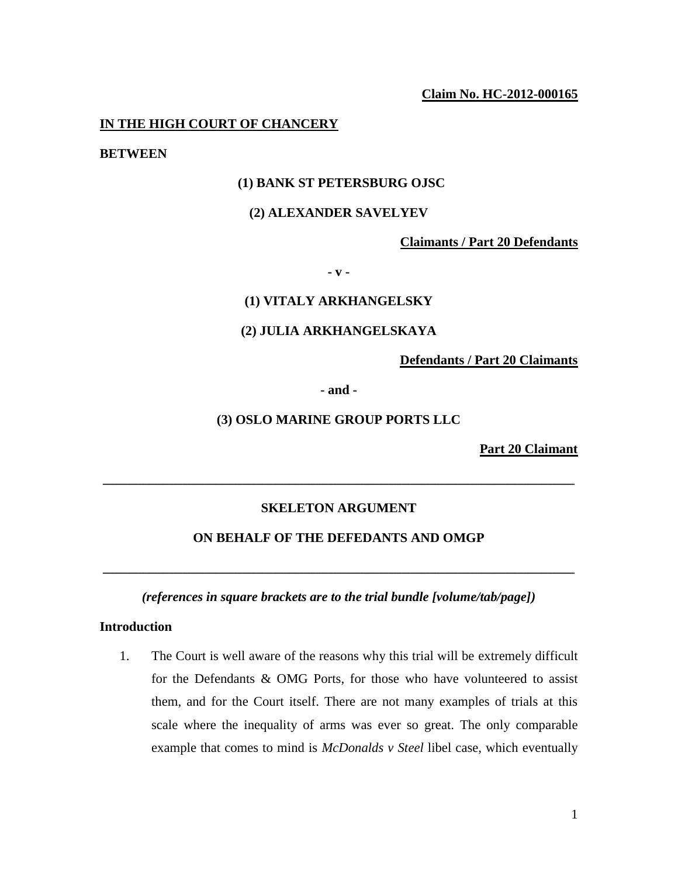**Claim No. HC-2012-000165**

# **IN THE HIGH COURT OF CHANCERY**

**BETWEEN**

# **(1) BANK ST PETERSBURG OJSC**

# **(2) ALEXANDER SAVELYEV**

**Claimants / Part 20 Defendants**

**- v -**

**(1) VITALY ARKHANGELSKY**

#### **(2) JULIA ARKHANGELSKAYA**

**Defendants / Part 20 Claimants**

**- and -**

## **(3) OSLO MARINE GROUP PORTS LLC**

**Part 20 Claimant**

# **SKELETON ARGUMENT**

**\_\_\_\_\_\_\_\_\_\_\_\_\_\_\_\_\_\_\_\_\_\_\_\_\_\_\_\_\_\_\_\_\_\_\_\_\_\_\_\_\_\_\_\_\_\_\_\_\_\_\_\_\_\_\_\_\_\_\_\_\_\_\_\_\_\_\_\_\_\_\_**

# **ON BEHALF OF THE DEFEDANTS AND OMGP**

**\_\_\_\_\_\_\_\_\_\_\_\_\_\_\_\_\_\_\_\_\_\_\_\_\_\_\_\_\_\_\_\_\_\_\_\_\_\_\_\_\_\_\_\_\_\_\_\_\_\_\_\_\_\_\_\_\_\_\_\_\_\_\_\_\_\_\_\_\_\_\_**

*(references in square brackets are to the trial bundle [volume/tab/page])*

#### **Introduction**

1. The Court is well aware of the reasons why this trial will be extremely difficult for the Defendants & OMG Ports, for those who have volunteered to assist them, and for the Court itself. There are not many examples of trials at this scale where the inequality of arms was ever so great. The only comparable example that comes to mind is *McDonalds v Steel* libel case, which eventually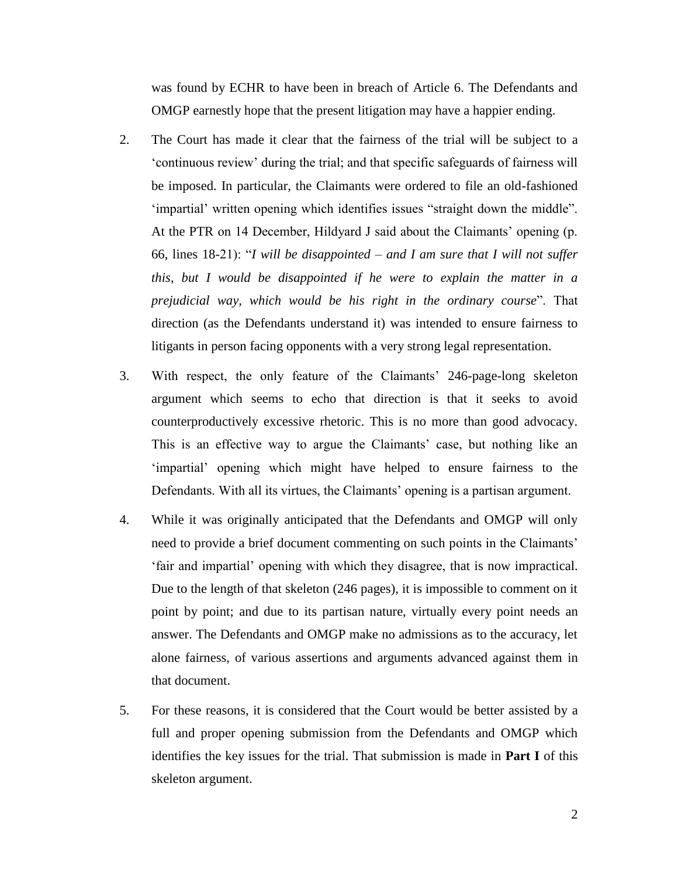was found by ECHR to have been in breach of Article 6. The Defendants and OMGP earnestly hope that the present litigation may have a happier ending.

- 2. The Court has made it clear that the fairness of the trial will be subject to a 'continuous review' during the trial; and that specific safeguards of fairness will be imposed. In particular, the Claimants were ordered to file an old-fashioned 'impartial' written opening which identifies issues "straight down the middle". At the PTR on 14 December, Hildyard J said about the Claimants' opening (p. 66, lines 18-21): "*I will be disappointed – and I am sure that I will not suffer this, but I would be disappointed if he were to explain the matter in a prejudicial way, which would be his right in the ordinary course*". That direction (as the Defendants understand it) was intended to ensure fairness to litigants in person facing opponents with a very strong legal representation.
- 3. With respect, the only feature of the Claimants' 246-page-long skeleton argument which seems to echo that direction is that it seeks to avoid counterproductively excessive rhetoric. This is no more than good advocacy. This is an effective way to argue the Claimants' case, but nothing like an 'impartial' opening which might have helped to ensure fairness to the Defendants. With all its virtues, the Claimants' opening is a partisan argument.
- 4. While it was originally anticipated that the Defendants and OMGP will only need to provide a brief document commenting on such points in the Claimants' 'fair and impartial' opening with which they disagree, that is now impractical. Due to the length of that skeleton (246 pages), it is impossible to comment on it point by point; and due to its partisan nature, virtually every point needs an answer. The Defendants and OMGP make no admissions as to the accuracy, let alone fairness, of various assertions and arguments advanced against them in that document.
- 5. For these reasons, it is considered that the Court would be better assisted by a full and proper opening submission from the Defendants and OMGP which identifies the key issues for the trial. That submission is made in **Part I** of this skeleton argument.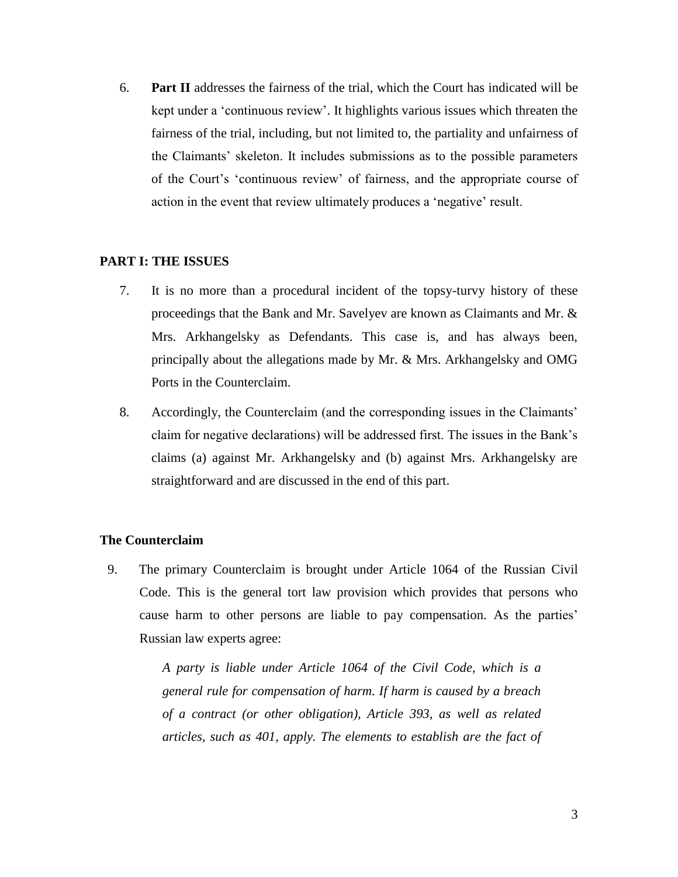6. **Part II** addresses the fairness of the trial, which the Court has indicated will be kept under a 'continuous review'. It highlights various issues which threaten the fairness of the trial, including, but not limited to, the partiality and unfairness of the Claimants' skeleton. It includes submissions as to the possible parameters of the Court's 'continuous review' of fairness, and the appropriate course of action in the event that review ultimately produces a 'negative' result.

# **PART I: THE ISSUES**

- 7. It is no more than a procedural incident of the topsy-turvy history of these proceedings that the Bank and Mr. Savelyev are known as Claimants and Mr. & Mrs. Arkhangelsky as Defendants. This case is, and has always been, principally about the allegations made by Mr. & Mrs. Arkhangelsky and OMG Ports in the Counterclaim.
- 8. Accordingly, the Counterclaim (and the corresponding issues in the Claimants' claim for negative declarations) will be addressed first. The issues in the Bank's claims (a) against Mr. Arkhangelsky and (b) against Mrs. Arkhangelsky are straightforward and are discussed in the end of this part.

# **The Counterclaim**

9. The primary Counterclaim is brought under Article 1064 of the Russian Civil Code. This is the general tort law provision which provides that persons who cause harm to other persons are liable to pay compensation. As the parties' Russian law experts agree:

> *A party is liable under Article 1064 of the Civil Code, which is a general rule for compensation of harm. If harm is caused by a breach of a contract (or other obligation), Article 393, as well as related articles, such as 401, apply. The elements to establish are the fact of*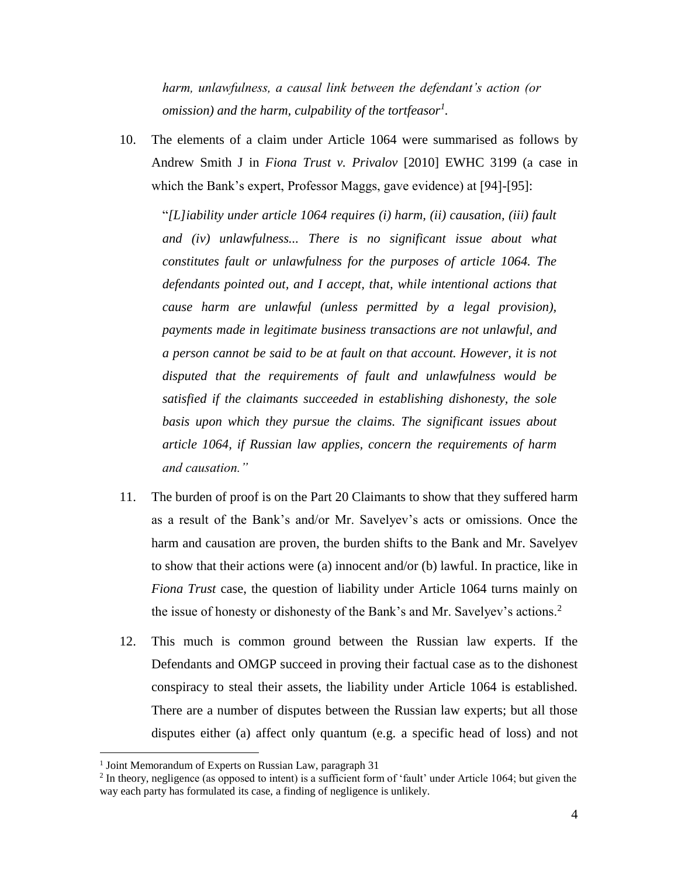*harm, unlawfulness, a causal link between the defendant's action (or omission) and the harm, culpability of the tortfeasor<sup>1</sup> .*

10. The elements of a claim under Article 1064 were summarised as follows by Andrew Smith J in *Fiona Trust v. Privalov* [2010] EWHC 3199 (a case in which the Bank's expert, Professor Maggs, gave evidence) at [94]-[95]:

"*[L]iability under article 1064 requires (i) harm, (ii) causation, (iii) fault and (iv) unlawfulness... There is no significant issue about what constitutes fault or unlawfulness for the purposes of article 1064. The defendants pointed out, and I accept, that, while intentional actions that cause harm are unlawful (unless permitted by a legal provision), payments made in legitimate business transactions are not unlawful, and a person cannot be said to be at fault on that account. However, it is not disputed that the requirements of fault and unlawfulness would be satisfied if the claimants succeeded in establishing dishonesty, the sole basis upon which they pursue the claims. The significant issues about article 1064, if Russian law applies, concern the requirements of harm and causation."*

- 11. The burden of proof is on the Part 20 Claimants to show that they suffered harm as a result of the Bank's and/or Mr. Savelyev's acts or omissions. Once the harm and causation are proven, the burden shifts to the Bank and Mr. Savelyev to show that their actions were (a) innocent and/or (b) lawful. In practice, like in *Fiona Trust* case, the question of liability under Article 1064 turns mainly on the issue of honesty or dishonesty of the Bank's and Mr. Savelyev's actions.<sup>2</sup>
- 12. This much is common ground between the Russian law experts. If the Defendants and OMGP succeed in proving their factual case as to the dishonest conspiracy to steal their assets, the liability under Article 1064 is established. There are a number of disputes between the Russian law experts; but all those disputes either (a) affect only quantum (e.g. a specific head of loss) and not

<sup>&</sup>lt;sup>1</sup> Joint Memorandum of Experts on Russian Law, paragraph 31

<sup>&</sup>lt;sup>2</sup> In theory, negligence (as opposed to intent) is a sufficient form of 'fault' under Article 1064; but given the way each party has formulated its case, a finding of negligence is unlikely.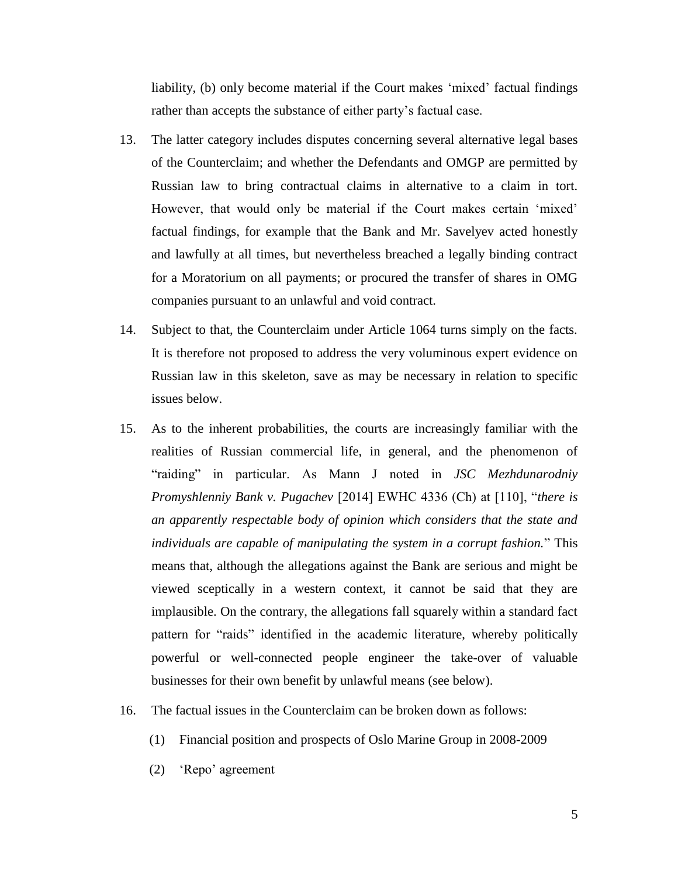liability, (b) only become material if the Court makes 'mixed' factual findings rather than accepts the substance of either party's factual case.

- 13. The latter category includes disputes concerning several alternative legal bases of the Counterclaim; and whether the Defendants and OMGP are permitted by Russian law to bring contractual claims in alternative to a claim in tort. However, that would only be material if the Court makes certain 'mixed' factual findings, for example that the Bank and Mr. Savelyev acted honestly and lawfully at all times, but nevertheless breached a legally binding contract for a Moratorium on all payments; or procured the transfer of shares in OMG companies pursuant to an unlawful and void contract.
- 14. Subject to that, the Counterclaim under Article 1064 turns simply on the facts. It is therefore not proposed to address the very voluminous expert evidence on Russian law in this skeleton, save as may be necessary in relation to specific issues below.
- 15. As to the inherent probabilities, the courts are increasingly familiar with the realities of Russian commercial life, in general, and the phenomenon of "raiding" in particular. As Mann J noted in *JSC Mezhdunarodniy Promyshlenniy Bank v. Pugachev* [2014] EWHC 4336 (Ch) at [110], "*there is an apparently respectable body of opinion which considers that the state and individuals are capable of manipulating the system in a corrupt fashion.*" This means that, although the allegations against the Bank are serious and might be viewed sceptically in a western context, it cannot be said that they are implausible. On the contrary, the allegations fall squarely within a standard fact pattern for "raids" identified in the academic literature, whereby politically powerful or well-connected people engineer the take-over of valuable businesses for their own benefit by unlawful means (see below).
- 16. The factual issues in the Counterclaim can be broken down as follows:
	- (1) Financial position and prospects of Oslo Marine Group in 2008-2009
	- (2) 'Repo' agreement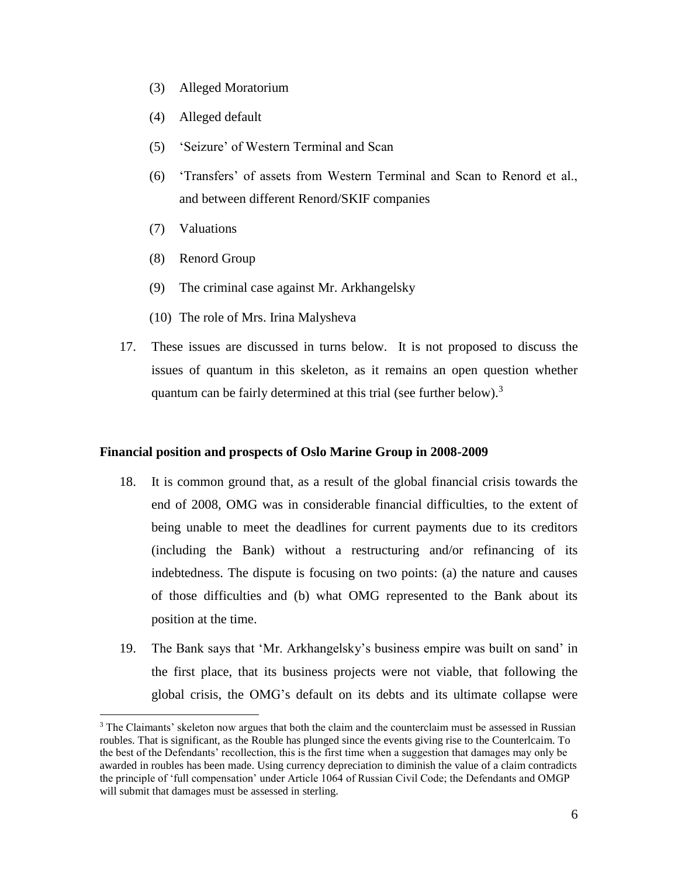- (3) Alleged Moratorium
- (4) Alleged default
- (5) 'Seizure' of Western Terminal and Scan
- (6) 'Transfers' of assets from Western Terminal and Scan to Renord et al., and between different Renord/SKIF companies
- (7) Valuations

 $\overline{a}$ 

- (8) Renord Group
- (9) The criminal case against Mr. Arkhangelsky
- (10) The role of Mrs. Irina Malysheva
- 17. These issues are discussed in turns below. It is not proposed to discuss the issues of quantum in this skeleton, as it remains an open question whether quantum can be fairly determined at this trial (see further below).<sup>3</sup>

# **Financial position and prospects of Oslo Marine Group in 2008-2009**

- 18. It is common ground that, as a result of the global financial crisis towards the end of 2008, OMG was in considerable financial difficulties, to the extent of being unable to meet the deadlines for current payments due to its creditors (including the Bank) without a restructuring and/or refinancing of its indebtedness. The dispute is focusing on two points: (a) the nature and causes of those difficulties and (b) what OMG represented to the Bank about its position at the time.
- 19. The Bank says that 'Mr. Arkhangelsky's business empire was built on sand' in the first place, that its business projects were not viable, that following the global crisis, the OMG's default on its debts and its ultimate collapse were

<sup>&</sup>lt;sup>3</sup> The Claimants' skeleton now argues that both the claim and the counterclaim must be assessed in Russian roubles. That is significant, as the Rouble has plunged since the events giving rise to the Counterlcaim. To the best of the Defendants' recollection, this is the first time when a suggestion that damages may only be awarded in roubles has been made. Using currency depreciation to diminish the value of a claim contradicts the principle of 'full compensation' under Article 1064 of Russian Civil Code; the Defendants and OMGP will submit that damages must be assessed in sterling.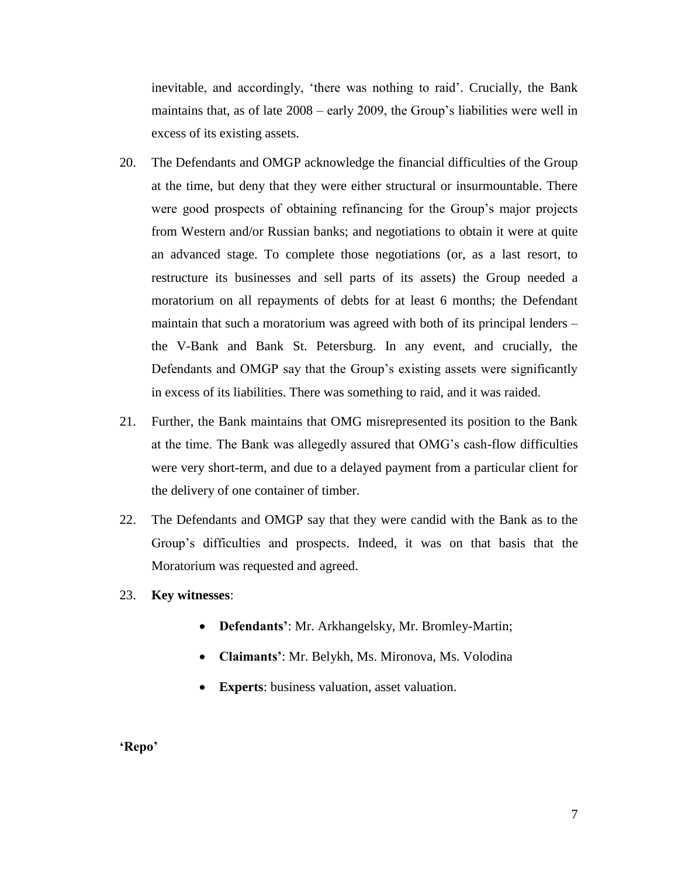inevitable, and accordingly, 'there was nothing to raid'. Crucially, the Bank maintains that, as of late 2008 – early 2009, the Group's liabilities were well in excess of its existing assets.

- 20. The Defendants and OMGP acknowledge the financial difficulties of the Group at the time, but deny that they were either structural or insurmountable. There were good prospects of obtaining refinancing for the Group's major projects from Western and/or Russian banks; and negotiations to obtain it were at quite an advanced stage. To complete those negotiations (or, as a last resort, to restructure its businesses and sell parts of its assets) the Group needed a moratorium on all repayments of debts for at least 6 months; the Defendant maintain that such a moratorium was agreed with both of its principal lenders – the V-Bank and Bank St. Petersburg. In any event, and crucially, the Defendants and OMGP say that the Group's existing assets were significantly in excess of its liabilities. There was something to raid, and it was raided.
- 21. Further, the Bank maintains that OMG misrepresented its position to the Bank at the time. The Bank was allegedly assured that OMG's cash-flow difficulties were very short-term, and due to a delayed payment from a particular client for the delivery of one container of timber.
- 22. The Defendants and OMGP say that they were candid with the Bank as to the Group's difficulties and prospects. Indeed, it was on that basis that the Moratorium was requested and agreed.
- 23. **Key witnesses**:
	- **Defendants'**: Mr. Arkhangelsky, Mr. Bromley-Martin;
	- **Claimants'**: Mr. Belykh, Ms. Mironova, Ms. Volodina
	- **Experts**: business valuation, asset valuation.

**'Repo'**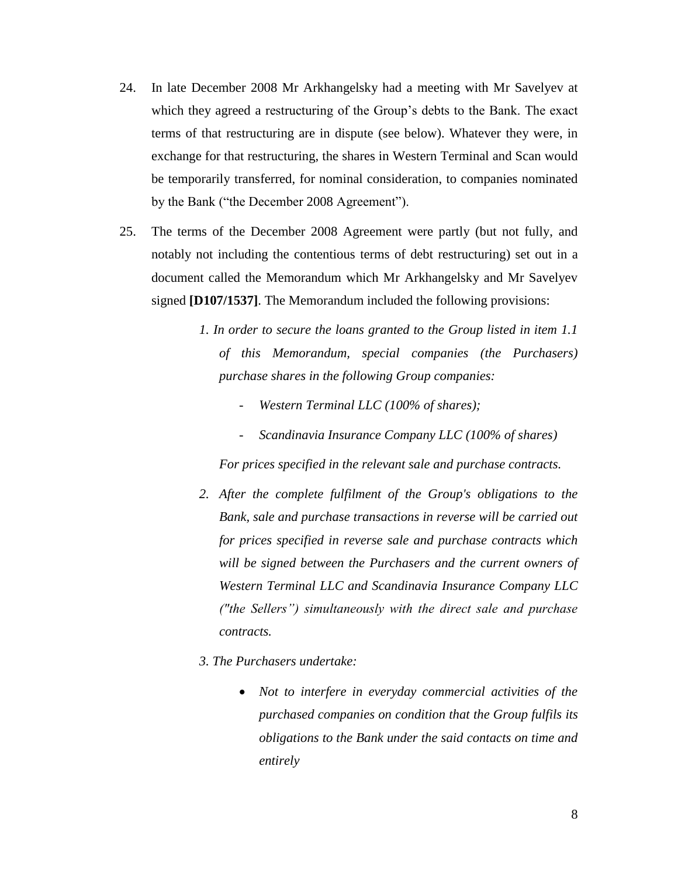- 24. In late December 2008 Mr Arkhangelsky had a meeting with Mr Savelyev at which they agreed a restructuring of the Group's debts to the Bank. The exact terms of that restructuring are in dispute (see below). Whatever they were, in exchange for that restructuring, the shares in Western Terminal and Scan would be temporarily transferred, for nominal consideration, to companies nominated by the Bank ("the December 2008 Agreement").
- 25. The terms of the December 2008 Agreement were partly (but not fully, and notably not including the contentious terms of debt restructuring) set out in a document called the Memorandum which Mr Arkhangelsky and Mr Savelyev signed **[D107/1537]**. The Memorandum included the following provisions:
	- *1. In order to secure the loans granted to the Group listed in item 1.1 of this Memorandum, special companies (the Purchasers) purchase shares in the following Group companies:* 
		- *- Western Terminal LLC (100% of shares);*
		- *- Scandinavia Insurance Company LLC (100% of shares)*

*For prices specified in the relevant sale and purchase contracts.* 

- *2. After the complete fulfilment of the Group's obligations to the Bank, sale and purchase transactions in reverse will be carried out for prices specified in reverse sale and purchase contracts which will be signed between the Purchasers and the current owners of Western Terminal LLC and Scandinavia Insurance Company LLC ("the Sellers") simultaneously with the direct sale and purchase contracts.*
- *3. The Purchasers undertake:* 
	- *Not to interfere in everyday commercial activities of the purchased companies on condition that the Group fulfils its obligations to the Bank under the said contacts on time and entirely*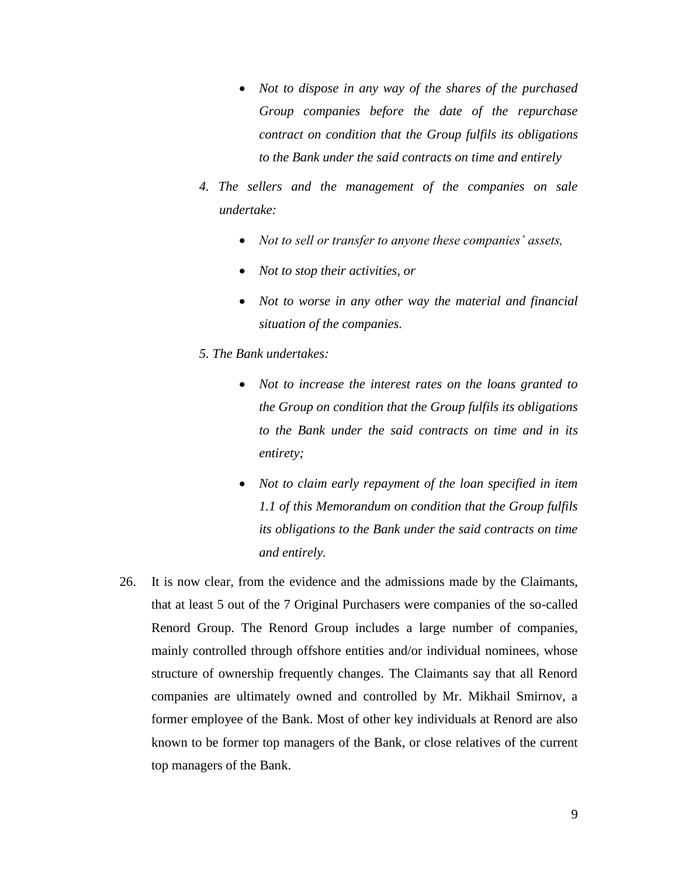- *Not to dispose in any way of the shares of the purchased Group companies before the date of the repurchase contract on condition that the Group fulfils its obligations to the Bank under the said contracts on time and entirely*
- *4. The sellers and the management of the companies on sale undertake:* 
	- *Not to sell or transfer to anyone these companies' assets,*
	- *Not to stop their activities, or*
	- *Not to worse in any other way the material and financial situation of the companies.*
- *5. The Bank undertakes:*
	- *Not to increase the interest rates on the loans granted to the Group on condition that the Group fulfils its obligations to the Bank under the said contracts on time and in its entirety;*
	- *Not to claim early repayment of the loan specified in item 1.1 of this Memorandum on condition that the Group fulfils its obligations to the Bank under the said contracts on time and entirely.*
- 26. It is now clear, from the evidence and the admissions made by the Claimants, that at least 5 out of the 7 Original Purchasers were companies of the so-called Renord Group. The Renord Group includes a large number of companies, mainly controlled through offshore entities and/or individual nominees, whose structure of ownership frequently changes. The Claimants say that all Renord companies are ultimately owned and controlled by Mr. Mikhail Smirnov, a former employee of the Bank. Most of other key individuals at Renord are also known to be former top managers of the Bank, or close relatives of the current top managers of the Bank.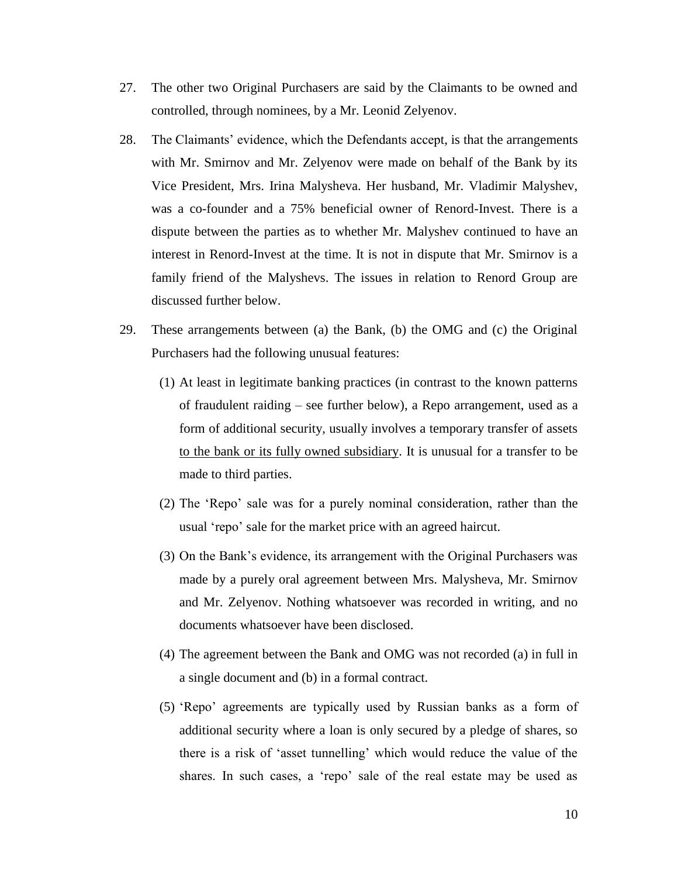- 27. The other two Original Purchasers are said by the Claimants to be owned and controlled, through nominees, by a Mr. Leonid Zelyenov.
- 28. The Claimants' evidence, which the Defendants accept, is that the arrangements with Mr. Smirnov and Mr. Zelyenov were made on behalf of the Bank by its Vice President, Mrs. Irina Malysheva. Her husband, Mr. Vladimir Malyshev, was a co-founder and a 75% beneficial owner of Renord-Invest. There is a dispute between the parties as to whether Mr. Malyshev continued to have an interest in Renord-Invest at the time. It is not in dispute that Mr. Smirnov is a family friend of the Malyshevs. The issues in relation to Renord Group are discussed further below.
- 29. These arrangements between (a) the Bank, (b) the OMG and (c) the Original Purchasers had the following unusual features:
	- (1) At least in legitimate banking practices (in contrast to the known patterns of fraudulent raiding – see further below), a Repo arrangement, used as a form of additional security, usually involves a temporary transfer of assets to the bank or its fully owned subsidiary. It is unusual for a transfer to be made to third parties.
	- (2) The 'Repo' sale was for a purely nominal consideration, rather than the usual 'repo' sale for the market price with an agreed haircut.
	- (3) On the Bank's evidence, its arrangement with the Original Purchasers was made by a purely oral agreement between Mrs. Malysheva, Mr. Smirnov and Mr. Zelyenov. Nothing whatsoever was recorded in writing, and no documents whatsoever have been disclosed.
	- (4) The agreement between the Bank and OMG was not recorded (a) in full in a single document and (b) in a formal contract.
	- (5) 'Repo' agreements are typically used by Russian banks as a form of additional security where a loan is only secured by a pledge of shares, so there is a risk of 'asset tunnelling' which would reduce the value of the shares. In such cases, a 'repo' sale of the real estate may be used as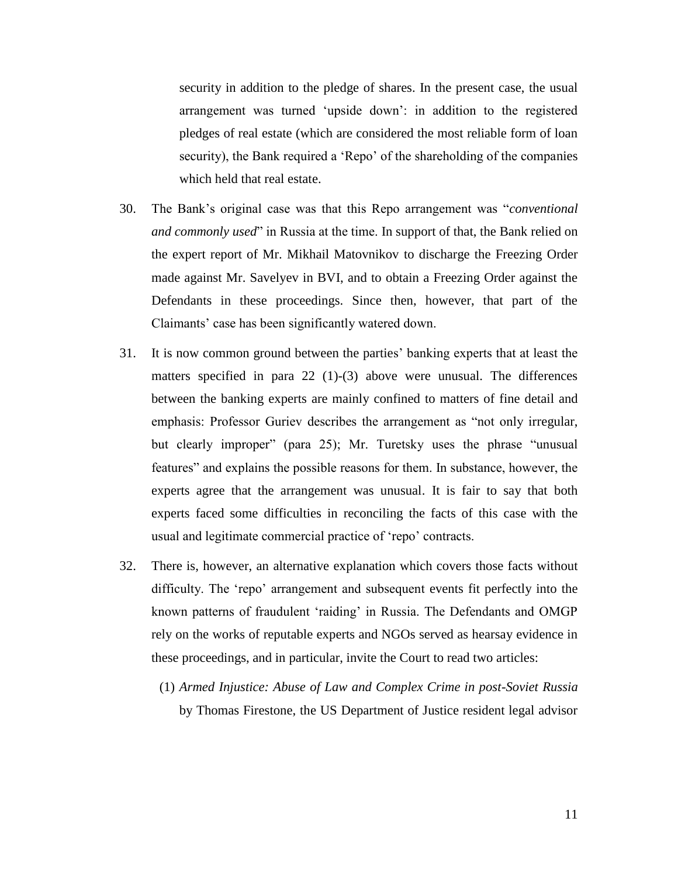security in addition to the pledge of shares. In the present case, the usual arrangement was turned 'upside down': in addition to the registered pledges of real estate (which are considered the most reliable form of loan security), the Bank required a 'Repo' of the shareholding of the companies which held that real estate.

- 30. The Bank's original case was that this Repo arrangement was "*conventional and commonly used*" in Russia at the time. In support of that, the Bank relied on the expert report of Mr. Mikhail Matovnikov to discharge the Freezing Order made against Mr. Savelyev in BVI, and to obtain a Freezing Order against the Defendants in these proceedings. Since then, however, that part of the Claimants' case has been significantly watered down.
- 31. It is now common ground between the parties' banking experts that at least the matters specified in para  $22 \t(1)-(3)$  above were unusual. The differences between the banking experts are mainly confined to matters of fine detail and emphasis: Professor Guriev describes the arrangement as "not only irregular, but clearly improper" (para 25); Mr. Turetsky uses the phrase "unusual features" and explains the possible reasons for them. In substance, however, the experts agree that the arrangement was unusual. It is fair to say that both experts faced some difficulties in reconciling the facts of this case with the usual and legitimate commercial practice of 'repo' contracts.
- 32. There is, however, an alternative explanation which covers those facts without difficulty. The 'repo' arrangement and subsequent events fit perfectly into the known patterns of fraudulent 'raiding' in Russia. The Defendants and OMGP rely on the works of reputable experts and NGOs served as hearsay evidence in these proceedings, and in particular, invite the Court to read two articles:
	- (1) *Armed Injustice: Abuse of Law and Complex Crime in post-Soviet Russia* by Thomas Firestone, the US Department of Justice resident legal advisor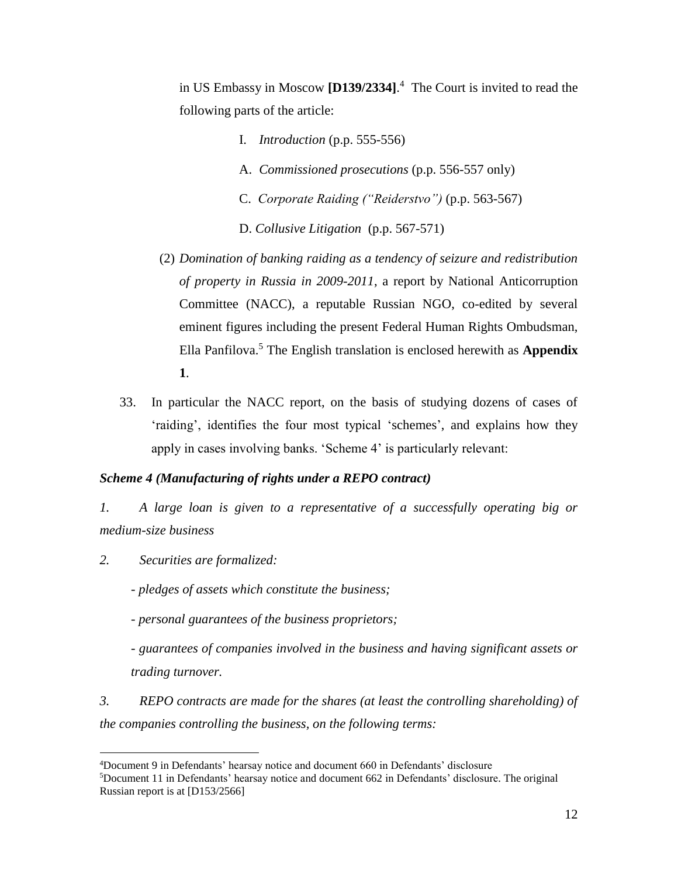in US Embassy in Moscow **[D139/2334]**. 4 The Court is invited to read the following parts of the article:

- I. *Introduction* (p.p. 555-556)
- A. *Commissioned prosecutions* (p.p. 556-557 only)
- C. *Corporate Raiding ("Reiderstvo")* (p.p. 563-567)

D. *Collusive Litigation* (p.p. 567-571)

- (2) *Domination of banking raiding as a tendency of seizure and redistribution of property in Russia in 2009-2011*, a report by National Anticorruption Committee (NACC), a reputable Russian NGO, co-edited by several eminent figures including the present Federal Human Rights Ombudsman, Ella Panfilova.<sup>5</sup> The English translation is enclosed herewith as **Appendix 1**.
- 33. In particular the NACC report, on the basis of studying dozens of cases of 'raiding', identifies the four most typical 'schemes', and explains how they apply in cases involving banks. 'Scheme 4' is particularly relevant:

# *Scheme 4 (Manufacturing of rights under a REPO contract)*

*1. A large loan is given to a representative of a successfully operating big or medium-size business* 

*2. Securities are formalized:* 

 $\overline{a}$ 

- *- pledges of assets which constitute the business;*
- *- personal guarantees of the business proprietors;*

*- guarantees of companies involved in the business and having significant assets or trading turnover.*

*3. REPO contracts are made for the shares (at least the controlling shareholding) of the companies controlling the business, on the following terms:*

<sup>4</sup>Document 9 in Defendants' hearsay notice and document 660 in Defendants' disclosure <sup>5</sup>Document 11 in Defendants' hearsay notice and document 662 in Defendants' disclosure. The original Russian report is at [D153/2566]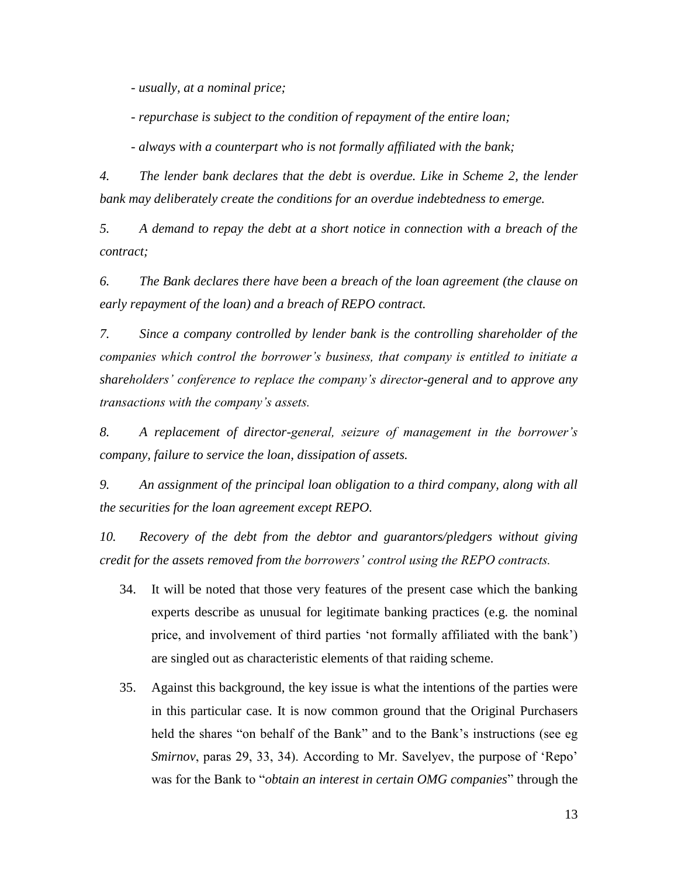*- usually, at a nominal price;*

*- repurchase is subject to the condition of repayment of the entire loan;* 

*- always with a counterpart who is not formally affiliated with the bank;* 

*4. The lender bank declares that the debt is overdue. Like in Scheme 2, the lender*  bank may deliberately create the conditions for an overdue indebtedness to emerge.

*5. A demand to repay the debt at a short notice in connection with a breach of the contract;*

*6. The Bank declares there have been a breach of the loan agreement (the clause on early repayment of the loan) and a breach of REPO contract.* 

*7. Since a company controlled by lender bank is the controlling shareholder of the companies which control the borrower's business, that company is entitled to initiate a shareholders' conference to replace the company's director-general and to approve any transactions with the company's assets.*

*8. A replacement of director-general, seizure of management in the borrower's company, failure to service the loan, dissipation of assets.*

*9. An assignment of the principal loan obligation to a third company, along with all the securities for the loan agreement except REPO.*

*10. Recovery of the debt from the debtor and guarantors/pledgers without giving credit for the assets removed from the borrowers' control using the REPO contracts.*

- 34. It will be noted that those very features of the present case which the banking experts describe as unusual for legitimate banking practices (e.g. the nominal price, and involvement of third parties 'not formally affiliated with the bank') are singled out as characteristic elements of that raiding scheme.
- 35. Against this background, the key issue is what the intentions of the parties were in this particular case. It is now common ground that the Original Purchasers held the shares "on behalf of the Bank" and to the Bank's instructions (see eg *Smirnov*, paras 29, 33, 34). According to Mr. Savelyev, the purpose of 'Repo' was for the Bank to "*obtain an interest in certain OMG companies*" through the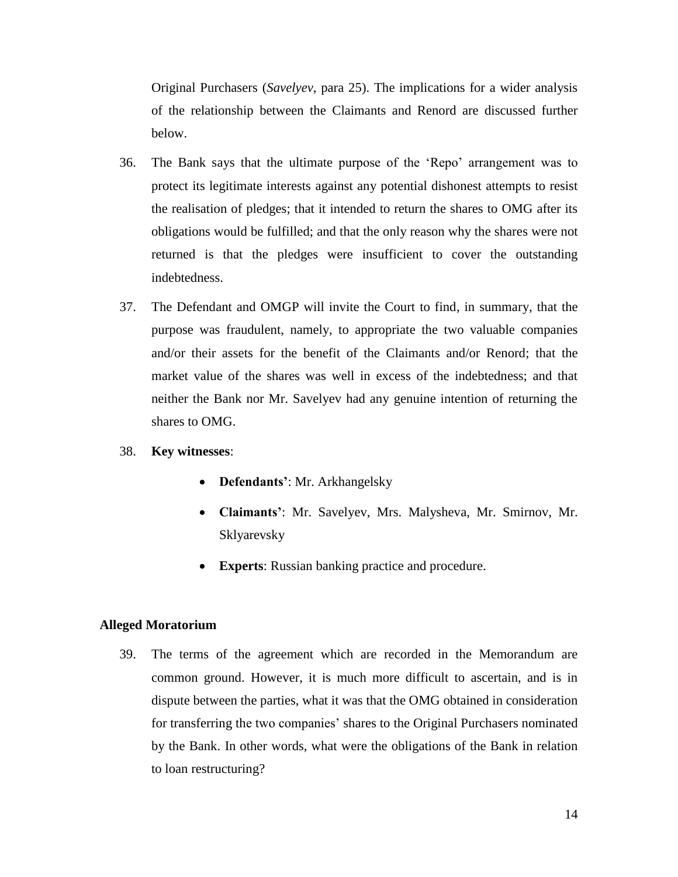Original Purchasers (*Savelyev*, para 25). The implications for a wider analysis of the relationship between the Claimants and Renord are discussed further below.

- 36. The Bank says that the ultimate purpose of the 'Repo' arrangement was to protect its legitimate interests against any potential dishonest attempts to resist the realisation of pledges; that it intended to return the shares to OMG after its obligations would be fulfilled; and that the only reason why the shares were not returned is that the pledges were insufficient to cover the outstanding indebtedness.
- 37. The Defendant and OMGP will invite the Court to find, in summary, that the purpose was fraudulent, namely, to appropriate the two valuable companies and/or their assets for the benefit of the Claimants and/or Renord; that the market value of the shares was well in excess of the indebtedness; and that neither the Bank nor Mr. Savelyev had any genuine intention of returning the shares to OMG.
- 38. **Key witnesses**:
	- **Defendants'**: Mr. Arkhangelsky
	- **Claimants'**: Mr. Savelyev, Mrs. Malysheva, Mr. Smirnov, Mr. Sklyarevsky
	- **Experts**: Russian banking practice and procedure.

#### **Alleged Moratorium**

39. The terms of the agreement which are recorded in the Memorandum are common ground. However, it is much more difficult to ascertain, and is in dispute between the parties, what it was that the OMG obtained in consideration for transferring the two companies' shares to the Original Purchasers nominated by the Bank. In other words, what were the obligations of the Bank in relation to loan restructuring?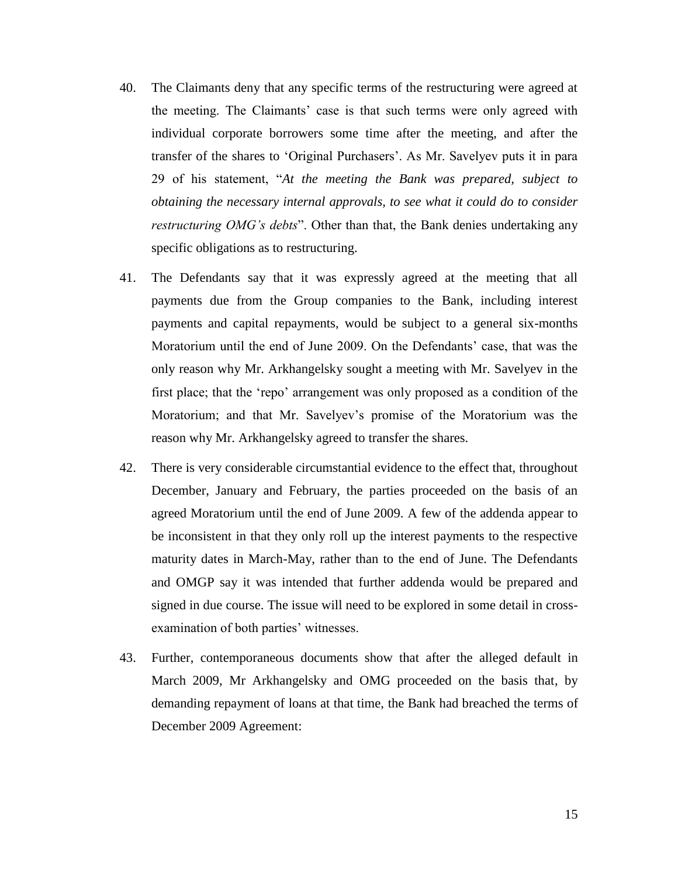- 40. The Claimants deny that any specific terms of the restructuring were agreed at the meeting. The Claimants' case is that such terms were only agreed with individual corporate borrowers some time after the meeting, and after the transfer of the shares to 'Original Purchasers'. As Mr. Savelyev puts it in para 29 of his statement, "*At the meeting the Bank was prepared, subject to obtaining the necessary internal approvals, to see what it could do to consider restructuring OMG's debts*". Other than that, the Bank denies undertaking any specific obligations as to restructuring.
- 41. The Defendants say that it was expressly agreed at the meeting that all payments due from the Group companies to the Bank, including interest payments and capital repayments, would be subject to a general six-months Moratorium until the end of June 2009. On the Defendants' case, that was the only reason why Mr. Arkhangelsky sought a meeting with Mr. Savelyev in the first place; that the 'repo' arrangement was only proposed as a condition of the Moratorium; and that Mr. Savelyev's promise of the Moratorium was the reason why Mr. Arkhangelsky agreed to transfer the shares.
- 42. There is very considerable circumstantial evidence to the effect that, throughout December, January and February, the parties proceeded on the basis of an agreed Moratorium until the end of June 2009. A few of the addenda appear to be inconsistent in that they only roll up the interest payments to the respective maturity dates in March-May, rather than to the end of June. The Defendants and OMGP say it was intended that further addenda would be prepared and signed in due course. The issue will need to be explored in some detail in crossexamination of both parties' witnesses.
- 43. Further, contemporaneous documents show that after the alleged default in March 2009, Mr Arkhangelsky and OMG proceeded on the basis that, by demanding repayment of loans at that time, the Bank had breached the terms of December 2009 Agreement: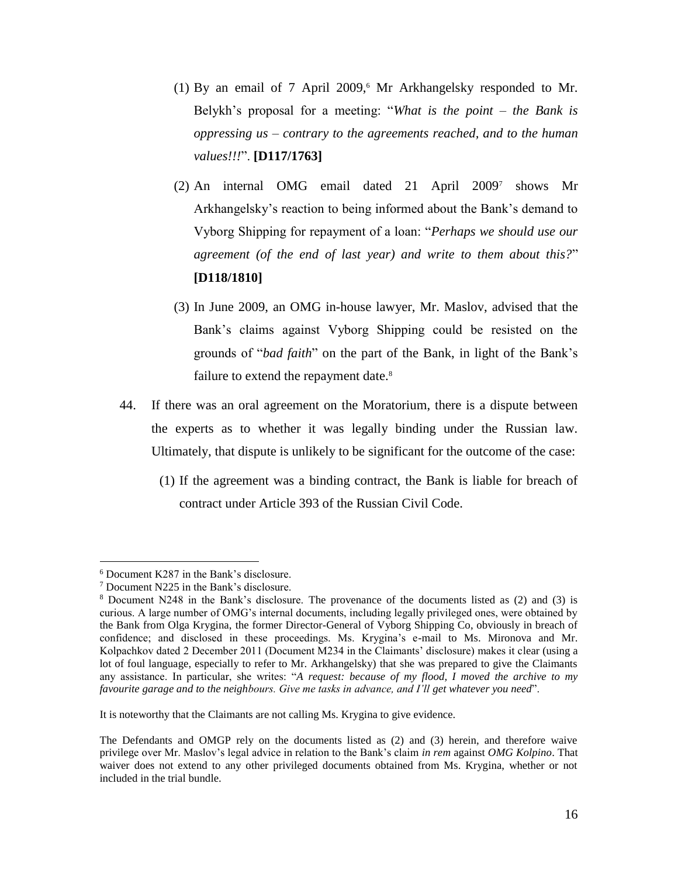- (1) By an email of 7 April 2009, $6$  Mr Arkhangelsky responded to Mr. Belykh's proposal for a meeting: "*What is the point – the Bank is oppressing us – contrary to the agreements reached, and to the human values!!!*". **[D117/1763]**
- (2) An internal OMG email dated 21 April 2009<sup>7</sup> shows Mr Arkhangelsky's reaction to being informed about the Bank's demand to Vyborg Shipping for repayment of a loan: "*Perhaps we should use our agreement (of the end of last year) and write to them about this?*" **[D118/1810]**
- (3) In June 2009, an OMG in-house lawyer, Mr. Maslov, advised that the Bank's claims against Vyborg Shipping could be resisted on the grounds of "*bad faith*" on the part of the Bank, in light of the Bank's failure to extend the repayment date.<sup>8</sup>
- 44. If there was an oral agreement on the Moratorium, there is a dispute between the experts as to whether it was legally binding under the Russian law. Ultimately, that dispute is unlikely to be significant for the outcome of the case:
	- (1) If the agreement was a binding contract, the Bank is liable for breach of contract under Article 393 of the Russian Civil Code.

 $\overline{a}$ 

It is noteworthy that the Claimants are not calling Ms. Krygina to give evidence.

<sup>6</sup> Document K287 in the Bank's disclosure.

<sup>7</sup> Document N225 in the Bank's disclosure.

<sup>8</sup> Document N248 in the Bank's disclosure. The provenance of the documents listed as (2) and (3) is curious. A large number of OMG's internal documents, including legally privileged ones, were obtained by the Bank from Olga Krygina, the former Director-General of Vyborg Shipping Co, obviously in breach of confidence; and disclosed in these proceedings. Ms. Krygina's e-mail to Ms. Mironova and Mr. Kolpachkov dated 2 December 2011 (Document M234 in the Claimants' disclosure) makes it clear (using a lot of foul language, especially to refer to Mr. Arkhangelsky) that she was prepared to give the Claimants any assistance. In particular, she writes: "*A request: because of my flood, I moved the archive to my favourite garage and to the neighbours. Give me tasks in advance, and I'll get whatever you need*".

The Defendants and OMGP rely on the documents listed as (2) and (3) herein, and therefore waive privilege over Mr. Maslov's legal advice in relation to the Bank's claim *in rem* against *OMG Kolpino*. That waiver does not extend to any other privileged documents obtained from Ms. Krygina, whether or not included in the trial bundle.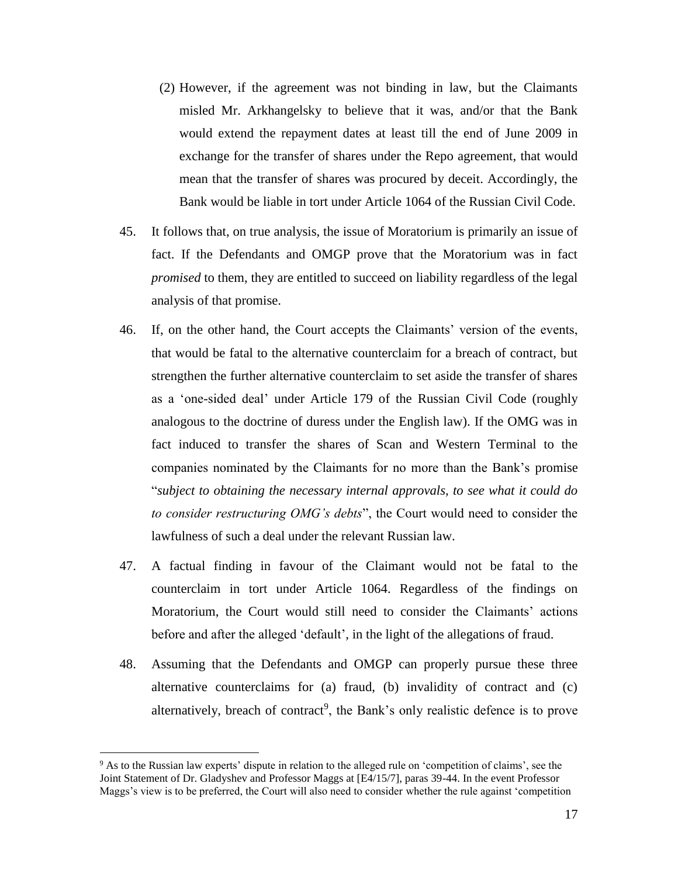- (2) However, if the agreement was not binding in law, but the Claimants misled Mr. Arkhangelsky to believe that it was, and/or that the Bank would extend the repayment dates at least till the end of June 2009 in exchange for the transfer of shares under the Repo agreement, that would mean that the transfer of shares was procured by deceit. Accordingly, the Bank would be liable in tort under Article 1064 of the Russian Civil Code.
- 45. It follows that, on true analysis, the issue of Moratorium is primarily an issue of fact. If the Defendants and OMGP prove that the Moratorium was in fact *promised* to them, they are entitled to succeed on liability regardless of the legal analysis of that promise.
- 46. If, on the other hand, the Court accepts the Claimants' version of the events, that would be fatal to the alternative counterclaim for a breach of contract, but strengthen the further alternative counterclaim to set aside the transfer of shares as a 'one-sided deal' under Article 179 of the Russian Civil Code (roughly analogous to the doctrine of duress under the English law). If the OMG was in fact induced to transfer the shares of Scan and Western Terminal to the companies nominated by the Claimants for no more than the Bank's promise "*subject to obtaining the necessary internal approvals, to see what it could do to consider restructuring OMG's debts*", the Court would need to consider the lawfulness of such a deal under the relevant Russian law.
- 47. A factual finding in favour of the Claimant would not be fatal to the counterclaim in tort under Article 1064. Regardless of the findings on Moratorium, the Court would still need to consider the Claimants' actions before and after the alleged 'default', in the light of the allegations of fraud.
- 48. Assuming that the Defendants and OMGP can properly pursue these three alternative counterclaims for (a) fraud, (b) invalidity of contract and (c) alternatively, breach of contract<sup>9</sup>, the Bank's only realistic defence is to prove

<sup>9</sup> As to the Russian law experts' dispute in relation to the alleged rule on 'competition of claims', see the Joint Statement of Dr. Gladyshev and Professor Maggs at [E4/15/7], paras 39-44. In the event Professor Maggs's view is to be preferred, the Court will also need to consider whether the rule against 'competition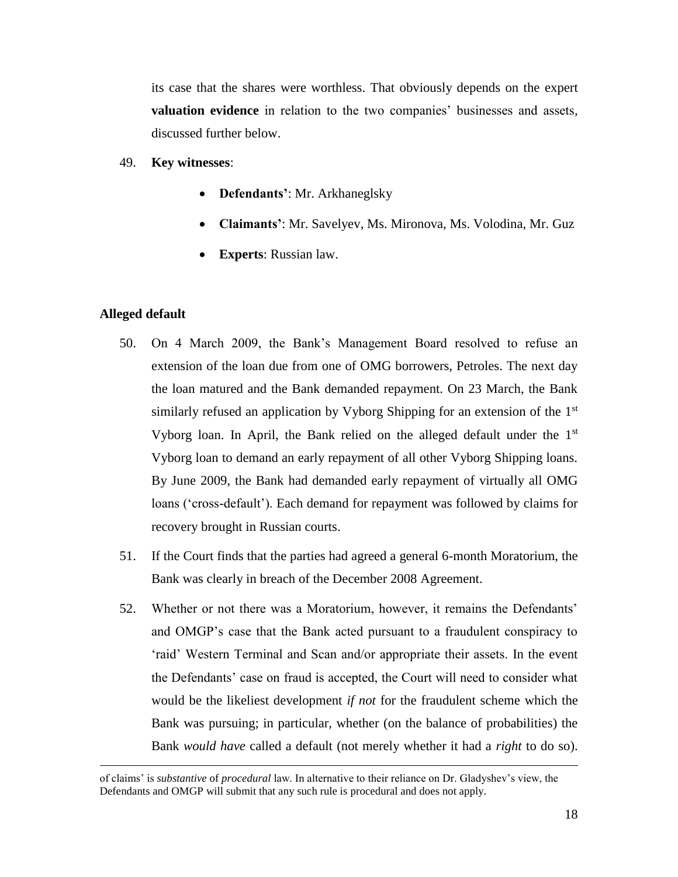its case that the shares were worthless. That obviously depends on the expert **valuation evidence** in relation to the two companies' businesses and assets, discussed further below.

- 49. **Key witnesses**:
	- **Defendants'**: Mr. Arkhaneglsky
	- **Claimants'**: Mr. Savelyev, Ms. Mironova, Ms. Volodina, Mr. Guz
	- **Experts**: Russian law.

# **Alleged default**

- 50. On 4 March 2009, the Bank's Management Board resolved to refuse an extension of the loan due from one of OMG borrowers, Petroles. The next day the loan matured and the Bank demanded repayment. On 23 March, the Bank similarly refused an application by Vyborg Shipping for an extension of the 1<sup>st</sup> Vyborg loan. In April, the Bank relied on the alleged default under the  $1<sup>st</sup>$ Vyborg loan to demand an early repayment of all other Vyborg Shipping loans. By June 2009, the Bank had demanded early repayment of virtually all OMG loans ('cross-default'). Each demand for repayment was followed by claims for recovery brought in Russian courts.
- 51. If the Court finds that the parties had agreed a general 6-month Moratorium, the Bank was clearly in breach of the December 2008 Agreement.
- 52. Whether or not there was a Moratorium, however, it remains the Defendants' and OMGP's case that the Bank acted pursuant to a fraudulent conspiracy to 'raid' Western Terminal and Scan and/or appropriate their assets. In the event the Defendants' case on fraud is accepted, the Court will need to consider what would be the likeliest development *if not* for the fraudulent scheme which the Bank was pursuing; in particular, whether (on the balance of probabilities) the Bank *would have* called a default (not merely whether it had a *right* to do so).

of claims' is *substantive* of *procedural* law. In alternative to their reliance on Dr. Gladyshev's view, the Defendants and OMGP will submit that any such rule is procedural and does not apply.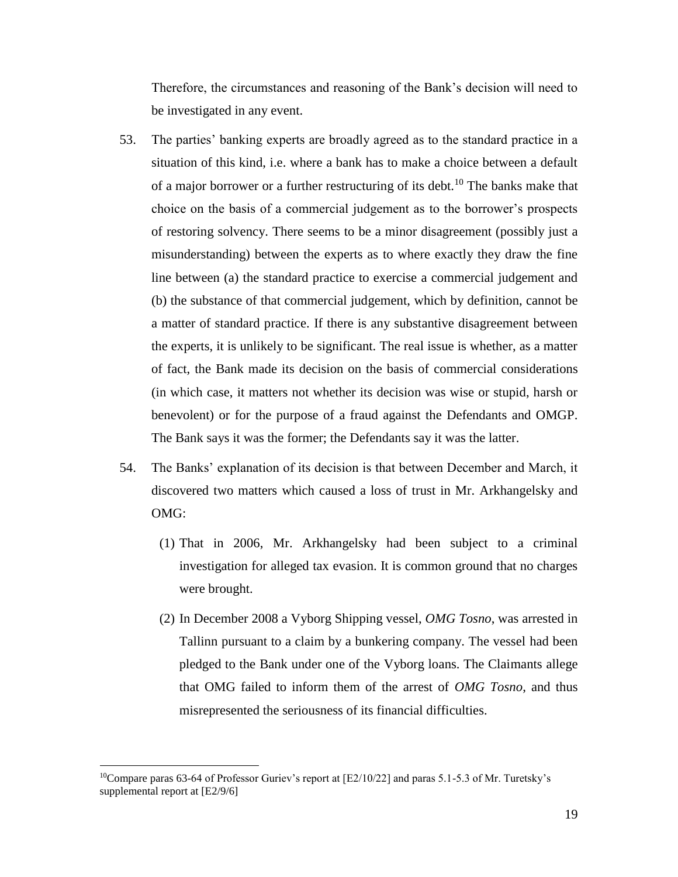Therefore, the circumstances and reasoning of the Bank's decision will need to be investigated in any event.

- 53. The parties' banking experts are broadly agreed as to the standard practice in a situation of this kind, i.e. where a bank has to make a choice between a default of a major borrower or a further restructuring of its debt.<sup>10</sup> The banks make that choice on the basis of a commercial judgement as to the borrower's prospects of restoring solvency. There seems to be a minor disagreement (possibly just a misunderstanding) between the experts as to where exactly they draw the fine line between (a) the standard practice to exercise a commercial judgement and (b) the substance of that commercial judgement, which by definition, cannot be a matter of standard practice. If there is any substantive disagreement between the experts, it is unlikely to be significant. The real issue is whether, as a matter of fact, the Bank made its decision on the basis of commercial considerations (in which case, it matters not whether its decision was wise or stupid, harsh or benevolent) or for the purpose of a fraud against the Defendants and OMGP. The Bank says it was the former; the Defendants say it was the latter.
- 54. The Banks' explanation of its decision is that between December and March, it discovered two matters which caused a loss of trust in Mr. Arkhangelsky and OMG:
	- (1) That in 2006, Mr. Arkhangelsky had been subject to a criminal investigation for alleged tax evasion. It is common ground that no charges were brought.
	- (2) In December 2008 a Vyborg Shipping vessel, *OMG Tosno*, was arrested in Tallinn pursuant to a claim by a bunkering company. The vessel had been pledged to the Bank under one of the Vyborg loans. The Claimants allege that OMG failed to inform them of the arrest of *OMG Tosno*, and thus misrepresented the seriousness of its financial difficulties.

<sup>&</sup>lt;sup>10</sup>Compare paras 63-64 of Professor Guriev's report at  $[E2/10/22]$  and paras 5.1-5.3 of Mr. Turetsky's supplemental report at [E2/9/6]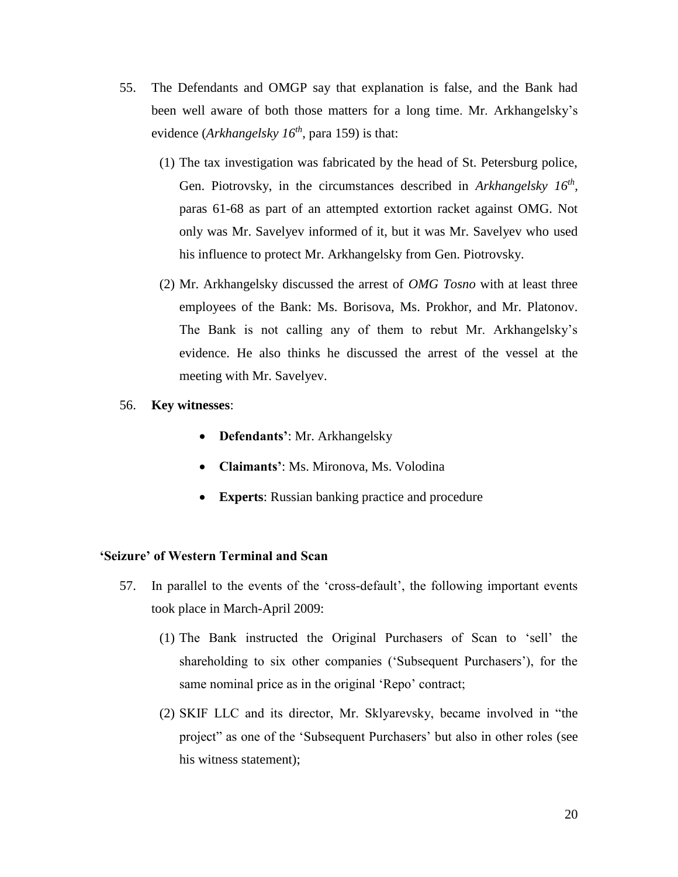- 55. The Defendants and OMGP say that explanation is false, and the Bank had been well aware of both those matters for a long time. Mr. Arkhangelsky's evidence (*Arkhangelsky 16th*, para 159) is that:
	- (1) The tax investigation was fabricated by the head of St. Petersburg police, Gen. Piotrovsky, in the circumstances described in *Arkhangelsky 16<sup>th</sup>*, paras 61-68 as part of an attempted extortion racket against OMG. Not only was Mr. Savelyev informed of it, but it was Mr. Savelyev who used his influence to protect Mr. Arkhangelsky from Gen. Piotrovsky.
	- (2) Mr. Arkhangelsky discussed the arrest of *OMG Tosno* with at least three employees of the Bank: Ms. Borisova, Ms. Prokhor, and Mr. Platonov. The Bank is not calling any of them to rebut Mr. Arkhangelsky's evidence. He also thinks he discussed the arrest of the vessel at the meeting with Mr. Savelyev.
- 56. **Key witnesses**:
	- **Defendants'**: Mr. Arkhangelsky
	- **Claimants'**: Ms. Mironova, Ms. Volodina
	- **Experts**: Russian banking practice and procedure

# **'Seizure' of Western Terminal and Scan**

- 57. In parallel to the events of the 'cross-default', the following important events took place in March-April 2009:
	- (1) The Bank instructed the Original Purchasers of Scan to 'sell' the shareholding to six other companies ('Subsequent Purchasers'), for the same nominal price as in the original 'Repo' contract;
	- (2) SKIF LLC and its director, Mr. Sklyarevsky, became involved in "the project" as one of the 'Subsequent Purchasers' but also in other roles (see his witness statement);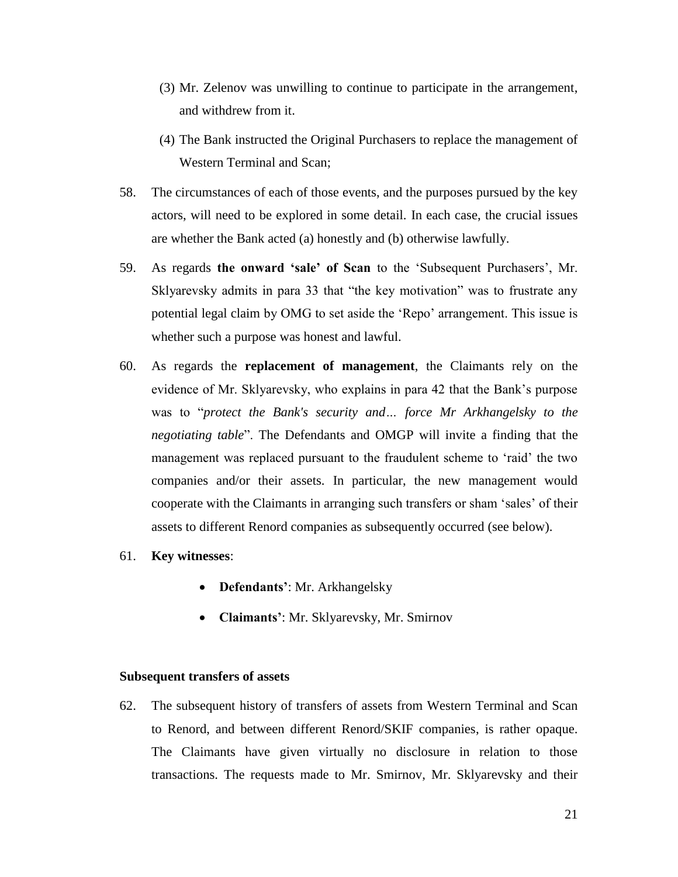- (3) Mr. Zelenov was unwilling to continue to participate in the arrangement, and withdrew from it.
- (4) The Bank instructed the Original Purchasers to replace the management of Western Terminal and Scan;
- 58. The circumstances of each of those events, and the purposes pursued by the key actors, will need to be explored in some detail. In each case, the crucial issues are whether the Bank acted (a) honestly and (b) otherwise lawfully.
- 59. As regards **the onward 'sale' of Scan** to the 'Subsequent Purchasers', Mr. Sklyarevsky admits in para 33 that "the key motivation" was to frustrate any potential legal claim by OMG to set aside the 'Repo' arrangement. This issue is whether such a purpose was honest and lawful.
- 60. As regards the **replacement of management**, the Claimants rely on the evidence of Mr. Sklyarevsky, who explains in para 42 that the Bank's purpose was to "*protect the Bank's security and… force Mr Arkhangelsky to the negotiating table*". The Defendants and OMGP will invite a finding that the management was replaced pursuant to the fraudulent scheme to 'raid' the two companies and/or their assets. In particular, the new management would cooperate with the Claimants in arranging such transfers or sham 'sales' of their assets to different Renord companies as subsequently occurred (see below).
- 61. **Key witnesses**:
	- **Defendants'**: Mr. Arkhangelsky
	- **Claimants'**: Mr. Sklyarevsky, Mr. Smirnov

#### **Subsequent transfers of assets**

62. The subsequent history of transfers of assets from Western Terminal and Scan to Renord, and between different Renord/SKIF companies, is rather opaque. The Claimants have given virtually no disclosure in relation to those transactions. The requests made to Mr. Smirnov, Mr. Sklyarevsky and their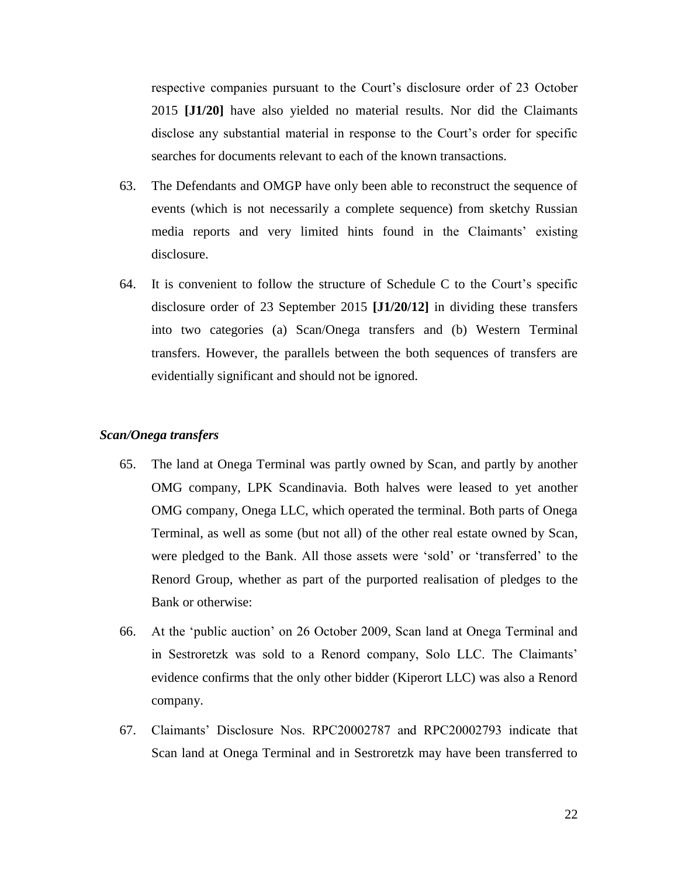respective companies pursuant to the Court's disclosure order of 23 October 2015 **[J1/20]** have also yielded no material results. Nor did the Claimants disclose any substantial material in response to the Court's order for specific searches for documents relevant to each of the known transactions.

- 63. The Defendants and OMGP have only been able to reconstruct the sequence of events (which is not necessarily a complete sequence) from sketchy Russian media reports and very limited hints found in the Claimants' existing disclosure.
- 64. It is convenient to follow the structure of Schedule C to the Court's specific disclosure order of 23 September 2015 **[J1/20/12]** in dividing these transfers into two categories (a) Scan/Onega transfers and (b) Western Terminal transfers. However, the parallels between the both sequences of transfers are evidentially significant and should not be ignored.

# *Scan/Onega transfers*

- 65. The land at Onega Terminal was partly owned by Scan, and partly by another OMG company, LPK Scandinavia. Both halves were leased to yet another OMG company, Onega LLC, which operated the terminal. Both parts of Onega Terminal, as well as some (but not all) of the other real estate owned by Scan, were pledged to the Bank. All those assets were 'sold' or 'transferred' to the Renord Group, whether as part of the purported realisation of pledges to the Bank or otherwise:
- 66. At the 'public auction' on 26 October 2009, Scan land at Onega Terminal and in Sestroretzk was sold to a Renord company, Solo LLC. The Claimants' evidence confirms that the only other bidder (Kiperort LLC) was also a Renord company.
- 67. Claimants' Disclosure Nos. RPC20002787 and RPC20002793 indicate that Scan land at Onega Terminal and in Sestroretzk may have been transferred to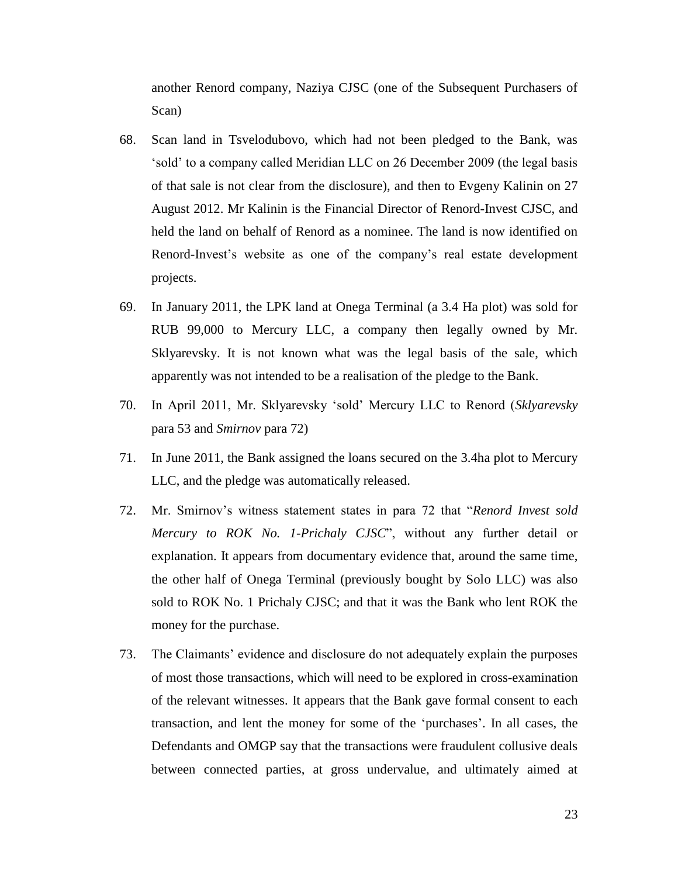another Renord company, Naziya CJSC (one of the Subsequent Purchasers of Scan)

- 68. Scan land in Tsvelodubovo, which had not been pledged to the Bank, was 'sold' to a company called Meridian LLC on 26 December 2009 (the legal basis of that sale is not clear from the disclosure), and then to Evgeny Kalinin on 27 August 2012. Mr Kalinin is the Financial Director of Renord-Invest CJSC, and held the land on behalf of Renord as a nominee. The land is now identified on Renord-Invest's website as one of the company's real estate development projects.
- 69. In January 2011, the LPK land at Onega Terminal (a 3.4 Ha plot) was sold for RUB 99,000 to Mercury LLC, a company then legally owned by Mr. Sklyarevsky. It is not known what was the legal basis of the sale, which apparently was not intended to be a realisation of the pledge to the Bank.
- 70. In April 2011, Mr. Sklyarevsky 'sold' Mercury LLC to Renord (*Sklyarevsky* para 53 and *Smirnov* para 72)
- 71. In June 2011, the Bank assigned the loans secured on the 3.4ha plot to Mercury LLC, and the pledge was automatically released.
- 72. Mr. Smirnov's witness statement states in para 72 that "*Renord Invest sold Mercury to ROK No. 1-Prichaly CJSC*", without any further detail or explanation. It appears from documentary evidence that, around the same time, the other half of Onega Terminal (previously bought by Solo LLC) was also sold to ROK No. 1 Prichaly CJSC; and that it was the Bank who lent ROK the money for the purchase.
- 73. The Claimants' evidence and disclosure do not adequately explain the purposes of most those transactions, which will need to be explored in cross-examination of the relevant witnesses. It appears that the Bank gave formal consent to each transaction, and lent the money for some of the 'purchases'. In all cases, the Defendants and OMGP say that the transactions were fraudulent collusive deals between connected parties, at gross undervalue, and ultimately aimed at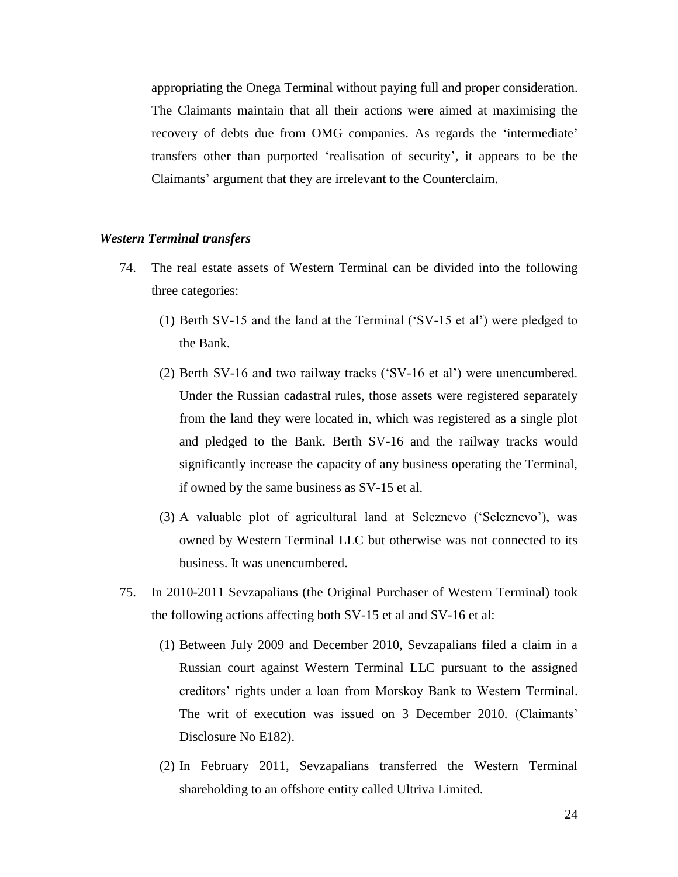appropriating the Onega Terminal without paying full and proper consideration. The Claimants maintain that all their actions were aimed at maximising the recovery of debts due from OMG companies. As regards the 'intermediate' transfers other than purported 'realisation of security', it appears to be the Claimants' argument that they are irrelevant to the Counterclaim.

## *Western Terminal transfers*

- 74. The real estate assets of Western Terminal can be divided into the following three categories:
	- (1) Berth SV-15 and the land at the Terminal ('SV-15 et al') were pledged to the Bank.
	- (2) Berth SV-16 and two railway tracks ('SV-16 et al') were unencumbered. Under the Russian cadastral rules, those assets were registered separately from the land they were located in, which was registered as a single plot and pledged to the Bank. Berth SV-16 and the railway tracks would significantly increase the capacity of any business operating the Terminal, if owned by the same business as SV-15 et al.
	- (3) A valuable plot of agricultural land at Seleznevo ('Seleznevo'), was owned by Western Terminal LLC but otherwise was not connected to its business. It was unencumbered.
- 75. In 2010-2011 Sevzapalians (the Original Purchaser of Western Terminal) took the following actions affecting both SV-15 et al and SV-16 et al:
	- (1) Between July 2009 and December 2010, Sevzapalians filed a claim in a Russian court against Western Terminal LLC pursuant to the assigned creditors' rights under a loan from Morskoy Bank to Western Terminal. The writ of execution was issued on 3 December 2010. (Claimants' Disclosure No E182).
	- (2) In February 2011, Sevzapalians transferred the Western Terminal shareholding to an offshore entity called Ultriva Limited.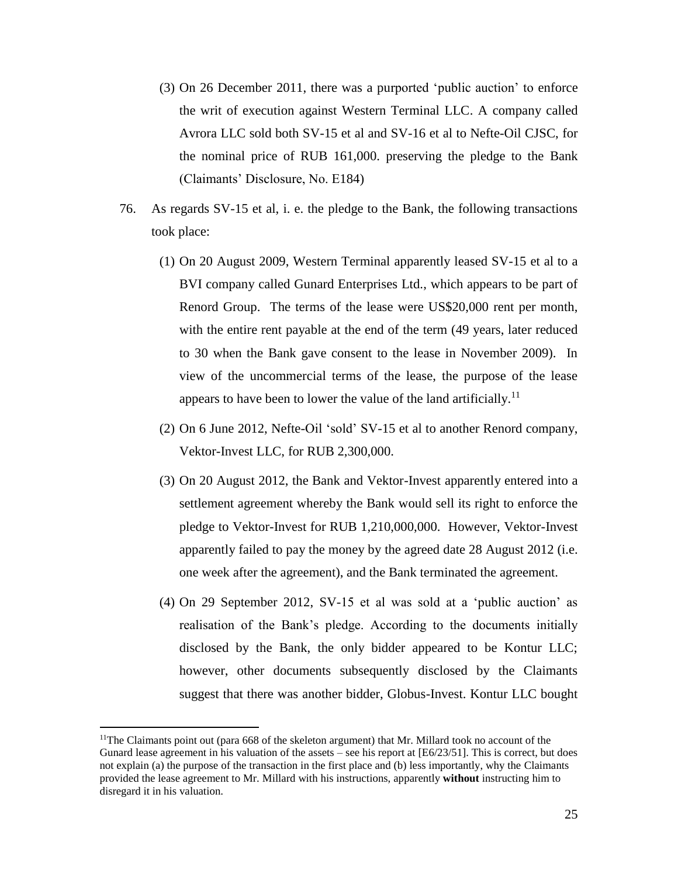- (3) On 26 December 2011, there was a purported 'public auction' to enforce the writ of execution against Western Terminal LLC. A company called Avrora LLC sold both SV-15 et al and SV-16 et al to Nefte-Oil CJSC, for the nominal price of RUB 161,000. preserving the pledge to the Bank (Claimants' Disclosure, No. E184)
- 76. As regards SV-15 et al, i. e. the pledge to the Bank, the following transactions took place:
	- (1) On 20 August 2009, Western Terminal apparently leased SV-15 et al to a BVI company called Gunard Enterprises Ltd., which appears to be part of Renord Group. The terms of the lease were US\$20,000 rent per month, with the entire rent payable at the end of the term (49 years, later reduced to 30 when the Bank gave consent to the lease in November 2009). In view of the uncommercial terms of the lease, the purpose of the lease appears to have been to lower the value of the land artificially.<sup>11</sup>
	- (2) On 6 June 2012, Nefte-Oil 'sold' SV-15 et al to another Renord company, Vektor-Invest LLC, for RUB 2,300,000.
	- (3) On 20 August 2012, the Bank and Vektor-Invest apparently entered into a settlement agreement whereby the Bank would sell its right to enforce the pledge to Vektor-Invest for RUB 1,210,000,000. However, Vektor-Invest apparently failed to pay the money by the agreed date 28 August 2012 (i.e. one week after the agreement), and the Bank terminated the agreement.
	- (4) On 29 September 2012, SV-15 et al was sold at a 'public auction' as realisation of the Bank's pledge. According to the documents initially disclosed by the Bank, the only bidder appeared to be Kontur LLC; however, other documents subsequently disclosed by the Claimants suggest that there was another bidder, Globus-Invest. Kontur LLC bought

<sup>&</sup>lt;sup>11</sup>The Claimants point out (para  $668$  of the skeleton argument) that Mr. Millard took no account of the Gunard lease agreement in his valuation of the assets – see his report at [E6/23/51]. This is correct, but does not explain (a) the purpose of the transaction in the first place and (b) less importantly, why the Claimants provided the lease agreement to Mr. Millard with his instructions, apparently **without** instructing him to disregard it in his valuation.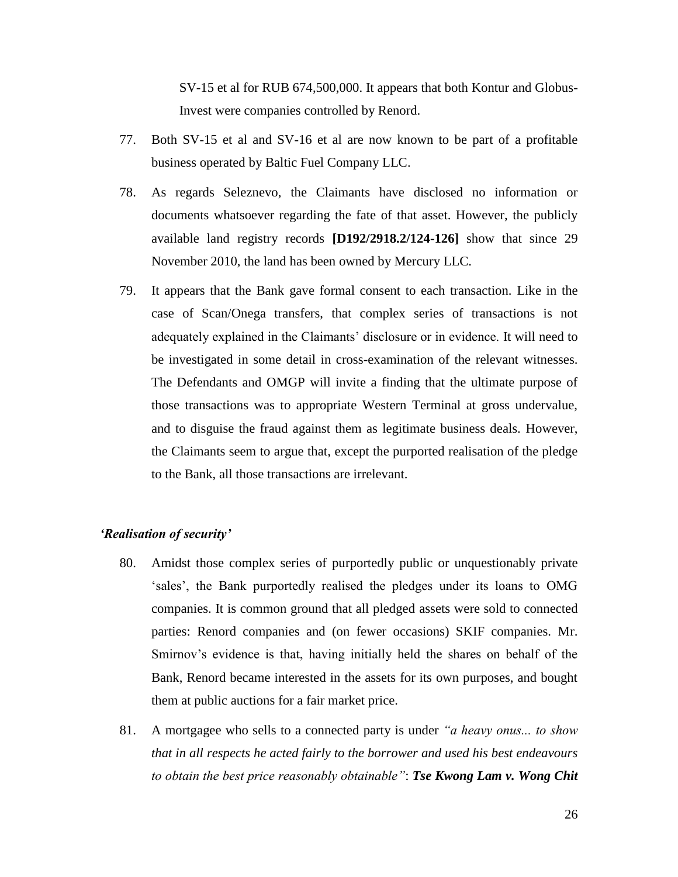SV-15 et al for RUB 674,500,000. It appears that both Kontur and Globus-Invest were companies controlled by Renord.

- 77. Both SV-15 et al and SV-16 et al are now known to be part of a profitable business operated by Baltic Fuel Company LLC.
- 78. As regards Seleznevo, the Claimants have disclosed no information or documents whatsoever regarding the fate of that asset. However, the publicly available land registry records **[D192/2918.2/124-126]** show that since 29 November 2010, the land has been owned by Mercury LLC.
- 79. It appears that the Bank gave formal consent to each transaction. Like in the case of Scan/Onega transfers, that complex series of transactions is not adequately explained in the Claimants' disclosure or in evidence. It will need to be investigated in some detail in cross-examination of the relevant witnesses. The Defendants and OMGP will invite a finding that the ultimate purpose of those transactions was to appropriate Western Terminal at gross undervalue, and to disguise the fraud against them as legitimate business deals. However, the Claimants seem to argue that, except the purported realisation of the pledge to the Bank, all those transactions are irrelevant.

# *'Realisation of security'*

- 80. Amidst those complex series of purportedly public or unquestionably private 'sales', the Bank purportedly realised the pledges under its loans to OMG companies. It is common ground that all pledged assets were sold to connected parties: Renord companies and (on fewer occasions) SKIF companies. Mr. Smirnov's evidence is that, having initially held the shares on behalf of the Bank, Renord became interested in the assets for its own purposes, and bought them at public auctions for a fair market price.
- 81. A mortgagee who sells to a connected party is under *"a heavy onus... to show that in all respects he acted fairly to the borrower and used his best endeavours to obtain the best price reasonably obtainable"*: *Tse Kwong Lam v. Wong Chit*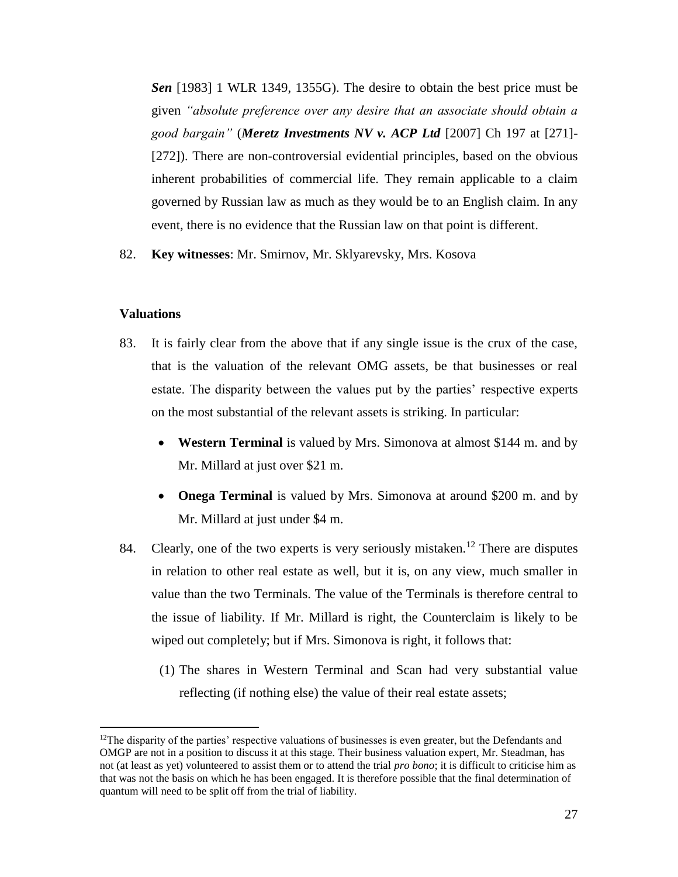*Sen* [1983] 1 WLR 1349, 1355G). The desire to obtain the best price must be given *"absolute preference over any desire that an associate should obtain a good bargain"* (*Meretz Investments NV v. ACP Ltd* [2007] Ch 197 at [271]- [272]). There are non-controversial evidential principles, based on the obvious inherent probabilities of commercial life. They remain applicable to a claim governed by Russian law as much as they would be to an English claim. In any event, there is no evidence that the Russian law on that point is different.

82. **Key witnesses**: Mr. Smirnov, Mr. Sklyarevsky, Mrs. Kosova

## **Valuations**

- 83. It is fairly clear from the above that if any single issue is the crux of the case, that is the valuation of the relevant OMG assets, be that businesses or real estate. The disparity between the values put by the parties' respective experts on the most substantial of the relevant assets is striking. In particular:
	- **Western Terminal** is valued by Mrs. Simonova at almost \$144 m. and by Mr. Millard at just over \$21 m.
	- **Onega Terminal** is valued by Mrs. Simonova at around \$200 m. and by Mr. Millard at just under \$4 m.
- 84. Clearly, one of the two experts is very seriously mistaken.<sup>12</sup> There are disputes in relation to other real estate as well, but it is, on any view, much smaller in value than the two Terminals. The value of the Terminals is therefore central to the issue of liability. If Mr. Millard is right, the Counterclaim is likely to be wiped out completely; but if Mrs. Simonova is right, it follows that:
	- (1) The shares in Western Terminal and Scan had very substantial value reflecting (if nothing else) the value of their real estate assets;

 $12$ The disparity of the parties' respective valuations of businesses is even greater, but the Defendants and OMGP are not in a position to discuss it at this stage. Their business valuation expert, Mr. Steadman, has not (at least as yet) volunteered to assist them or to attend the trial *pro bono*; it is difficult to criticise him as that was not the basis on which he has been engaged. It is therefore possible that the final determination of quantum will need to be split off from the trial of liability.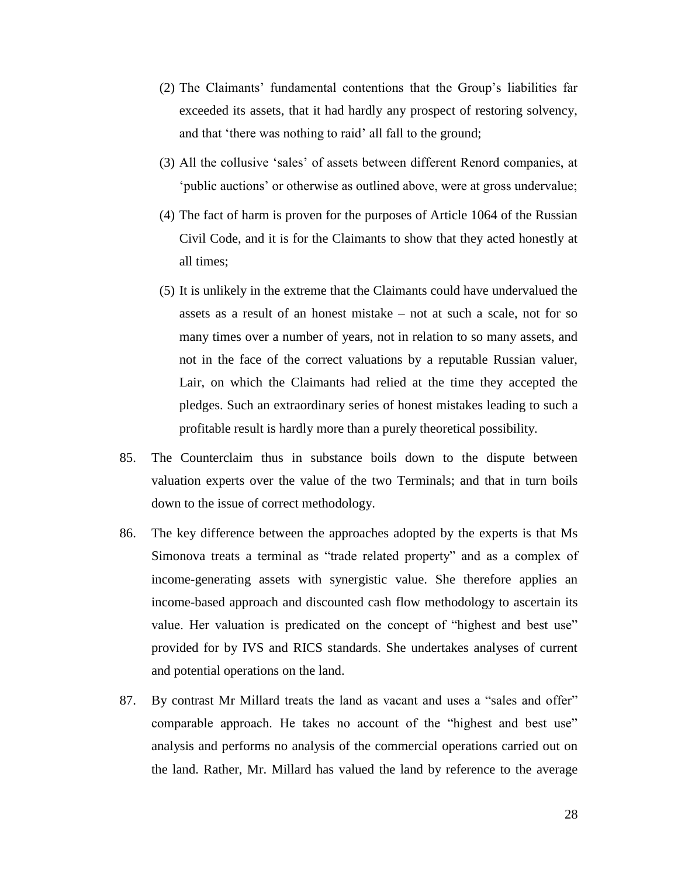- (2) The Claimants' fundamental contentions that the Group's liabilities far exceeded its assets, that it had hardly any prospect of restoring solvency, and that 'there was nothing to raid' all fall to the ground;
- (3) All the collusive 'sales' of assets between different Renord companies, at 'public auctions' or otherwise as outlined above, were at gross undervalue;
- (4) The fact of harm is proven for the purposes of Article 1064 of the Russian Civil Code, and it is for the Claimants to show that they acted honestly at all times;
- (5) It is unlikely in the extreme that the Claimants could have undervalued the assets as a result of an honest mistake – not at such a scale, not for so many times over a number of years, not in relation to so many assets, and not in the face of the correct valuations by a reputable Russian valuer, Lair, on which the Claimants had relied at the time they accepted the pledges. Such an extraordinary series of honest mistakes leading to such a profitable result is hardly more than a purely theoretical possibility.
- 85. The Counterclaim thus in substance boils down to the dispute between valuation experts over the value of the two Terminals; and that in turn boils down to the issue of correct methodology.
- 86. The key difference between the approaches adopted by the experts is that Ms Simonova treats a terminal as "trade related property" and as a complex of income-generating assets with synergistic value. She therefore applies an income-based approach and discounted cash flow methodology to ascertain its value. Her valuation is predicated on the concept of "highest and best use" provided for by IVS and RICS standards. She undertakes analyses of current and potential operations on the land.
- 87. By contrast Mr Millard treats the land as vacant and uses a "sales and offer" comparable approach. He takes no account of the "highest and best use" analysis and performs no analysis of the commercial operations carried out on the land. Rather, Mr. Millard has valued the land by reference to the average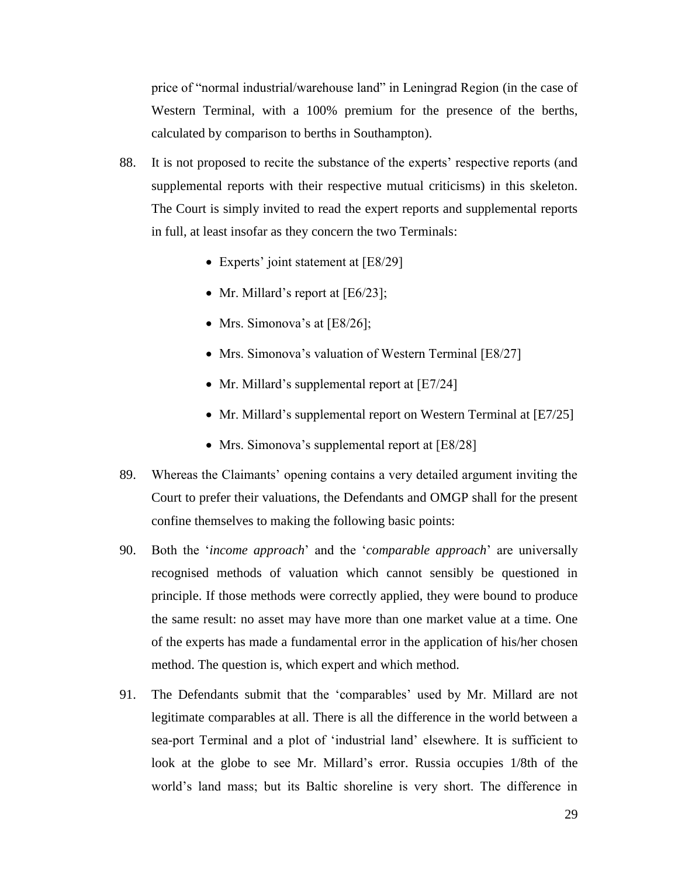price of "normal industrial/warehouse land" in Leningrad Region (in the case of Western Terminal, with a 100% premium for the presence of the berths, calculated by comparison to berths in Southampton).

- 88. It is not proposed to recite the substance of the experts' respective reports (and supplemental reports with their respective mutual criticisms) in this skeleton. The Court is simply invited to read the expert reports and supplemental reports in full, at least insofar as they concern the two Terminals:
	- Experts' joint statement at [E8/29]
	- Mr. Millard's report at  $[E6/23]$ ;
	- Mrs. Simonova's at [E8/26];
	- Mrs. Simonova's valuation of Western Terminal [E8/27]
	- Mr. Millard's supplemental report at  $[E7/24]$
	- Mr. Millard's supplemental report on Western Terminal at [E7/25]
	- Mrs. Simonova's supplemental report at [E8/28]
- 89. Whereas the Claimants' opening contains a very detailed argument inviting the Court to prefer their valuations, the Defendants and OMGP shall for the present confine themselves to making the following basic points:
- 90. Both the '*income approach*' and the '*comparable approach*' are universally recognised methods of valuation which cannot sensibly be questioned in principle. If those methods were correctly applied, they were bound to produce the same result: no asset may have more than one market value at a time. One of the experts has made a fundamental error in the application of his/her chosen method. The question is, which expert and which method.
- 91. The Defendants submit that the 'comparables' used by Mr. Millard are not legitimate comparables at all. There is all the difference in the world between a sea-port Terminal and a plot of 'industrial land' elsewhere. It is sufficient to look at the globe to see Mr. Millard's error. Russia occupies 1/8th of the world's land mass; but its Baltic shoreline is very short. The difference in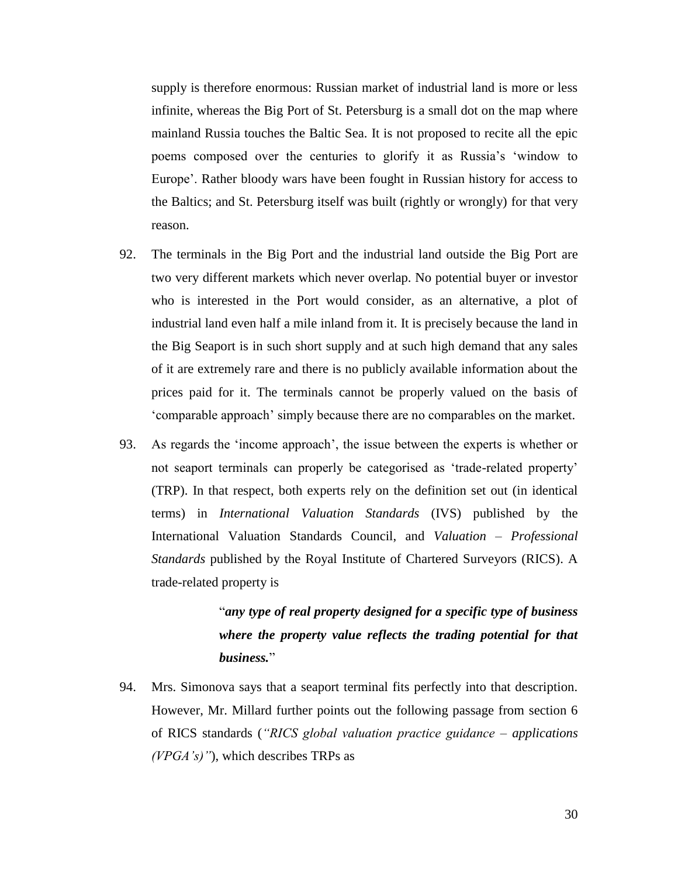supply is therefore enormous: Russian market of industrial land is more or less infinite, whereas the Big Port of St. Petersburg is a small dot on the map where mainland Russia touches the Baltic Sea. It is not proposed to recite all the epic poems composed over the centuries to glorify it as Russia's 'window to Europe'. Rather bloody wars have been fought in Russian history for access to the Baltics; and St. Petersburg itself was built (rightly or wrongly) for that very reason.

- 92. The terminals in the Big Port and the industrial land outside the Big Port are two very different markets which never overlap. No potential buyer or investor who is interested in the Port would consider, as an alternative, a plot of industrial land even half a mile inland from it. It is precisely because the land in the Big Seaport is in such short supply and at such high demand that any sales of it are extremely rare and there is no publicly available information about the prices paid for it. The terminals cannot be properly valued on the basis of 'comparable approach' simply because there are no comparables on the market.
- 93. As regards the 'income approach', the issue between the experts is whether or not seaport terminals can properly be categorised as 'trade-related property' (TRP). In that respect, both experts rely on the definition set out (in identical terms) in *International Valuation Standards* (IVS) published by the International Valuation Standards Council, and *Valuation – Professional Standards* published by the Royal Institute of Chartered Surveyors (RICS). A trade-related property is

# "*any type of real property designed for a specific type of business where the property value reflects the trading potential for that business.*"

94. Mrs. Simonova says that a seaport terminal fits perfectly into that description. However, Mr. Millard further points out the following passage from section 6 of RICS standards (*"RICS global valuation practice guidance – applications (VPGA's)"*), which describes TRPs as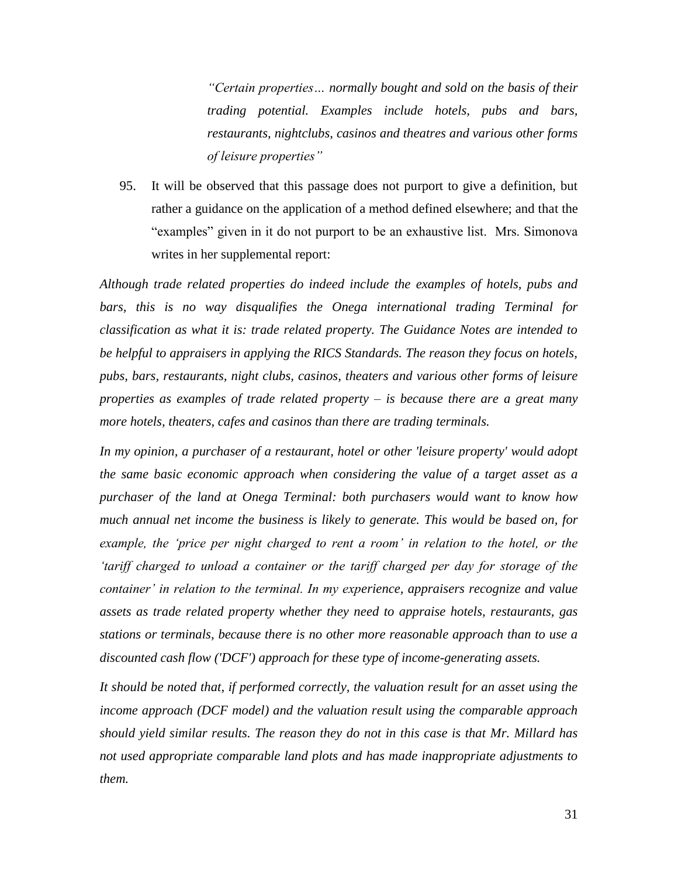*"Certain properties… normally bought and sold on the basis of their trading potential. Examples include hotels, pubs and bars, restaurants, nightclubs, casinos and theatres and various other forms of leisure properties"*

95. It will be observed that this passage does not purport to give a definition, but rather a guidance on the application of a method defined elsewhere; and that the "examples" given in it do not purport to be an exhaustive list. Mrs. Simonova writes in her supplemental report:

*Although trade related properties do indeed include the examples of hotels, pubs and bars, this is no way disqualifies the Onega international trading Terminal for classification as what it is: trade related property. The Guidance Notes are intended to be helpful to appraisers in applying the RICS Standards. The reason they focus on hotels, pubs, bars, restaurants, night clubs, casinos, theaters and various other forms of leisure properties as examples of trade related property – is because there are a great many more hotels, theaters, cafes and casinos than there are trading terminals.* 

*In my opinion, a purchaser of a restaurant, hotel or other 'leisure property' would adopt the same basic economic approach when considering the value of a target asset as a purchaser of the land at Onega Terminal: both purchasers would want to know how much annual net income the business is likely to generate. This would be based on, for example, the 'price per night charged to rent a room' in relation to the hotel, or the tariff charged to unload a container or the tariff charged per day for storage of the container' in relation to the terminal. In my experience, appraisers recognize and value assets as trade related property whether they need to appraise hotels, restaurants, gas stations or terminals, because there is no other more reasonable approach than to use a discounted cash flow ('DCF') approach for these type of income-generating assets.*

*It should be noted that, if performed correctly, the valuation result for an asset using the income approach (DCF model) and the valuation result using the comparable approach should yield similar results. The reason they do not in this case is that Mr. Millard has not used appropriate comparable land plots and has made inappropriate adjustments to them.*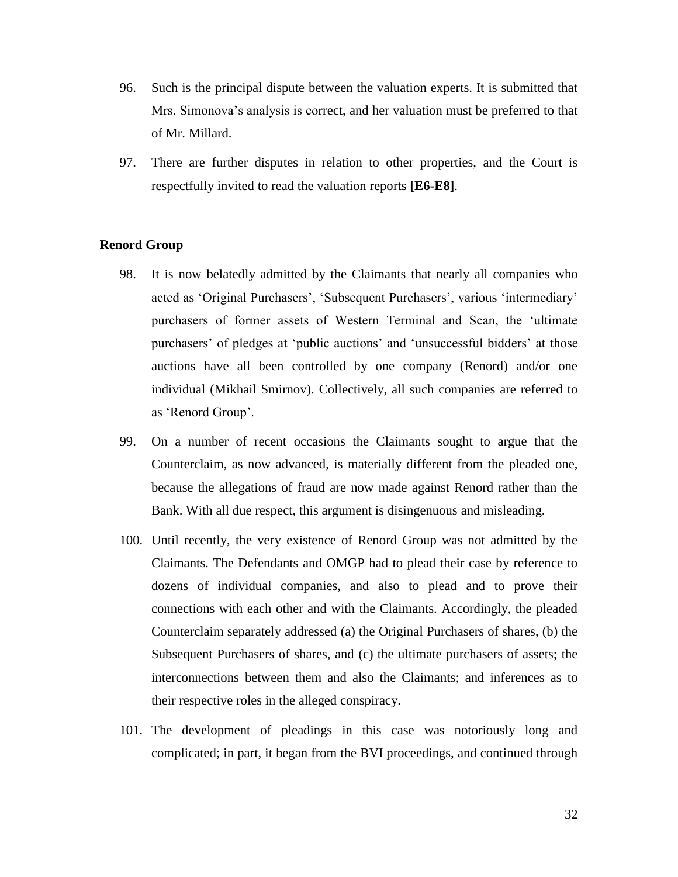- 96. Such is the principal dispute between the valuation experts. It is submitted that Mrs. Simonova's analysis is correct, and her valuation must be preferred to that of Mr. Millard.
- 97. There are further disputes in relation to other properties, and the Court is respectfully invited to read the valuation reports **[E6-E8]**.

#### **Renord Group**

- 98. It is now belatedly admitted by the Claimants that nearly all companies who acted as 'Original Purchasers', 'Subsequent Purchasers', various 'intermediary' purchasers of former assets of Western Terminal and Scan, the 'ultimate purchasers' of pledges at 'public auctions' and 'unsuccessful bidders' at those auctions have all been controlled by one company (Renord) and/or one individual (Mikhail Smirnov). Collectively, all such companies are referred to as 'Renord Group'.
- 99. On a number of recent occasions the Claimants sought to argue that the Counterclaim, as now advanced, is materially different from the pleaded one, because the allegations of fraud are now made against Renord rather than the Bank. With all due respect, this argument is disingenuous and misleading.
- 100. Until recently, the very existence of Renord Group was not admitted by the Claimants. The Defendants and OMGP had to plead their case by reference to dozens of individual companies, and also to plead and to prove their connections with each other and with the Claimants. Accordingly, the pleaded Counterclaim separately addressed (a) the Original Purchasers of shares, (b) the Subsequent Purchasers of shares, and (c) the ultimate purchasers of assets; the interconnections between them and also the Claimants; and inferences as to their respective roles in the alleged conspiracy.
- 101. The development of pleadings in this case was notoriously long and complicated; in part, it began from the BVI proceedings, and continued through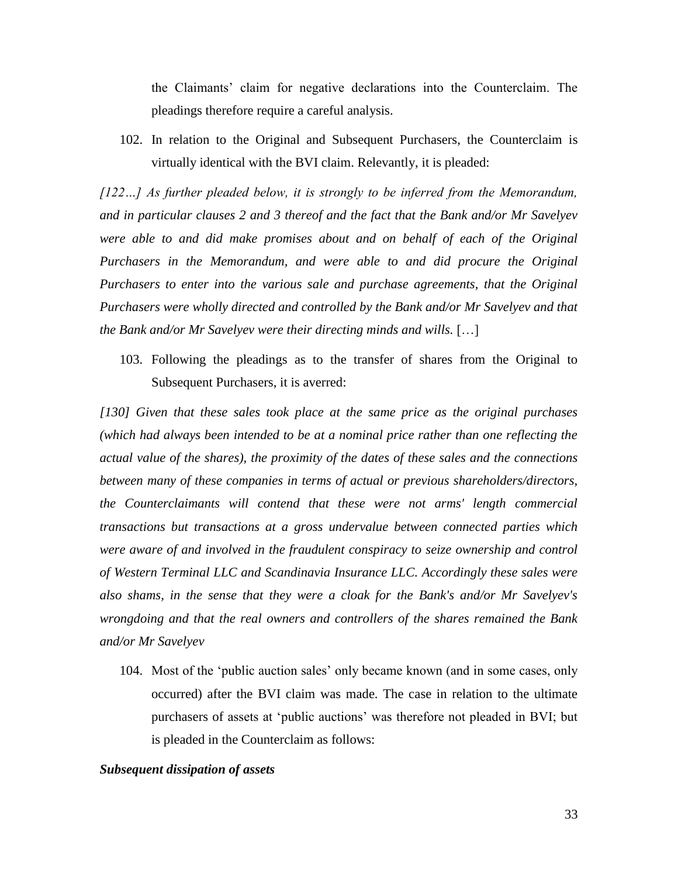the Claimants' claim for negative declarations into the Counterclaim. The pleadings therefore require a careful analysis.

102. In relation to the Original and Subsequent Purchasers, the Counterclaim is virtually identical with the BVI claim. Relevantly, it is pleaded:

*[122…] As further pleaded below, it is strongly to be inferred from the Memorandum, and in particular clauses 2 and 3 thereof and the fact that the Bank and/or Mr Savelyev were able to and did make promises about and on behalf of each of the Original Purchasers in the Memorandum, and were able to and did procure the Original Purchasers to enter into the various sale and purchase agreements, that the Original Purchasers were wholly directed and controlled by the Bank and/or Mr Savelyev and that the Bank and/or Mr Savelyev were their directing minds and wills.* […]

103. Following the pleadings as to the transfer of shares from the Original to Subsequent Purchasers, it is averred:

*[130] Given that these sales took place at the same price as the original purchases (which had always been intended to be at a nominal price rather than one reflecting the actual value of the shares), the proximity of the dates of these sales and the connections between many of these companies in terms of actual or previous shareholders/directors, the Counterclaimants will contend that these were not arms' length commercial transactions but transactions at a gross undervalue between connected parties which were aware of and involved in the fraudulent conspiracy to seize ownership and control of Western Terminal LLC and Scandinavia Insurance LLC. Accordingly these sales were also shams, in the sense that they were a cloak for the Bank's and/or Mr Savelyev's wrongdoing and that the real owners and controllers of the shares remained the Bank and/or Mr Savelyev*

104. Most of the 'public auction sales' only became known (and in some cases, only occurred) after the BVI claim was made. The case in relation to the ultimate purchasers of assets at 'public auctions' was therefore not pleaded in BVI; but is pleaded in the Counterclaim as follows:

# *Subsequent dissipation of assets*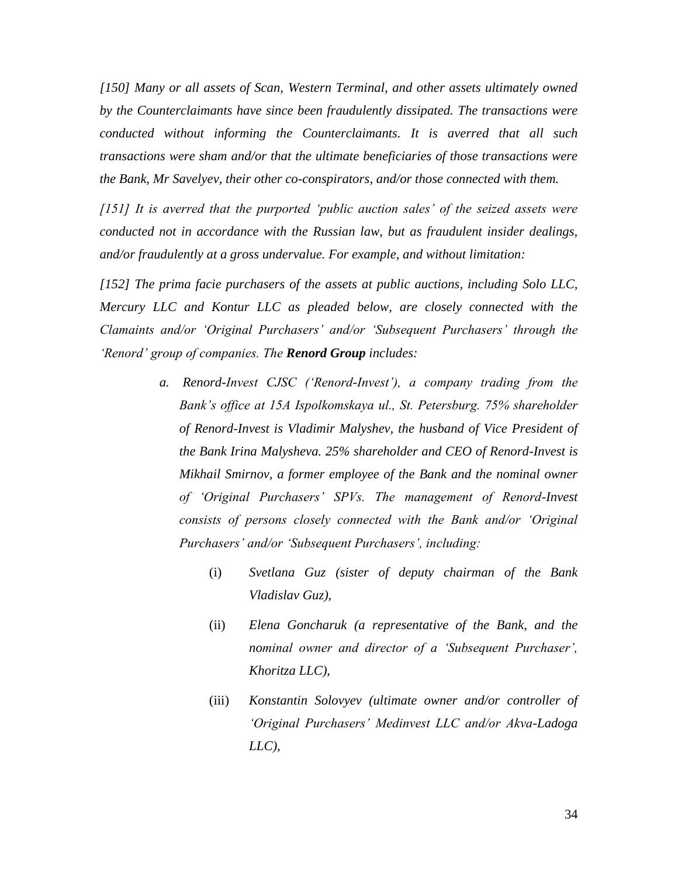*[150] Many or all assets of Scan, Western Terminal, and other assets ultimately owned by the Counterclaimants have since been fraudulently dissipated. The transactions were conducted without informing the Counterclaimants. It is averred that all such transactions were sham and/or that the ultimate beneficiaries of those transactions were the Bank, Mr Savelyev, their other co-conspirators, and/or those connected with them.* 

*[151] It is averred that the purported 'public auction sales' of the seized assets were conducted not in accordance with the Russian law, but as fraudulent insider dealings, and/or fraudulently at a gross undervalue. For example, and without limitation:*

*[152] The prima facie purchasers of the assets at public auctions, including Solo LLC, Mercury LLC and Kontur LLC as pleaded below, are closely connected with the Clamaints and/or 'Original Purchasers' and/or 'Subsequent Purchasers' through the 'Renord' group of companies. The Renord Group includes:* 

- *a. Renord-Invest CJSC ('Renord-Invest'), a company trading from the Bank's office at 15A Ispolkomskaya ul., St. Petersburg. 75% shareholder of Renord-Invest is Vladimir Malyshev, the husband of Vice President of the Bank Irina Malysheva. 25% shareholder and CEO of Renord-Invest is Mikhail Smirnov, a former employee of the Bank and the nominal owner of 'Original Purchasers' SPVs. The management of Renord-Invest consists of persons closely connected with the Bank and/or 'Original Purchasers' and/or 'Subsequent Purchasers', including:* 
	- (i) *Svetlana Guz (sister of deputy chairman of the Bank Vladislav Guz),*
	- (ii) *Elena Goncharuk (a representative of the Bank, and the nominal owner and director of a 'Subsequent Purchaser', Khoritza LLC),*
	- (iii) *Konstantin Solovyev (ultimate owner and/or controller of 'Original Purchasers' Medinvest LLC and/or Akva-Ladoga LLC),*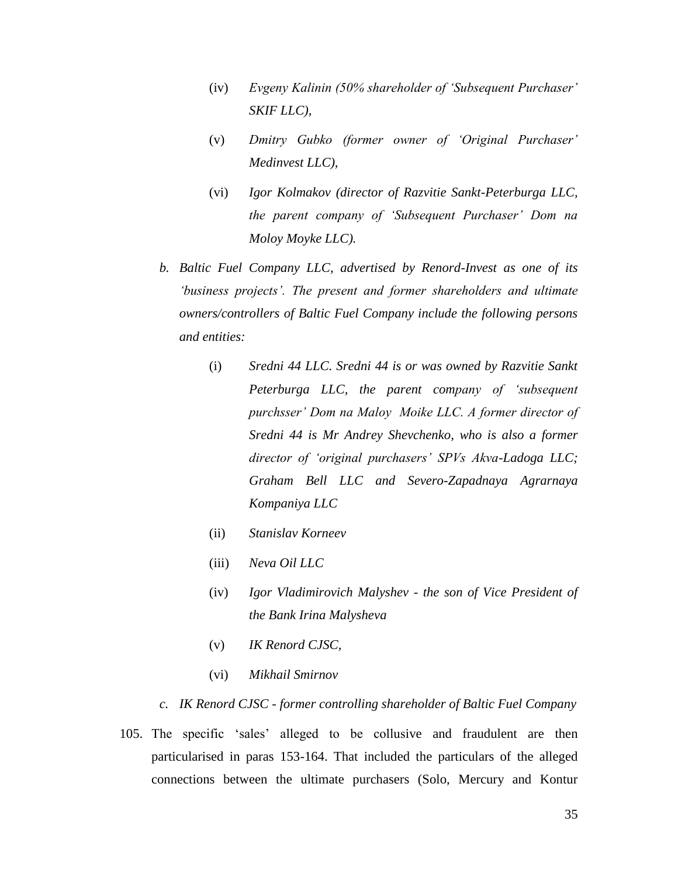- (iv) *Evgeny Kalinin (50% shareholder of 'Subsequent Purchaser' SKIF LLC),*
- (v) *Dmitry Gubko (former owner of 'Original Purchaser' Medinvest LLC),*
- (vi) *Igor Kolmakov (director of Razvitie Sankt-Peterburga LLC, the parent company of 'Subsequent Purchaser' Dom na Moloy Moyke LLC).*
- *b. Baltic Fuel Company LLC, advertised by Renord-Invest as one of its 'business projects'. The present and former shareholders and ultimate owners/controllers of Baltic Fuel Company include the following persons and entities:* 
	- (i) *Sredni 44 LLC. Sredni 44 is or was owned by Razvitie Sankt Peterburga LLC, the parent company of 'subsequent purchsser' Dom na Maloy Moike LLC. A former director of Sredni 44 is Mr Andrey Shevchenko, who is also a former director of 'original purchasers' SPVs Akva-Ladoga LLC; Graham Bell LLC and Severo-Zapadnaya Agrarnaya Kompaniya LLC*
	- (ii) *Stanislav Korneev*
	- (iii) *Neva Oil LLC*
	- (iv) *Igor Vladimirovich Malyshev - the son of Vice President of the Bank Irina Malysheva*
	- (v) *IK Renord CJSC,*
	- (vi) *Mikhail Smirnov*
- *c. IK Renord CJSC - former controlling shareholder of Baltic Fuel Company*
- 105. The specific 'sales' alleged to be collusive and fraudulent are then particularised in paras 153-164. That included the particulars of the alleged connections between the ultimate purchasers (Solo, Mercury and Kontur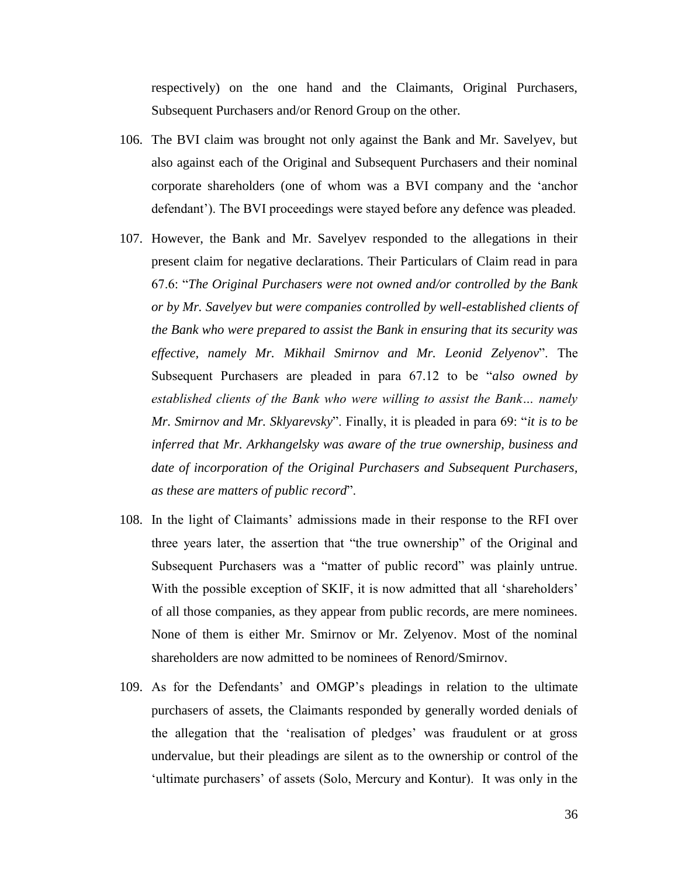respectively) on the one hand and the Claimants, Original Purchasers, Subsequent Purchasers and/or Renord Group on the other.

- 106. The BVI claim was brought not only against the Bank and Mr. Savelyev, but also against each of the Original and Subsequent Purchasers and their nominal corporate shareholders (one of whom was a BVI company and the 'anchor defendant'). The BVI proceedings were stayed before any defence was pleaded.
- 107. However, the Bank and Mr. Savelyev responded to the allegations in their present claim for negative declarations. Their Particulars of Claim read in para 67.6: "*The Original Purchasers were not owned and/or controlled by the Bank or by Mr. Savelyev but were companies controlled by well-established clients of the Bank who were prepared to assist the Bank in ensuring that its security was effective, namely Mr. Mikhail Smirnov and Mr. Leonid Zelyenov*". The Subsequent Purchasers are pleaded in para 67.12 to be "*also owned by established clients of the Bank who were willing to assist the Bank… namely Mr. Smirnov and Mr. Sklyarevsky*". Finally, it is pleaded in para 69: "*it is to be inferred that Mr. Arkhangelsky was aware of the true ownership, business and date of incorporation of the Original Purchasers and Subsequent Purchasers, as these are matters of public record*".
- 108. In the light of Claimants' admissions made in their response to the RFI over three years later, the assertion that "the true ownership" of the Original and Subsequent Purchasers was a "matter of public record" was plainly untrue. With the possible exception of SKIF, it is now admitted that all 'shareholders' of all those companies, as they appear from public records, are mere nominees. None of them is either Mr. Smirnov or Mr. Zelyenov. Most of the nominal shareholders are now admitted to be nominees of Renord/Smirnov.
- 109. As for the Defendants' and OMGP's pleadings in relation to the ultimate purchasers of assets, the Claimants responded by generally worded denials of the allegation that the 'realisation of pledges' was fraudulent or at gross undervalue, but their pleadings are silent as to the ownership or control of the 'ultimate purchasers' of assets (Solo, Mercury and Kontur). It was only in the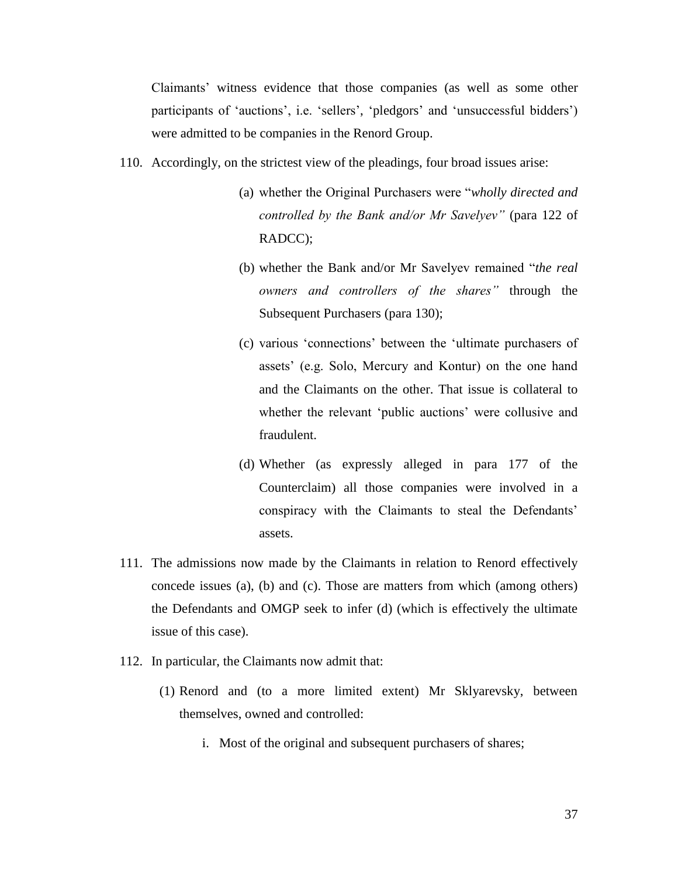Claimants' witness evidence that those companies (as well as some other participants of 'auctions', i.e. 'sellers', 'pledgors' and 'unsuccessful bidders') were admitted to be companies in the Renord Group.

- 110. Accordingly, on the strictest view of the pleadings, four broad issues arise:
	- (a) whether the Original Purchasers were "*wholly directed and controlled by the Bank and/or Mr Savelyev"* (para 122 of RADCC);
	- (b) whether the Bank and/or Mr Savelyev remained "*the real owners and controllers of the shares"* through the Subsequent Purchasers (para 130);
	- (c) various 'connections' between the 'ultimate purchasers of assets' (e.g. Solo, Mercury and Kontur) on the one hand and the Claimants on the other. That issue is collateral to whether the relevant 'public auctions' were collusive and fraudulent.
	- (d) Whether (as expressly alleged in para 177 of the Counterclaim) all those companies were involved in a conspiracy with the Claimants to steal the Defendants' assets.
- 111. The admissions now made by the Claimants in relation to Renord effectively concede issues (a), (b) and (c). Those are matters from which (among others) the Defendants and OMGP seek to infer (d) (which is effectively the ultimate issue of this case).
- 112. In particular, the Claimants now admit that:
	- (1) Renord and (to a more limited extent) Mr Sklyarevsky, between themselves, owned and controlled:
		- i. Most of the original and subsequent purchasers of shares;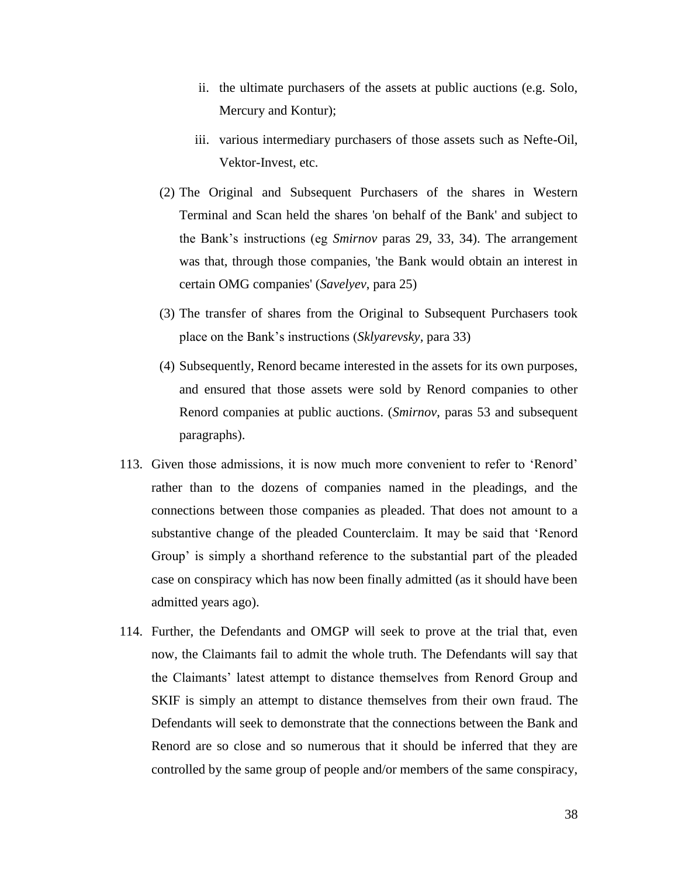- ii. the ultimate purchasers of the assets at public auctions (e.g. Solo, Mercury and Kontur);
- iii. various intermediary purchasers of those assets such as Nefte-Oil, Vektor-Invest, etc.
- (2) The Original and Subsequent Purchasers of the shares in Western Terminal and Scan held the shares 'on behalf of the Bank' and subject to the Bank's instructions (eg *Smirnov* paras 29, 33, 34). The arrangement was that, through those companies, 'the Bank would obtain an interest in certain OMG companies' (*Savelyev*, para 25)
- (3) The transfer of shares from the Original to Subsequent Purchasers took place on the Bank's instructions (*Sklyarevsky,* para 33)
- (4) Subsequently, Renord became interested in the assets for its own purposes, and ensured that those assets were sold by Renord companies to other Renord companies at public auctions. (*Smirnov*, paras 53 and subsequent paragraphs).
- 113. Given those admissions, it is now much more convenient to refer to 'Renord' rather than to the dozens of companies named in the pleadings, and the connections between those companies as pleaded. That does not amount to a substantive change of the pleaded Counterclaim. It may be said that 'Renord Group' is simply a shorthand reference to the substantial part of the pleaded case on conspiracy which has now been finally admitted (as it should have been admitted years ago).
- 114. Further, the Defendants and OMGP will seek to prove at the trial that, even now, the Claimants fail to admit the whole truth. The Defendants will say that the Claimants' latest attempt to distance themselves from Renord Group and SKIF is simply an attempt to distance themselves from their own fraud. The Defendants will seek to demonstrate that the connections between the Bank and Renord are so close and so numerous that it should be inferred that they are controlled by the same group of people and/or members of the same conspiracy,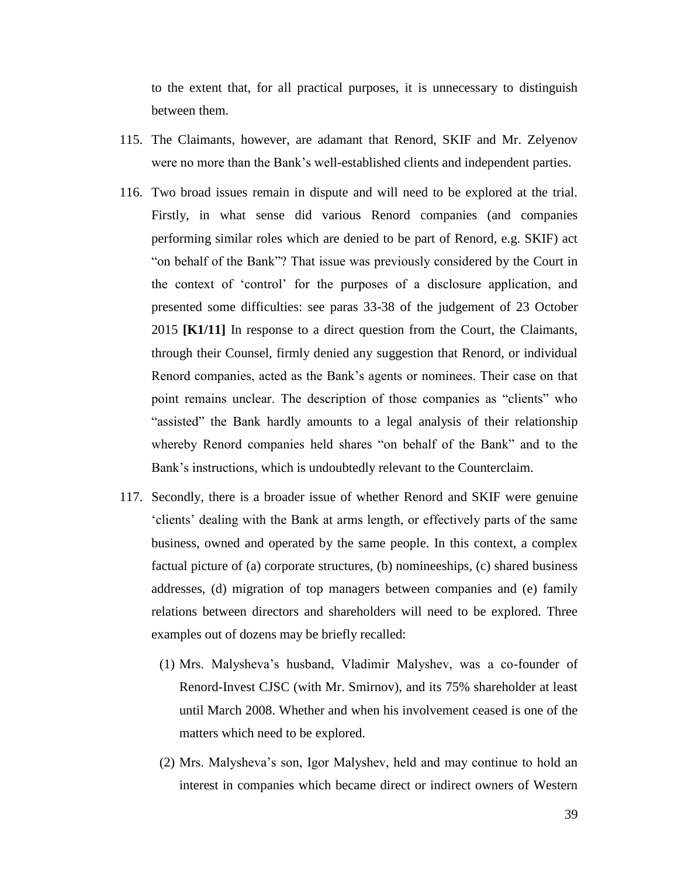to the extent that, for all practical purposes, it is unnecessary to distinguish between them.

- 115. The Claimants, however, are adamant that Renord, SKIF and Mr. Zelyenov were no more than the Bank's well-established clients and independent parties.
- 116. Two broad issues remain in dispute and will need to be explored at the trial. Firstly, in what sense did various Renord companies (and companies performing similar roles which are denied to be part of Renord, e.g. SKIF) act "on behalf of the Bank"? That issue was previously considered by the Court in the context of 'control' for the purposes of a disclosure application, and presented some difficulties: see paras 33-38 of the judgement of 23 October 2015 **[K1/11]** In response to a direct question from the Court, the Claimants, through their Counsel, firmly denied any suggestion that Renord, or individual Renord companies, acted as the Bank's agents or nominees. Their case on that point remains unclear. The description of those companies as "clients" who "assisted" the Bank hardly amounts to a legal analysis of their relationship whereby Renord companies held shares "on behalf of the Bank" and to the Bank's instructions, which is undoubtedly relevant to the Counterclaim.
- 117. Secondly, there is a broader issue of whether Renord and SKIF were genuine 'clients' dealing with the Bank at arms length, or effectively parts of the same business, owned and operated by the same people. In this context, a complex factual picture of (a) corporate structures, (b) nomineeships, (c) shared business addresses, (d) migration of top managers between companies and (e) family relations between directors and shareholders will need to be explored. Three examples out of dozens may be briefly recalled:
	- (1) Mrs. Malysheva's husband, Vladimir Malyshev, was a co-founder of Renord-Invest CJSC (with Mr. Smirnov), and its 75% shareholder at least until March 2008. Whether and when his involvement ceased is one of the matters which need to be explored.
	- (2) Mrs. Malysheva's son, Igor Malyshev, held and may continue to hold an interest in companies which became direct or indirect owners of Western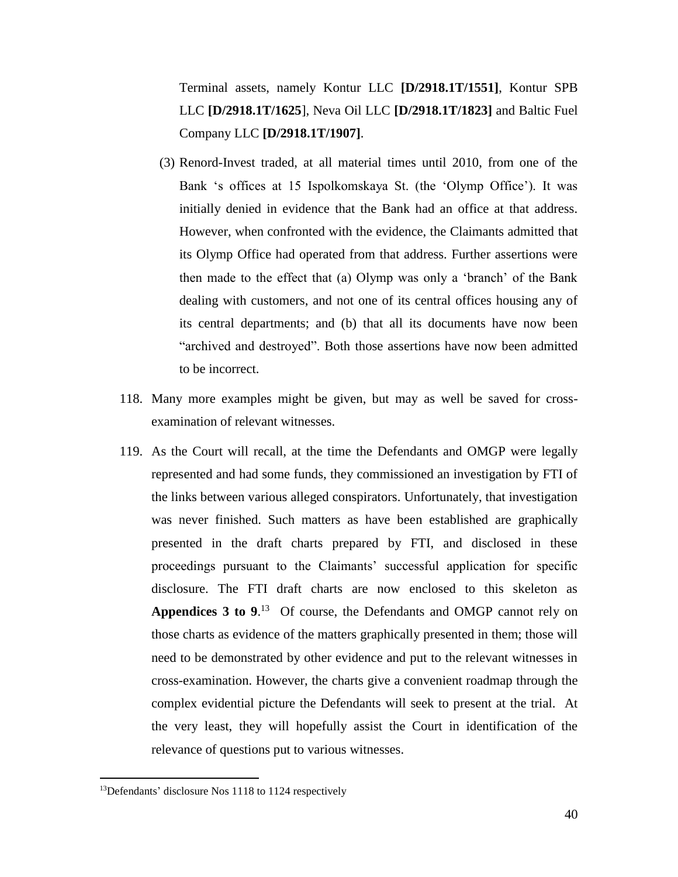Terminal assets, namely Kontur LLC **[D/2918.1T/1551]**, Kontur SPB LLC **[D/2918.1T/1625**], Neva Oil LLC **[D/2918.1T/1823]** and Baltic Fuel Company LLC **[D/2918.1T/1907]**.

- (3) Renord-Invest traded, at all material times until 2010, from one of the Bank 's offices at 15 Ispolkomskaya St. (the 'Olymp Office'). It was initially denied in evidence that the Bank had an office at that address. However, when confronted with the evidence, the Claimants admitted that its Olymp Office had operated from that address. Further assertions were then made to the effect that (a) Olymp was only a 'branch' of the Bank dealing with customers, and not one of its central offices housing any of its central departments; and (b) that all its documents have now been "archived and destroyed". Both those assertions have now been admitted to be incorrect.
- 118. Many more examples might be given, but may as well be saved for crossexamination of relevant witnesses.
- 119. As the Court will recall, at the time the Defendants and OMGP were legally represented and had some funds, they commissioned an investigation by FTI of the links between various alleged conspirators. Unfortunately, that investigation was never finished. Such matters as have been established are graphically presented in the draft charts prepared by FTI, and disclosed in these proceedings pursuant to the Claimants' successful application for specific disclosure. The FTI draft charts are now enclosed to this skeleton as **Appendices 3 to 9**. 13 Of course, the Defendants and OMGP cannot rely on those charts as evidence of the matters graphically presented in them; those will need to be demonstrated by other evidence and put to the relevant witnesses in cross-examination. However, the charts give a convenient roadmap through the complex evidential picture the Defendants will seek to present at the trial. At the very least, they will hopefully assist the Court in identification of the relevance of questions put to various witnesses.

 $\overline{a}$ 

<sup>&</sup>lt;sup>13</sup>Defendants' disclosure Nos 1118 to 1124 respectively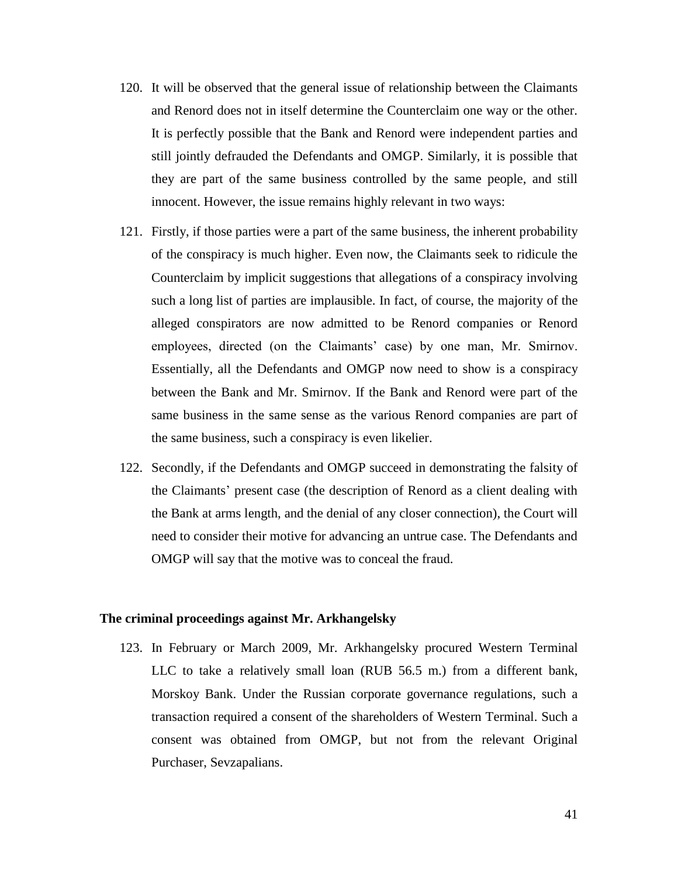- 120. It will be observed that the general issue of relationship between the Claimants and Renord does not in itself determine the Counterclaim one way or the other. It is perfectly possible that the Bank and Renord were independent parties and still jointly defrauded the Defendants and OMGP. Similarly, it is possible that they are part of the same business controlled by the same people, and still innocent. However, the issue remains highly relevant in two ways:
- 121. Firstly, if those parties were a part of the same business, the inherent probability of the conspiracy is much higher. Even now, the Claimants seek to ridicule the Counterclaim by implicit suggestions that allegations of a conspiracy involving such a long list of parties are implausible. In fact, of course, the majority of the alleged conspirators are now admitted to be Renord companies or Renord employees, directed (on the Claimants' case) by one man, Mr. Smirnov. Essentially, all the Defendants and OMGP now need to show is a conspiracy between the Bank and Mr. Smirnov. If the Bank and Renord were part of the same business in the same sense as the various Renord companies are part of the same business, such a conspiracy is even likelier.
- 122. Secondly, if the Defendants and OMGP succeed in demonstrating the falsity of the Claimants' present case (the description of Renord as a client dealing with the Bank at arms length, and the denial of any closer connection), the Court will need to consider their motive for advancing an untrue case. The Defendants and OMGP will say that the motive was to conceal the fraud.

#### **The criminal proceedings against Mr. Arkhangelsky**

123. In February or March 2009, Mr. Arkhangelsky procured Western Terminal LLC to take a relatively small loan (RUB 56.5 m.) from a different bank, Morskoy Bank. Under the Russian corporate governance regulations, such a transaction required a consent of the shareholders of Western Terminal. Such a consent was obtained from OMGP, but not from the relevant Original Purchaser, Sevzapalians.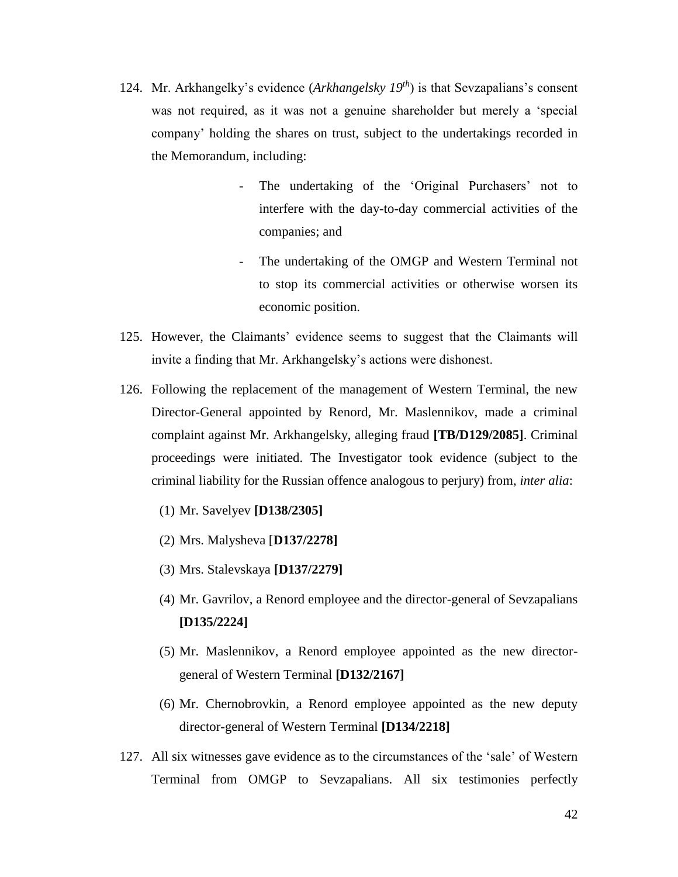- 124. Mr. Arkhangelky's evidence (*Arkhangelsky 19th*) is that Sevzapalians's consent was not required, as it was not a genuine shareholder but merely a 'special company' holding the shares on trust, subject to the undertakings recorded in the Memorandum, including:
	- The undertaking of the 'Original Purchasers' not to interfere with the day-to-day commercial activities of the companies; and
	- The undertaking of the OMGP and Western Terminal not to stop its commercial activities or otherwise worsen its economic position.
- 125. However, the Claimants' evidence seems to suggest that the Claimants will invite a finding that Mr. Arkhangelsky's actions were dishonest.
- 126. Following the replacement of the management of Western Terminal, the new Director-General appointed by Renord, Mr. Maslennikov, made a criminal complaint against Mr. Arkhangelsky, alleging fraud **[TB/D129/2085]**. Criminal proceedings were initiated. The Investigator took evidence (subject to the criminal liability for the Russian offence analogous to perjury) from, *inter alia*:
	- (1) Mr. Savelyev **[D138/2305]**
	- (2) Mrs. Malysheva [**D137/2278]**
	- (3) Mrs. Stalevskaya **[D137/2279]**
	- (4) Mr. Gavrilov, a Renord employee and the director-general of Sevzapalians **[D135/2224]**
	- (5) Mr. Maslennikov, a Renord employee appointed as the new directorgeneral of Western Terminal **[D132/2167]**
	- (6) Mr. Chernobrovkin, a Renord employee appointed as the new deputy director-general of Western Terminal **[D134/2218]**
- 127. All six witnesses gave evidence as to the circumstances of the 'sale' of Western Terminal from OMGP to Sevzapalians. All six testimonies perfectly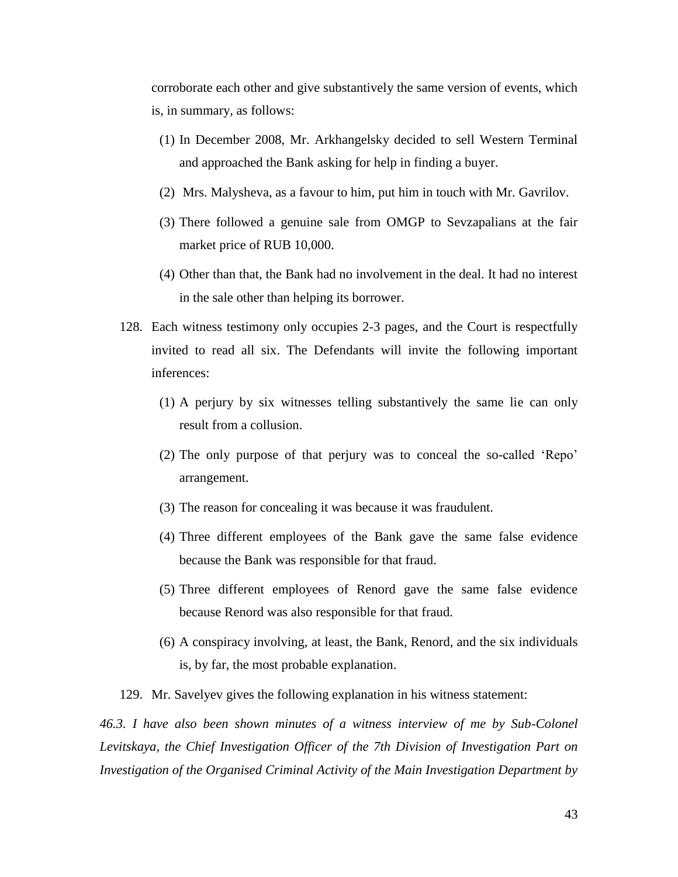corroborate each other and give substantively the same version of events, which is, in summary, as follows:

- (1) In December 2008, Mr. Arkhangelsky decided to sell Western Terminal and approached the Bank asking for help in finding a buyer.
- (2) Mrs. Malysheva, as a favour to him, put him in touch with Mr. Gavrilov.
- (3) There followed a genuine sale from OMGP to Sevzapalians at the fair market price of RUB 10,000.
- (4) Other than that, the Bank had no involvement in the deal. It had no interest in the sale other than helping its borrower.
- 128. Each witness testimony only occupies 2-3 pages, and the Court is respectfully invited to read all six. The Defendants will invite the following important inferences:
	- (1) A perjury by six witnesses telling substantively the same lie can only result from a collusion.
	- (2) The only purpose of that perjury was to conceal the so-called 'Repo' arrangement.
	- (3) The reason for concealing it was because it was fraudulent.
	- (4) Three different employees of the Bank gave the same false evidence because the Bank was responsible for that fraud.
	- (5) Three different employees of Renord gave the same false evidence because Renord was also responsible for that fraud.
	- (6) A conspiracy involving, at least, the Bank, Renord, and the six individuals is, by far, the most probable explanation.

129. Mr. Savelyev gives the following explanation in his witness statement:

*46.3. I have also been shown minutes of a witness interview of me by Sub-Colonel Levitskaya, the Chief Investigation Officer of the 7th Division of Investigation Part on Investigation of the Organised Criminal Activity of the Main Investigation Department by*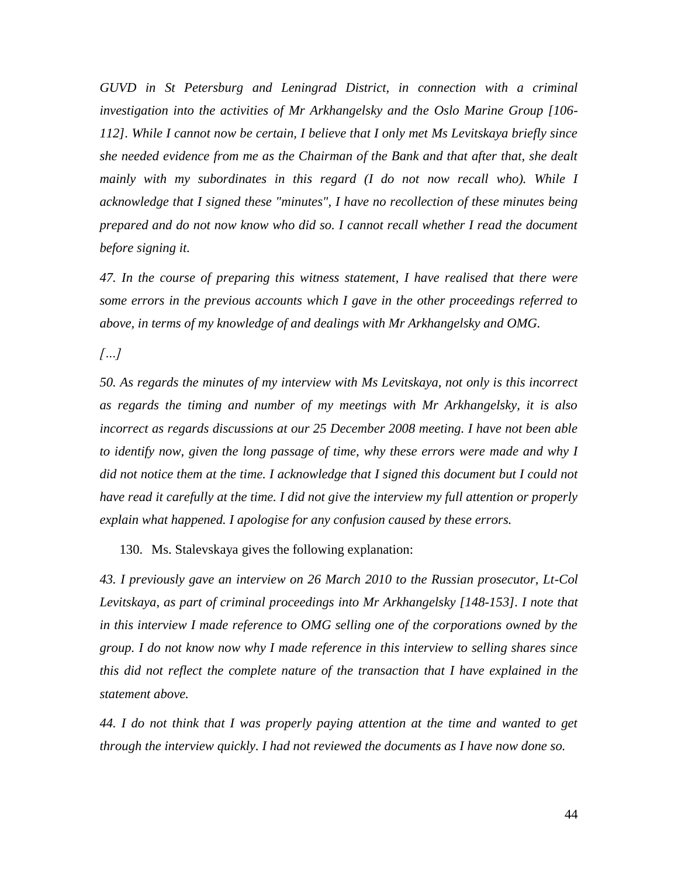*GUVD in St Petersburg and Leningrad District, in connection with a criminal investigation into the activities of Mr Arkhangelsky and the Oslo Marine Group [106- 112]. While I cannot now be certain, I believe that I only met Ms Levitskaya briefly since she needed evidence from me as the Chairman of the Bank and that after that, she dealt*  mainly with my subordinates in this regard (I do not now recall who). While I *acknowledge that I signed these "minutes", I have no recollection of these minutes being prepared and do not now know who did so. I cannot recall whether I read the document before signing it.* 

*47. In the course of preparing this witness statement, I have realised that there were some errors in the previous accounts which I gave in the other proceedings referred to above, in terms of my knowledge of and dealings with Mr Arkhangelsky and OMG.*

*[…]*

*50. As regards the minutes of my interview with Ms Levitskaya, not only is this incorrect as regards the timing and number of my meetings with Mr Arkhangelsky, it is also incorrect as regards discussions at our 25 December 2008 meeting. I have not been able to identify now, given the long passage of time, why these errors were made and why I*  did not notice them at the time. I acknowledge that I signed this document but I could not *have read it carefully at the time. I did not give the interview my full attention or properly explain what happened. I apologise for any confusion caused by these errors.*

130. Ms. Stalevskaya gives the following explanation:

*43. I previously gave an interview on 26 March 2010 to the Russian prosecutor, Lt-Col Levitskaya, as part of criminal proceedings into Mr Arkhangelsky [148-153]. I note that in this interview I made reference to OMG selling one of the corporations owned by the group. I do not know now why I made reference in this interview to selling shares since this did not reflect the complete nature of the transaction that I have explained in the statement above.* 

*44. I do not think that I was properly paying attention at the time and wanted to get through the interview quickly. I had not reviewed the documents as I have now done so.*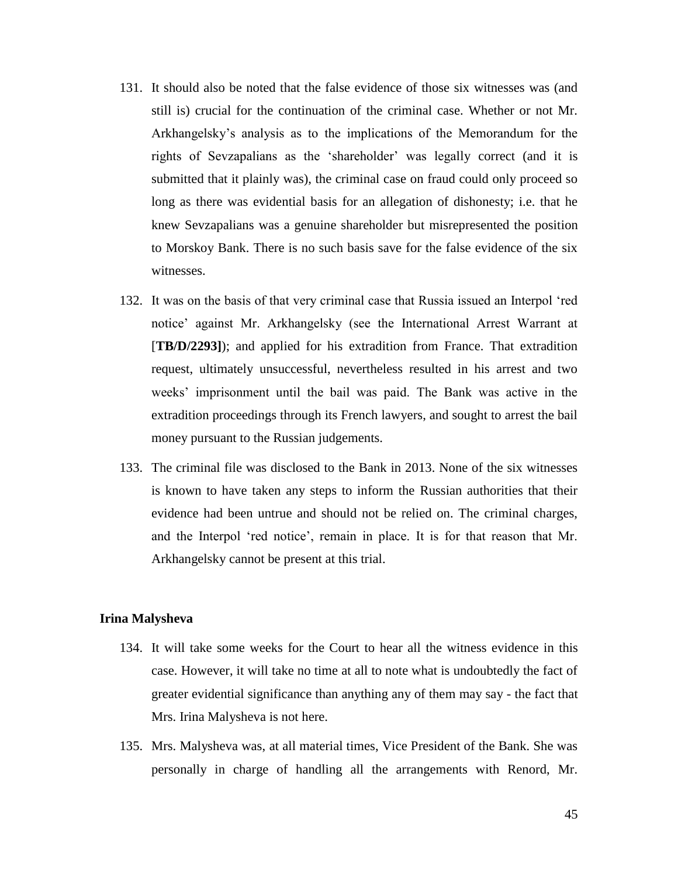- 131. It should also be noted that the false evidence of those six witnesses was (and still is) crucial for the continuation of the criminal case. Whether or not Mr. Arkhangelsky's analysis as to the implications of the Memorandum for the rights of Sevzapalians as the 'shareholder' was legally correct (and it is submitted that it plainly was), the criminal case on fraud could only proceed so long as there was evidential basis for an allegation of dishonesty; i.e. that he knew Sevzapalians was a genuine shareholder but misrepresented the position to Morskoy Bank. There is no such basis save for the false evidence of the six witnesses.
- 132. It was on the basis of that very criminal case that Russia issued an Interpol 'red notice' against Mr. Arkhangelsky (see the International Arrest Warrant at [**TB/D/2293]**); and applied for his extradition from France. That extradition request, ultimately unsuccessful, nevertheless resulted in his arrest and two weeks' imprisonment until the bail was paid. The Bank was active in the extradition proceedings through its French lawyers, and sought to arrest the bail money pursuant to the Russian judgements.
- 133. The criminal file was disclosed to the Bank in 2013. None of the six witnesses is known to have taken any steps to inform the Russian authorities that their evidence had been untrue and should not be relied on. The criminal charges, and the Interpol 'red notice', remain in place. It is for that reason that Mr. Arkhangelsky cannot be present at this trial.

#### **Irina Malysheva**

- 134. It will take some weeks for the Court to hear all the witness evidence in this case. However, it will take no time at all to note what is undoubtedly the fact of greater evidential significance than anything any of them may say - the fact that Mrs. Irina Malysheva is not here.
- 135. Mrs. Malysheva was, at all material times, Vice President of the Bank. She was personally in charge of handling all the arrangements with Renord, Mr.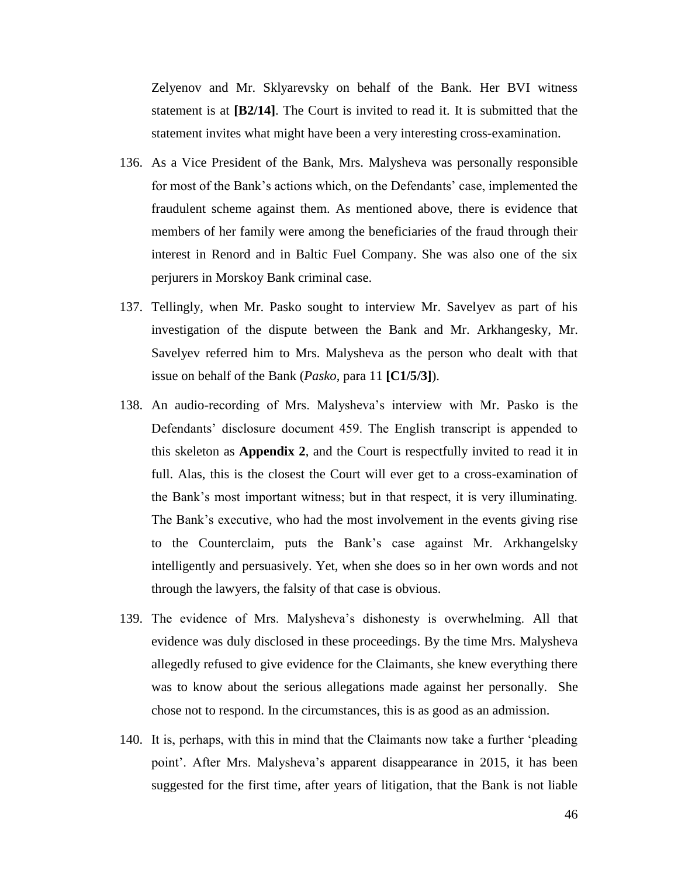Zelyenov and Mr. Sklyarevsky on behalf of the Bank. Her BVI witness statement is at **[B2/14]**. The Court is invited to read it. It is submitted that the statement invites what might have been a very interesting cross-examination.

- 136. As a Vice President of the Bank, Mrs. Malysheva was personally responsible for most of the Bank's actions which, on the Defendants' case, implemented the fraudulent scheme against them. As mentioned above, there is evidence that members of her family were among the beneficiaries of the fraud through their interest in Renord and in Baltic Fuel Company. She was also one of the six perjurers in Morskoy Bank criminal case.
- 137. Tellingly, when Mr. Pasko sought to interview Mr. Savelyev as part of his investigation of the dispute between the Bank and Mr. Arkhangesky, Mr. Savelyev referred him to Mrs. Malysheva as the person who dealt with that issue on behalf of the Bank (*Pasko*, para 11 **[C1/5/3]**).
- 138. An audio-recording of Mrs. Malysheva's interview with Mr. Pasko is the Defendants' disclosure document 459. The English transcript is appended to this skeleton as **Appendix 2**, and the Court is respectfully invited to read it in full. Alas, this is the closest the Court will ever get to a cross-examination of the Bank's most important witness; but in that respect, it is very illuminating. The Bank's executive, who had the most involvement in the events giving rise to the Counterclaim, puts the Bank's case against Mr. Arkhangelsky intelligently and persuasively. Yet, when she does so in her own words and not through the lawyers, the falsity of that case is obvious.
- 139. The evidence of Mrs. Malysheva's dishonesty is overwhelming. All that evidence was duly disclosed in these proceedings. By the time Mrs. Malysheva allegedly refused to give evidence for the Claimants, she knew everything there was to know about the serious allegations made against her personally. She chose not to respond. In the circumstances, this is as good as an admission.
- 140. It is, perhaps, with this in mind that the Claimants now take a further 'pleading point'. After Mrs. Malysheva's apparent disappearance in 2015, it has been suggested for the first time, after years of litigation, that the Bank is not liable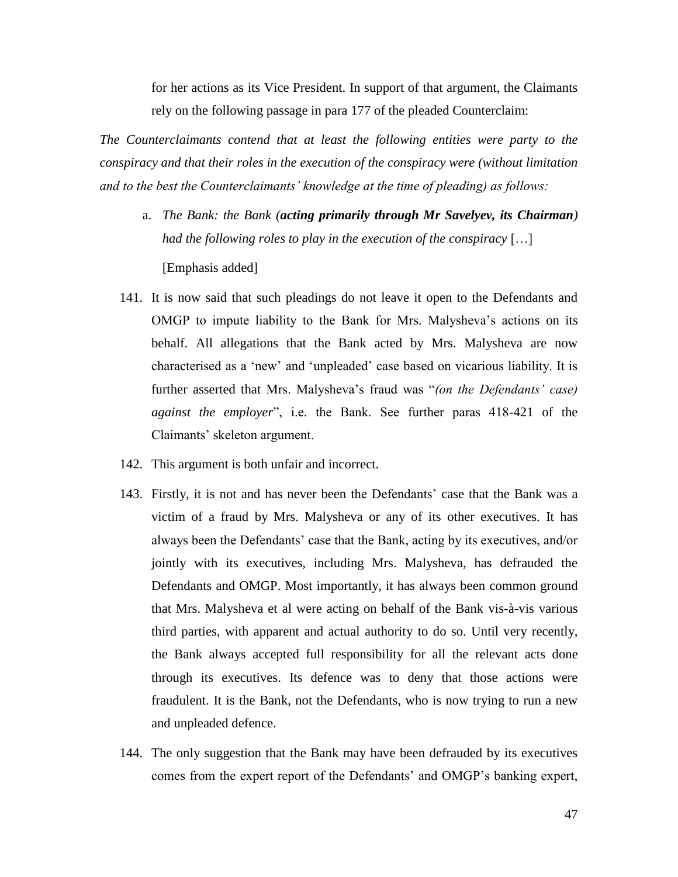for her actions as its Vice President. In support of that argument, the Claimants rely on the following passage in para 177 of the pleaded Counterclaim:

*The Counterclaimants contend that at least the following entities were party to the conspiracy and that their roles in the execution of the conspiracy were (without limitation and to the best the Counterclaimants' knowledge at the time of pleading) as follows:* 

a. *The Bank: the Bank (acting primarily through Mr Savelyev, its Chairman) had the following roles to play in the execution of the conspiracy* […]

[Emphasis added]

- 141. It is now said that such pleadings do not leave it open to the Defendants and OMGP to impute liability to the Bank for Mrs. Malysheva's actions on its behalf. All allegations that the Bank acted by Mrs. Malysheva are now characterised as a 'new' and 'unpleaded' case based on vicarious liability. It is further asserted that Mrs. Malysheva's fraud was "*(on the Defendants' case) against the employer*", i.e. the Bank. See further paras 418-421 of the Claimants' skeleton argument.
- 142. This argument is both unfair and incorrect.
- 143. Firstly, it is not and has never been the Defendants' case that the Bank was a victim of a fraud by Mrs. Malysheva or any of its other executives. It has always been the Defendants' case that the Bank, acting by its executives, and/or jointly with its executives, including Mrs. Malysheva, has defrauded the Defendants and OMGP. Most importantly, it has always been common ground that Mrs. Malysheva et al were acting on behalf of the Bank vis-à-vis various third parties, with apparent and actual authority to do so. Until very recently, the Bank always accepted full responsibility for all the relevant acts done through its executives. Its defence was to deny that those actions were fraudulent. It is the Bank, not the Defendants, who is now trying to run a new and unpleaded defence.
- 144. The only suggestion that the Bank may have been defrauded by its executives comes from the expert report of the Defendants' and OMGP's banking expert,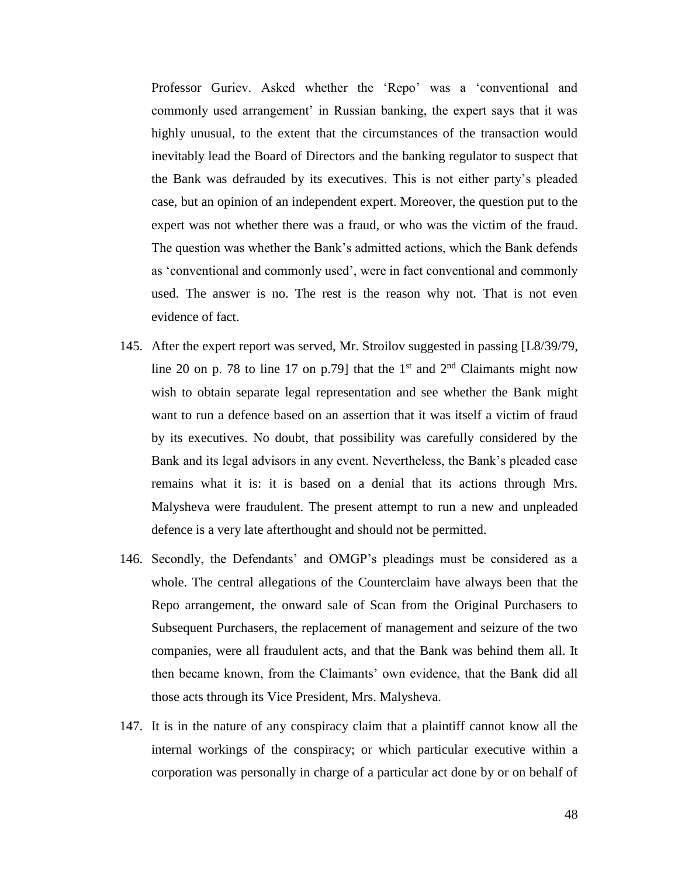Professor Guriev. Asked whether the 'Repo' was a 'conventional and commonly used arrangement' in Russian banking, the expert says that it was highly unusual, to the extent that the circumstances of the transaction would inevitably lead the Board of Directors and the banking regulator to suspect that the Bank was defrauded by its executives. This is not either party's pleaded case, but an opinion of an independent expert. Moreover, the question put to the expert was not whether there was a fraud, or who was the victim of the fraud. The question was whether the Bank's admitted actions, which the Bank defends as 'conventional and commonly used', were in fact conventional and commonly used. The answer is no. The rest is the reason why not. That is not even evidence of fact.

- 145. After the expert report was served, Mr. Stroilov suggested in passing [L8/39/79, line 20 on p. 78 to line 17 on p.79] that the 1<sup>st</sup> and  $2<sup>nd</sup>$  Claimants might now wish to obtain separate legal representation and see whether the Bank might want to run a defence based on an assertion that it was itself a victim of fraud by its executives. No doubt, that possibility was carefully considered by the Bank and its legal advisors in any event. Nevertheless, the Bank's pleaded case remains what it is: it is based on a denial that its actions through Mrs. Malysheva were fraudulent. The present attempt to run a new and unpleaded defence is a very late afterthought and should not be permitted.
- 146. Secondly, the Defendants' and OMGP's pleadings must be considered as a whole. The central allegations of the Counterclaim have always been that the Repo arrangement, the onward sale of Scan from the Original Purchasers to Subsequent Purchasers, the replacement of management and seizure of the two companies, were all fraudulent acts, and that the Bank was behind them all. It then became known, from the Claimants' own evidence, that the Bank did all those acts through its Vice President, Mrs. Malysheva.
- 147. It is in the nature of any conspiracy claim that a plaintiff cannot know all the internal workings of the conspiracy; or which particular executive within a corporation was personally in charge of a particular act done by or on behalf of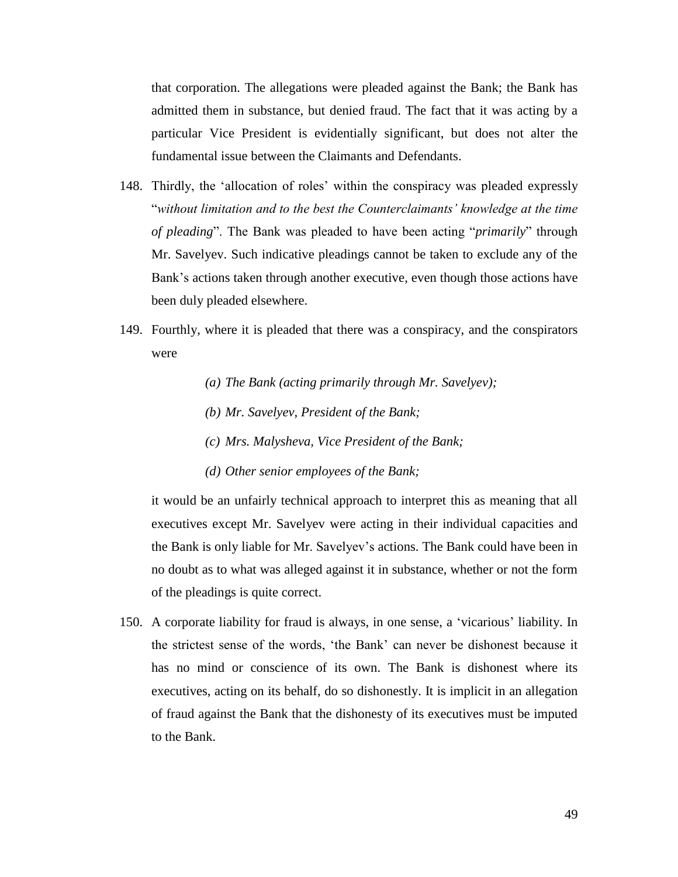that corporation. The allegations were pleaded against the Bank; the Bank has admitted them in substance, but denied fraud. The fact that it was acting by a particular Vice President is evidentially significant, but does not alter the fundamental issue between the Claimants and Defendants.

- 148. Thirdly, the 'allocation of roles' within the conspiracy was pleaded expressly "*without limitation and to the best the Counterclaimants' knowledge at the time of pleading*". The Bank was pleaded to have been acting "*primarily*" through Mr. Savelyev. Such indicative pleadings cannot be taken to exclude any of the Bank's actions taken through another executive, even though those actions have been duly pleaded elsewhere.
- 149. Fourthly, where it is pleaded that there was a conspiracy, and the conspirators were
	- *(a) The Bank (acting primarily through Mr. Savelyev);*
	- *(b) Mr. Savelyev, President of the Bank;*
	- *(c) Mrs. Malysheva, Vice President of the Bank;*
	- *(d) Other senior employees of the Bank;*

it would be an unfairly technical approach to interpret this as meaning that all executives except Mr. Savelyev were acting in their individual capacities and the Bank is only liable for Mr. Savelyev's actions. The Bank could have been in no doubt as to what was alleged against it in substance, whether or not the form of the pleadings is quite correct.

150. A corporate liability for fraud is always, in one sense, a 'vicarious' liability. In the strictest sense of the words, 'the Bank' can never be dishonest because it has no mind or conscience of its own. The Bank is dishonest where its executives, acting on its behalf, do so dishonestly. It is implicit in an allegation of fraud against the Bank that the dishonesty of its executives must be imputed to the Bank.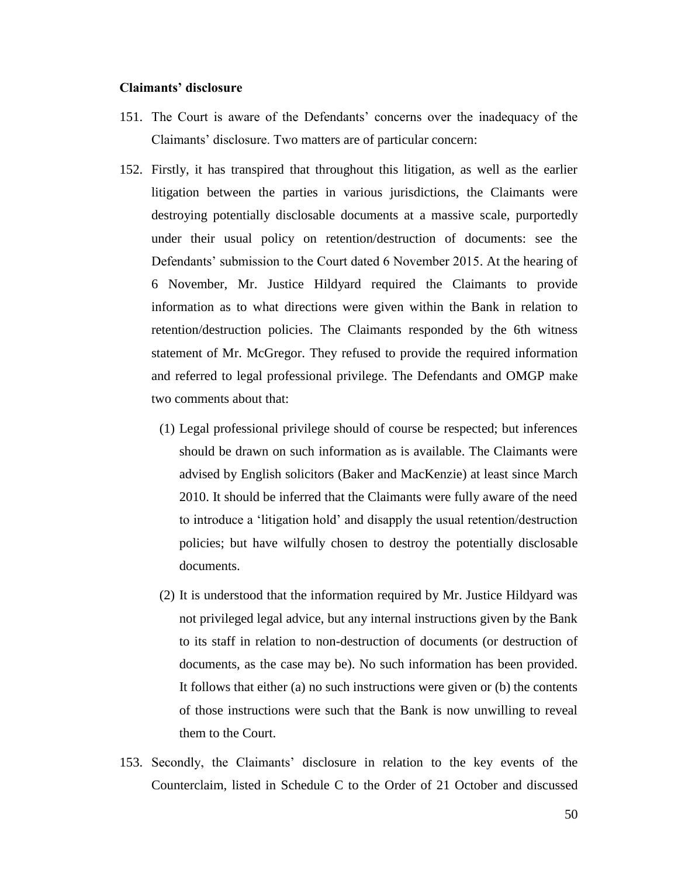## **Claimants' disclosure**

- 151. The Court is aware of the Defendants' concerns over the inadequacy of the Claimants' disclosure. Two matters are of particular concern:
- 152. Firstly, it has transpired that throughout this litigation, as well as the earlier litigation between the parties in various jurisdictions, the Claimants were destroying potentially disclosable documents at a massive scale, purportedly under their usual policy on retention/destruction of documents: see the Defendants' submission to the Court dated 6 November 2015. At the hearing of 6 November, Mr. Justice Hildyard required the Claimants to provide information as to what directions were given within the Bank in relation to retention/destruction policies. The Claimants responded by the 6th witness statement of Mr. McGregor. They refused to provide the required information and referred to legal professional privilege. The Defendants and OMGP make two comments about that:
	- (1) Legal professional privilege should of course be respected; but inferences should be drawn on such information as is available. The Claimants were advised by English solicitors (Baker and MacKenzie) at least since March 2010. It should be inferred that the Claimants were fully aware of the need to introduce a 'litigation hold' and disapply the usual retention/destruction policies; but have wilfully chosen to destroy the potentially disclosable documents.
	- (2) It is understood that the information required by Mr. Justice Hildyard was not privileged legal advice, but any internal instructions given by the Bank to its staff in relation to non-destruction of documents (or destruction of documents, as the case may be). No such information has been provided. It follows that either (a) no such instructions were given or (b) the contents of those instructions were such that the Bank is now unwilling to reveal them to the Court.
- 153. Secondly, the Claimants' disclosure in relation to the key events of the Counterclaim, listed in Schedule C to the Order of 21 October and discussed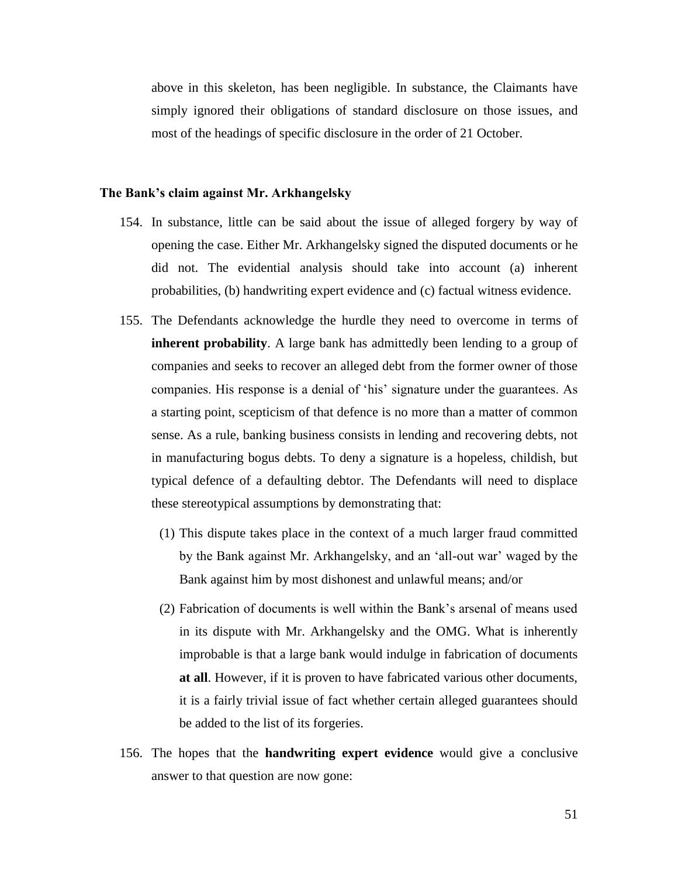above in this skeleton, has been negligible. In substance, the Claimants have simply ignored their obligations of standard disclosure on those issues, and most of the headings of specific disclosure in the order of 21 October.

#### **The Bank's claim against Mr. Arkhangelsky**

- 154. In substance, little can be said about the issue of alleged forgery by way of opening the case. Either Mr. Arkhangelsky signed the disputed documents or he did not. The evidential analysis should take into account (a) inherent probabilities, (b) handwriting expert evidence and (c) factual witness evidence.
- 155. The Defendants acknowledge the hurdle they need to overcome in terms of **inherent probability**. A large bank has admittedly been lending to a group of companies and seeks to recover an alleged debt from the former owner of those companies. His response is a denial of 'his' signature under the guarantees. As a starting point, scepticism of that defence is no more than a matter of common sense. As a rule, banking business consists in lending and recovering debts, not in manufacturing bogus debts. To deny a signature is a hopeless, childish, but typical defence of a defaulting debtor. The Defendants will need to displace these stereotypical assumptions by demonstrating that:
	- (1) This dispute takes place in the context of a much larger fraud committed by the Bank against Mr. Arkhangelsky, and an 'all-out war' waged by the Bank against him by most dishonest and unlawful means; and/or
	- (2) Fabrication of documents is well within the Bank's arsenal of means used in its dispute with Mr. Arkhangelsky and the OMG. What is inherently improbable is that a large bank would indulge in fabrication of documents **at all**. However, if it is proven to have fabricated various other documents, it is a fairly trivial issue of fact whether certain alleged guarantees should be added to the list of its forgeries.
- 156. The hopes that the **handwriting expert evidence** would give a conclusive answer to that question are now gone: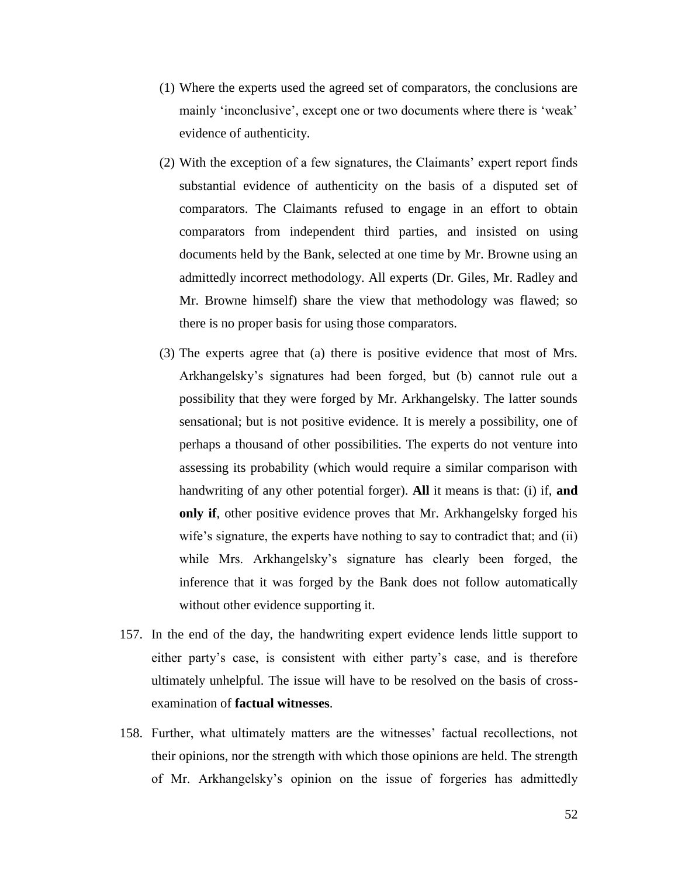- (1) Where the experts used the agreed set of comparators, the conclusions are mainly 'inconclusive', except one or two documents where there is 'weak' evidence of authenticity.
- (2) With the exception of a few signatures, the Claimants' expert report finds substantial evidence of authenticity on the basis of a disputed set of comparators. The Claimants refused to engage in an effort to obtain comparators from independent third parties, and insisted on using documents held by the Bank, selected at one time by Mr. Browne using an admittedly incorrect methodology. All experts (Dr. Giles, Mr. Radley and Mr. Browne himself) share the view that methodology was flawed; so there is no proper basis for using those comparators.
- (3) The experts agree that (a) there is positive evidence that most of Mrs. Arkhangelsky's signatures had been forged, but (b) cannot rule out a possibility that they were forged by Mr. Arkhangelsky. The latter sounds sensational; but is not positive evidence. It is merely a possibility, one of perhaps a thousand of other possibilities. The experts do not venture into assessing its probability (which would require a similar comparison with handwriting of any other potential forger). **All** it means is that: (i) if, **and only if**, other positive evidence proves that Mr. Arkhangelsky forged his wife's signature, the experts have nothing to say to contradict that; and (ii) while Mrs. Arkhangelsky's signature has clearly been forged, the inference that it was forged by the Bank does not follow automatically without other evidence supporting it.
- 157. In the end of the day, the handwriting expert evidence lends little support to either party's case, is consistent with either party's case, and is therefore ultimately unhelpful. The issue will have to be resolved on the basis of crossexamination of **factual witnesses**.
- 158. Further, what ultimately matters are the witnesses' factual recollections, not their opinions, nor the strength with which those opinions are held. The strength of Mr. Arkhangelsky's opinion on the issue of forgeries has admittedly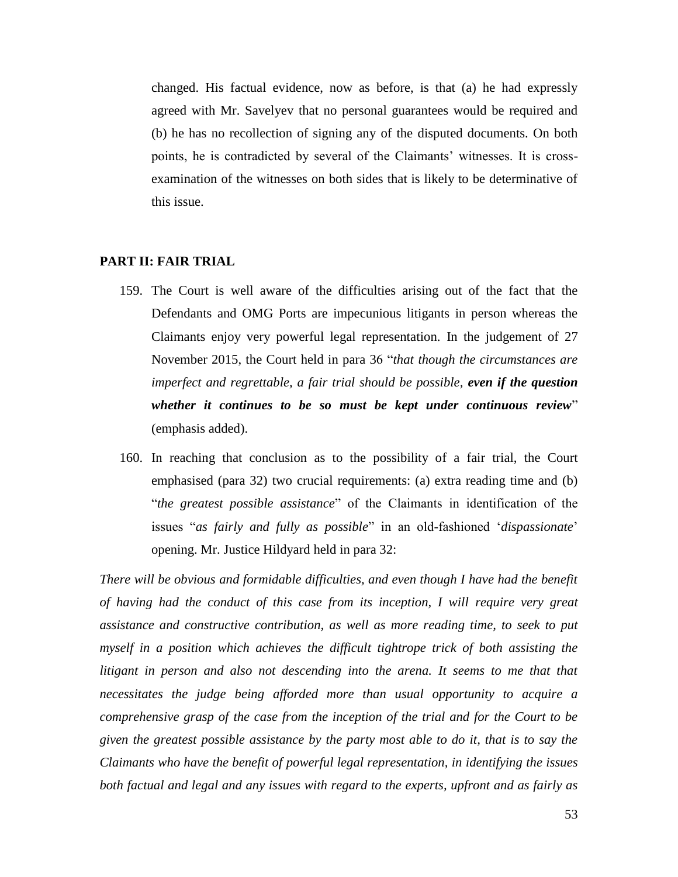changed. His factual evidence, now as before, is that (a) he had expressly agreed with Mr. Savelyev that no personal guarantees would be required and (b) he has no recollection of signing any of the disputed documents. On both points, he is contradicted by several of the Claimants' witnesses. It is crossexamination of the witnesses on both sides that is likely to be determinative of this issue.

## **PART II: FAIR TRIAL**

- 159. The Court is well aware of the difficulties arising out of the fact that the Defendants and OMG Ports are impecunious litigants in person whereas the Claimants enjoy very powerful legal representation. In the judgement of 27 November 2015, the Court held in para 36 "*that though the circumstances are imperfect and regrettable, a fair trial should be possible, even if the question whether it continues to be so must be kept under continuous review*" (emphasis added).
- 160. In reaching that conclusion as to the possibility of a fair trial, the Court emphasised (para 32) two crucial requirements: (a) extra reading time and (b) "*the greatest possible assistance*" of the Claimants in identification of the issues "*as fairly and fully as possible*" in an old-fashioned '*dispassionate*' opening. Mr. Justice Hildyard held in para 32:

*There will be obvious and formidable difficulties, and even though I have had the benefit of having had the conduct of this case from its inception, I will require very great assistance and constructive contribution, as well as more reading time, to seek to put myself in a position which achieves the difficult tightrope trick of both assisting the*  litigant in person and also not descending into the arena. It seems to me that that *necessitates the judge being afforded more than usual opportunity to acquire a comprehensive grasp of the case from the inception of the trial and for the Court to be given the greatest possible assistance by the party most able to do it, that is to say the Claimants who have the benefit of powerful legal representation, in identifying the issues both factual and legal and any issues with regard to the experts, upfront and as fairly as*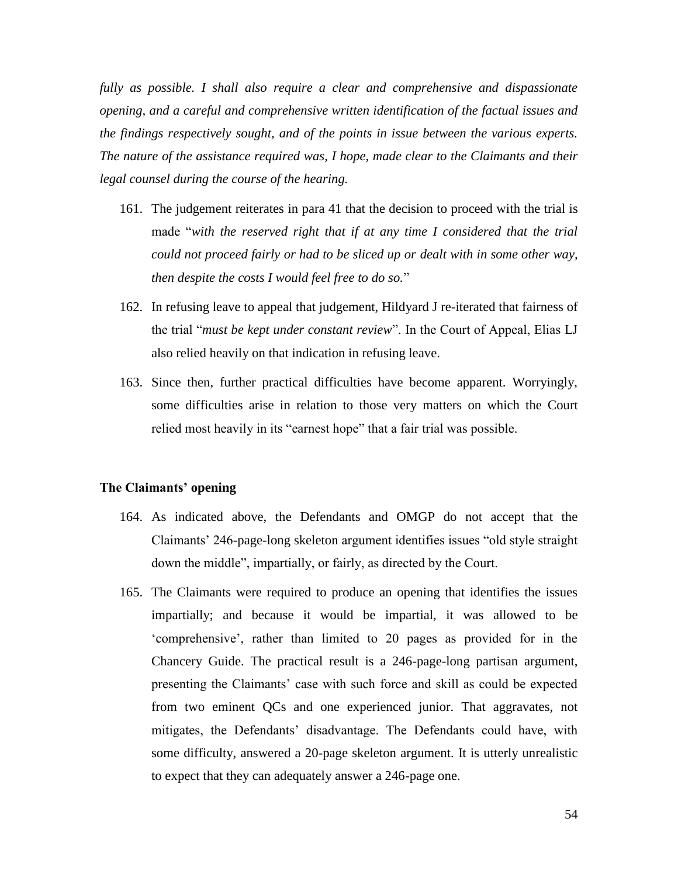*fully as possible. I shall also require a clear and comprehensive and dispassionate opening, and a careful and comprehensive written identification of the factual issues and the findings respectively sought, and of the points in issue between the various experts. The nature of the assistance required was, I hope, made clear to the Claimants and their legal counsel during the course of the hearing.*

- 161. The judgement reiterates in para 41 that the decision to proceed with the trial is made "*with the reserved right that if at any time I considered that the trial could not proceed fairly or had to be sliced up or dealt with in some other way, then despite the costs I would feel free to do so.*"
- 162. In refusing leave to appeal that judgement, Hildyard J re-iterated that fairness of the trial "*must be kept under constant review*". In the Court of Appeal, Elias LJ also relied heavily on that indication in refusing leave.
- 163. Since then, further practical difficulties have become apparent. Worryingly, some difficulties arise in relation to those very matters on which the Court relied most heavily in its "earnest hope" that a fair trial was possible.

## **The Claimants' opening**

- 164. As indicated above, the Defendants and OMGP do not accept that the Claimants' 246-page-long skeleton argument identifies issues "old style straight down the middle", impartially, or fairly, as directed by the Court.
- 165. The Claimants were required to produce an opening that identifies the issues impartially; and because it would be impartial, it was allowed to be 'comprehensive', rather than limited to 20 pages as provided for in the Chancery Guide. The practical result is a 246-page-long partisan argument, presenting the Claimants' case with such force and skill as could be expected from two eminent QCs and one experienced junior. That aggravates, not mitigates, the Defendants' disadvantage. The Defendants could have, with some difficulty, answered a 20-page skeleton argument. It is utterly unrealistic to expect that they can adequately answer a 246-page one.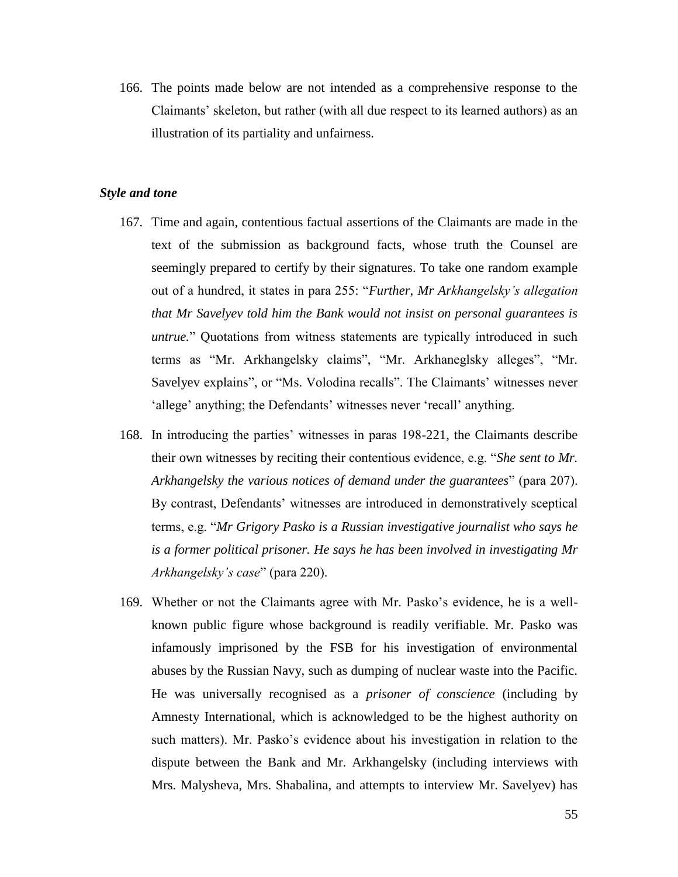166. The points made below are not intended as a comprehensive response to the Claimants' skeleton, but rather (with all due respect to its learned authors) as an illustration of its partiality and unfairness.

#### *Style and tone*

- 167. Time and again, contentious factual assertions of the Claimants are made in the text of the submission as background facts, whose truth the Counsel are seemingly prepared to certify by their signatures. To take one random example out of a hundred, it states in para 255: "*Further, Mr Arkhangelsky's allegation that Mr Savelyev told him the Bank would not insist on personal guarantees is untrue.*" Quotations from witness statements are typically introduced in such terms as "Mr. Arkhangelsky claims", "Mr. Arkhaneglsky alleges", "Mr. Savelyev explains", or "Ms. Volodina recalls". The Claimants' witnesses never 'allege' anything; the Defendants' witnesses never 'recall' anything.
- 168. In introducing the parties' witnesses in paras 198-221, the Claimants describe their own witnesses by reciting their contentious evidence, e.g. "*She sent to Mr. Arkhangelsky the various notices of demand under the guarantees*" (para 207). By contrast, Defendants' witnesses are introduced in demonstratively sceptical terms, e.g. "*Mr Grigory Pasko is a Russian investigative journalist who says he is a former political prisoner. He says he has been involved in investigating Mr Arkhangelsky's case*" (para 220).
- 169. Whether or not the Claimants agree with Mr. Pasko's evidence, he is a wellknown public figure whose background is readily verifiable. Mr. Pasko was infamously imprisoned by the FSB for his investigation of environmental abuses by the Russian Navy, such as dumping of nuclear waste into the Pacific. He was universally recognised as a *prisoner of conscience* (including by Amnesty International, which is acknowledged to be the highest authority on such matters). Mr. Pasko's evidence about his investigation in relation to the dispute between the Bank and Mr. Arkhangelsky (including interviews with Mrs. Malysheva, Mrs. Shabalina, and attempts to interview Mr. Savelyev) has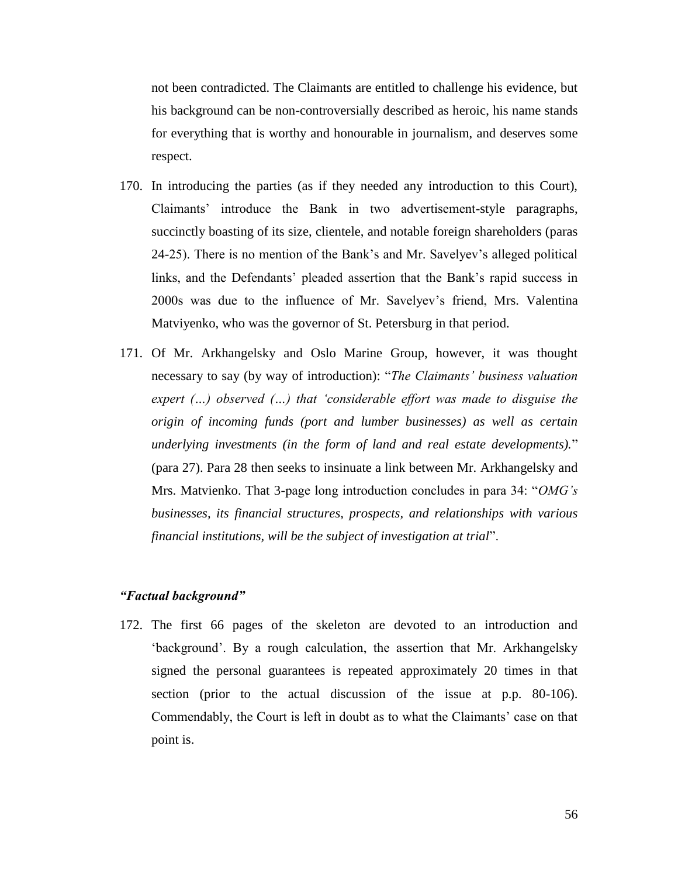not been contradicted. The Claimants are entitled to challenge his evidence, but his background can be non-controversially described as heroic, his name stands for everything that is worthy and honourable in journalism, and deserves some respect.

- 170. In introducing the parties (as if they needed any introduction to this Court), Claimants' introduce the Bank in two advertisement-style paragraphs, succinctly boasting of its size, clientele, and notable foreign shareholders (paras 24-25). There is no mention of the Bank's and Mr. Savelyev's alleged political links, and the Defendants' pleaded assertion that the Bank's rapid success in 2000s was due to the influence of Mr. Savelyev's friend, Mrs. Valentina Matviyenko, who was the governor of St. Petersburg in that period.
- 171. Of Mr. Arkhangelsky and Oslo Marine Group, however, it was thought necessary to say (by way of introduction): "*The Claimants' business valuation expert (…) observed (…) that 'considerable effort was made to disguise the origin of incoming funds (port and lumber businesses) as well as certain underlying investments (in the form of land and real estate developments).*" (para 27). Para 28 then seeks to insinuate a link between Mr. Arkhangelsky and Mrs. Matvienko. That 3-page long introduction concludes in para 34: "*OMG's businesses, its financial structures, prospects, and relationships with various financial institutions, will be the subject of investigation at trial*".

## *"Factual background"*

172. The first 66 pages of the skeleton are devoted to an introduction and 'background'. By a rough calculation, the assertion that Mr. Arkhangelsky signed the personal guarantees is repeated approximately 20 times in that section (prior to the actual discussion of the issue at p.p. 80-106). Commendably, the Court is left in doubt as to what the Claimants' case on that point is.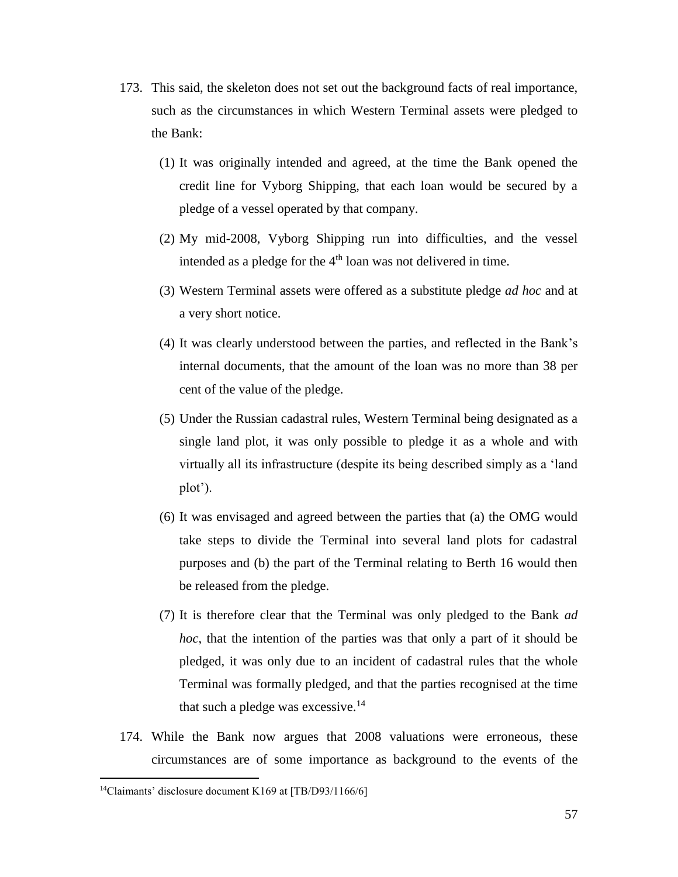- 173. This said, the skeleton does not set out the background facts of real importance, such as the circumstances in which Western Terminal assets were pledged to the Bank:
	- (1) It was originally intended and agreed, at the time the Bank opened the credit line for Vyborg Shipping, that each loan would be secured by a pledge of a vessel operated by that company.
	- (2) My mid-2008, Vyborg Shipping run into difficulties, and the vessel intended as a pledge for the  $4<sup>th</sup>$  loan was not delivered in time.
	- (3) Western Terminal assets were offered as a substitute pledge *ad hoc* and at a very short notice.
	- (4) It was clearly understood between the parties, and reflected in the Bank's internal documents, that the amount of the loan was no more than 38 per cent of the value of the pledge.
	- (5) Under the Russian cadastral rules, Western Terminal being designated as a single land plot, it was only possible to pledge it as a whole and with virtually all its infrastructure (despite its being described simply as a 'land plot').
	- (6) It was envisaged and agreed between the parties that (a) the OMG would take steps to divide the Terminal into several land plots for cadastral purposes and (b) the part of the Terminal relating to Berth 16 would then be released from the pledge.
	- (7) It is therefore clear that the Terminal was only pledged to the Bank *ad hoc*, that the intention of the parties was that only a part of it should be pledged, it was only due to an incident of cadastral rules that the whole Terminal was formally pledged, and that the parties recognised at the time that such a pledge was excessive.<sup>14</sup>
- 174. While the Bank now argues that 2008 valuations were erroneous, these circumstances are of some importance as background to the events of the

 $\overline{a}$ 

 $14$ Claimants' disclosure document K169 at [TB/D93/1166/6]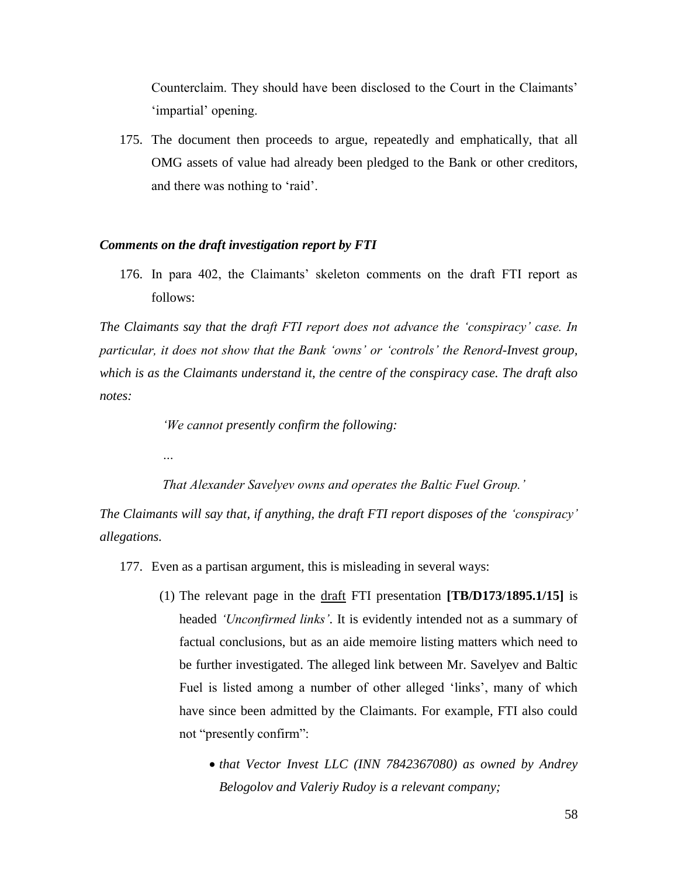Counterclaim. They should have been disclosed to the Court in the Claimants' 'impartial' opening.

175. The document then proceeds to argue, repeatedly and emphatically, that all OMG assets of value had already been pledged to the Bank or other creditors, and there was nothing to 'raid'.

# *Comments on the draft investigation report by FTI*

176. In para 402, the Claimants' skeleton comments on the draft FTI report as follows:

*The Claimants say that the draft FTI report does not advance the 'conspiracy' case. In particular, it does not show that the Bank 'owns' or 'controls' the Renord-Invest group, which is as the Claimants understand it, the centre of the conspiracy case. The draft also notes:* 

*'We cannot presently confirm the following:*

*…*

*That Alexander Savelyev owns and operates the Baltic Fuel Group.'*

*The Claimants will say that, if anything, the draft FTI report disposes of the 'conspiracy' allegations.*

177. Even as a partisan argument, this is misleading in several ways:

- (1) The relevant page in the draft FTI presentation **[TB/D173/1895.1/15]** is headed *'Unconfirmed links'*. It is evidently intended not as a summary of factual conclusions, but as an aide memoire listing matters which need to be further investigated. The alleged link between Mr. Savelyev and Baltic Fuel is listed among a number of other alleged 'links', many of which have since been admitted by the Claimants. For example, FTI also could not "presently confirm":
	- *that Vector Invest LLC (INN 7842367080) as owned by Andrey Belogolov and Valeriy Rudoy is a relevant company;*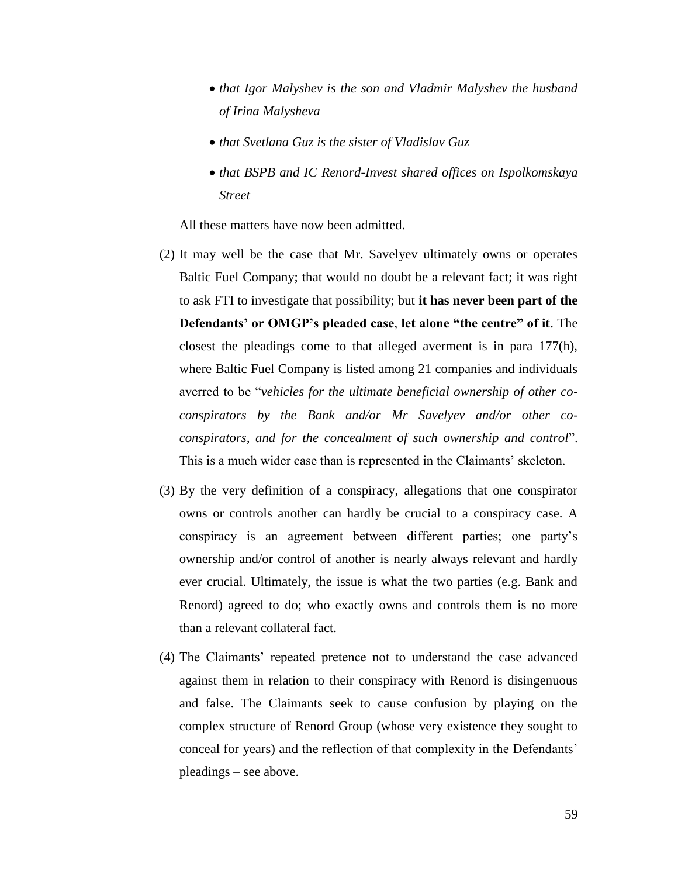- *that Igor Malyshev is the son and Vladmir Malyshev the husband of Irina Malysheva*
- *that Svetlana Guz is the sister of Vladislav Guz*
- *that BSPB and IC Renord-Invest shared offices on Ispolkomskaya Street*

All these matters have now been admitted.

- (2) It may well be the case that Mr. Savelyev ultimately owns or operates Baltic Fuel Company; that would no doubt be a relevant fact; it was right to ask FTI to investigate that possibility; but **it has never been part of the Defendants' or OMGP's pleaded case**, **let alone "the centre" of it**. The closest the pleadings come to that alleged averment is in para 177(h), where Baltic Fuel Company is listed among 21 companies and individuals averred to be "*vehicles for the ultimate beneficial ownership of other coconspirators by the Bank and/or Mr Savelyev and/or other coconspirators, and for the concealment of such ownership and control*". This is a much wider case than is represented in the Claimants' skeleton.
- (3) By the very definition of a conspiracy, allegations that one conspirator owns or controls another can hardly be crucial to a conspiracy case. A conspiracy is an agreement between different parties; one party's ownership and/or control of another is nearly always relevant and hardly ever crucial. Ultimately, the issue is what the two parties (e.g. Bank and Renord) agreed to do; who exactly owns and controls them is no more than a relevant collateral fact.
- (4) The Claimants' repeated pretence not to understand the case advanced against them in relation to their conspiracy with Renord is disingenuous and false. The Claimants seek to cause confusion by playing on the complex structure of Renord Group (whose very existence they sought to conceal for years) and the reflection of that complexity in the Defendants' pleadings – see above.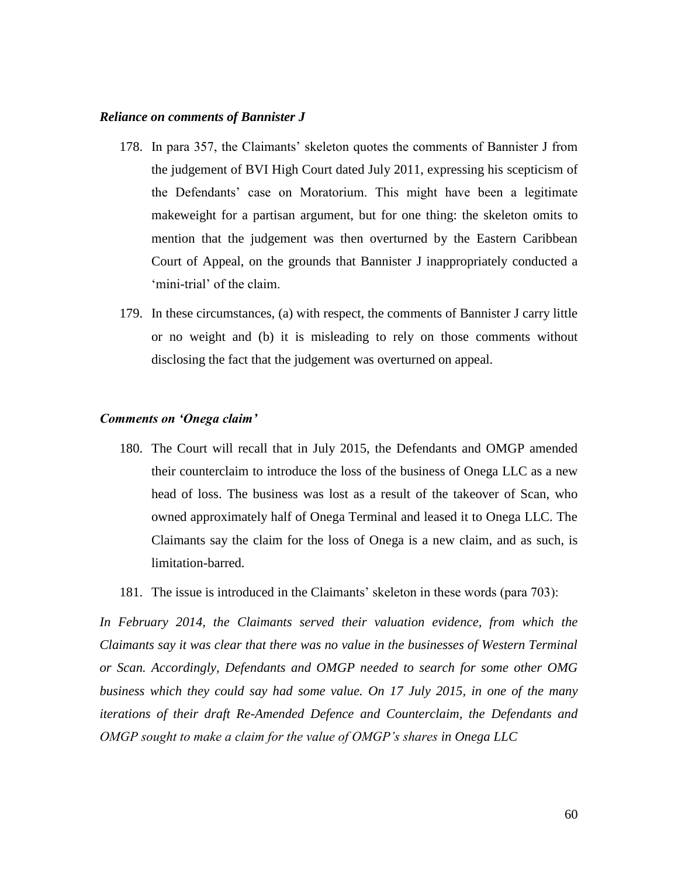#### *Reliance on comments of Bannister J*

- 178. In para 357, the Claimants' skeleton quotes the comments of Bannister J from the judgement of BVI High Court dated July 2011, expressing his scepticism of the Defendants' case on Moratorium. This might have been a legitimate makeweight for a partisan argument, but for one thing: the skeleton omits to mention that the judgement was then overturned by the Eastern Caribbean Court of Appeal, on the grounds that Bannister J inappropriately conducted a 'mini-trial' of the claim.
- 179. In these circumstances, (a) with respect, the comments of Bannister J carry little or no weight and (b) it is misleading to rely on those comments without disclosing the fact that the judgement was overturned on appeal.

### *Comments on 'Onega claim'*

180. The Court will recall that in July 2015, the Defendants and OMGP amended their counterclaim to introduce the loss of the business of Onega LLC as a new head of loss. The business was lost as a result of the takeover of Scan, who owned approximately half of Onega Terminal and leased it to Onega LLC. The Claimants say the claim for the loss of Onega is a new claim, and as such, is limitation-barred.

181. The issue is introduced in the Claimants' skeleton in these words (para 703):

In February 2014, the Claimants served their valuation evidence, from which the *Claimants say it was clear that there was no value in the businesses of Western Terminal or Scan. Accordingly, Defendants and OMGP needed to search for some other OMG business which they could say had some value. On 17 July 2015, in one of the many iterations of their draft Re-Amended Defence and Counterclaim, the Defendants and OMGP sought to make a claim for the value of OMGP's shares in Onega LLC*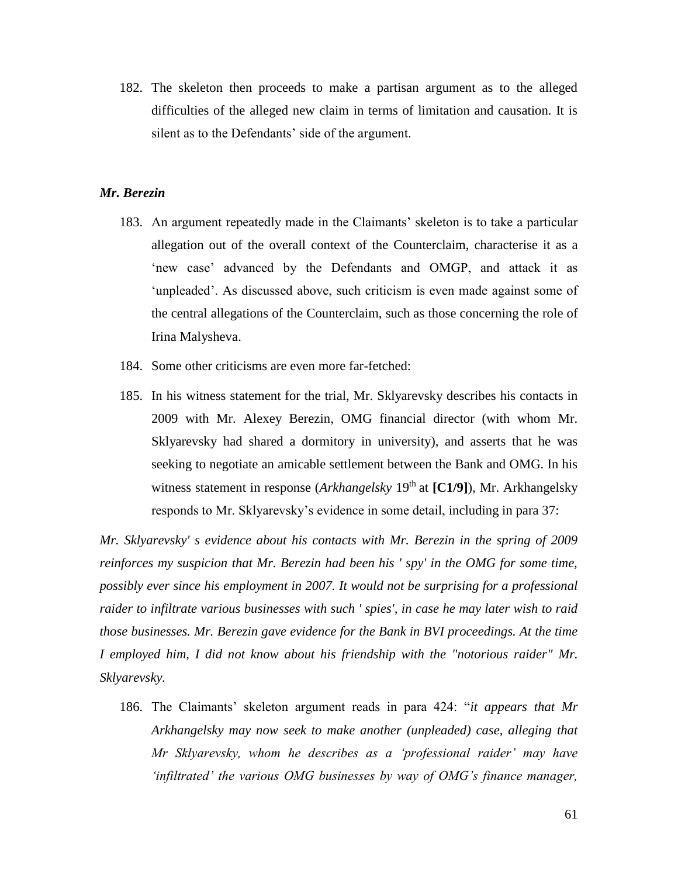182. The skeleton then proceeds to make a partisan argument as to the alleged difficulties of the alleged new claim in terms of limitation and causation. It is silent as to the Defendants' side of the argument.

## *Mr. Berezin*

- 183. An argument repeatedly made in the Claimants' skeleton is to take a particular allegation out of the overall context of the Counterclaim, characterise it as a 'new case' advanced by the Defendants and OMGP, and attack it as 'unpleaded'. As discussed above, such criticism is even made against some of the central allegations of the Counterclaim, such as those concerning the role of Irina Malysheva.
- 184. Some other criticisms are even more far-fetched:
- 185. In his witness statement for the trial, Mr. Sklyarevsky describes his contacts in 2009 with Mr. Alexey Berezin, OMG financial director (with whom Mr. Sklyarevsky had shared a dormitory in university), and asserts that he was seeking to negotiate an amicable settlement between the Bank and OMG. In his witness statement in response (*Arkhangelsky* 19<sup>th</sup> at **[C1/9]**), Mr. Arkhangelsky responds to Mr. Sklyarevsky's evidence in some detail, including in para 37:

*Mr. Sklyarevsky' s evidence about his contacts with Mr. Berezin in the spring of 2009 reinforces my suspicion that Mr. Berezin had been his ' spy' in the OMG for some time, possibly ever since his employment in 2007. It would not be surprising for a professional raider to infiltrate various businesses with such ' spies', in case he may later wish to raid those businesses. Mr. Berezin gave evidence for the Bank in BVI proceedings. At the time I employed him, I did not know about his friendship with the "notorious raider" Mr. Sklyarevsky.* 

186. The Claimants' skeleton argument reads in para 424: "*it appears that Mr Arkhangelsky may now seek to make another (unpleaded) case, alleging that Mr Sklyarevsky, whom he describes as a 'professional raider' may have 'infiltrated' the various OMG businesses by way of OMG's finance manager,*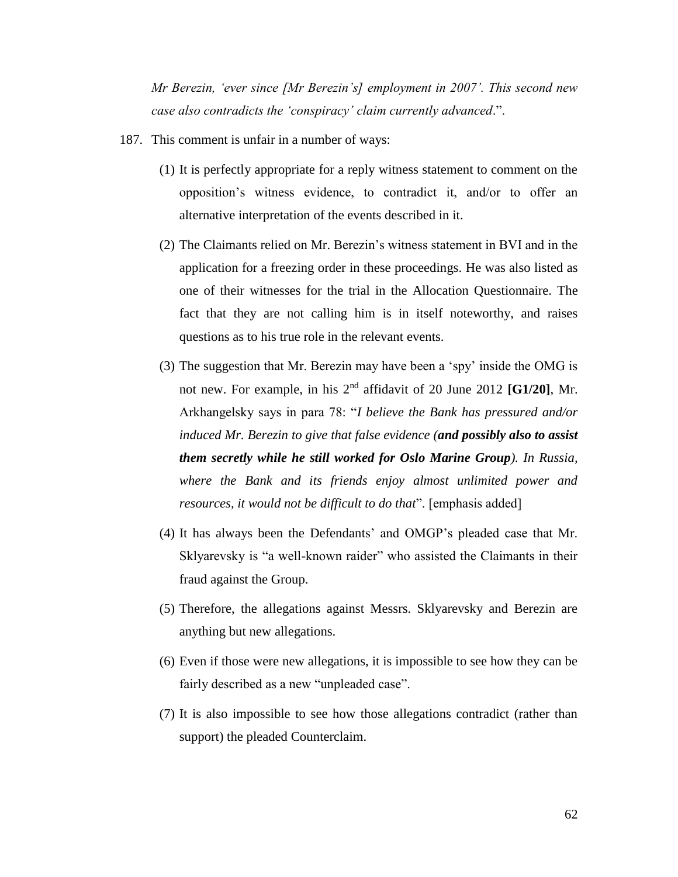*Mr Berezin, 'ever since [Mr Berezin's] employment in 2007'. This second new case also contradicts the 'conspiracy' claim currently advanced*.".

- 187. This comment is unfair in a number of ways:
	- (1) It is perfectly appropriate for a reply witness statement to comment on the opposition's witness evidence, to contradict it, and/or to offer an alternative interpretation of the events described in it.
	- (2) The Claimants relied on Mr. Berezin's witness statement in BVI and in the application for a freezing order in these proceedings. He was also listed as one of their witnesses for the trial in the Allocation Questionnaire. The fact that they are not calling him is in itself noteworthy, and raises questions as to his true role in the relevant events.
	- (3) The suggestion that Mr. Berezin may have been a 'spy' inside the OMG is not new. For example, in his 2nd affidavit of 20 June 2012 **[G1/20]**, Mr. Arkhangelsky says in para 78: "*I believe the Bank has pressured and/or induced Mr. Berezin to give that false evidence (and possibly also to assist them secretly while he still worked for Oslo Marine Group). In Russia, where the Bank and its friends enjoy almost unlimited power and resources, it would not be difficult to do that*". [emphasis added]
	- (4) It has always been the Defendants' and OMGP's pleaded case that Mr. Sklyarevsky is "a well-known raider" who assisted the Claimants in their fraud against the Group.
	- (5) Therefore, the allegations against Messrs. Sklyarevsky and Berezin are anything but new allegations.
	- (6) Even if those were new allegations, it is impossible to see how they can be fairly described as a new "unpleaded case".
	- (7) It is also impossible to see how those allegations contradict (rather than support) the pleaded Counterclaim.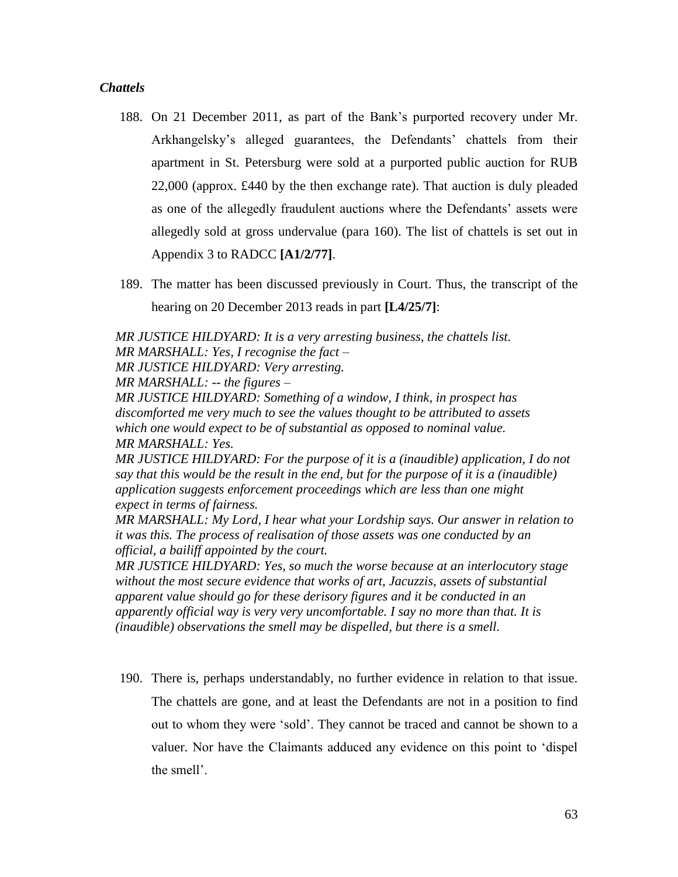## *Chattels*

- 188. On 21 December 2011, as part of the Bank's purported recovery under Mr. Arkhangelsky's alleged guarantees, the Defendants' chattels from their apartment in St. Petersburg were sold at a purported public auction for RUB 22,000 (approx. £440 by the then exchange rate). That auction is duly pleaded as one of the allegedly fraudulent auctions where the Defendants' assets were allegedly sold at gross undervalue (para 160). The list of chattels is set out in Appendix 3 to RADCC **[A1/2/77]**.
- 189. The matter has been discussed previously in Court. Thus, the transcript of the hearing on 20 December 2013 reads in part **[L4/25/7]**:

*MR JUSTICE HILDYARD: It is a very arresting business, the chattels list. MR MARSHALL: Yes, I recognise the fact – MR JUSTICE HILDYARD: Very arresting.* 

*MR MARSHALL: -- the figures –*

*MR JUSTICE HILDYARD: Something of a window, I think, in prospect has discomforted me very much to see the values thought to be attributed to assets which one would expect to be of substantial as opposed to nominal value. MR MARSHALL: Yes.* 

*MR JUSTICE HILDYARD: For the purpose of it is a (inaudible) application, I do not say that this would be the result in the end, but for the purpose of it is a (inaudible) application suggests enforcement proceedings which are less than one might expect in terms of fairness.*

*MR MARSHALL: My Lord, I hear what your Lordship says. Our answer in relation to it was this. The process of realisation of those assets was one conducted by an official, a bailiff appointed by the court.* 

*MR JUSTICE HILDYARD: Yes, so much the worse because at an interlocutory stage without the most secure evidence that works of art, Jacuzzis, assets of substantial apparent value should go for these derisory figures and it be conducted in an apparently official way is very very uncomfortable. I say no more than that. It is (inaudible) observations the smell may be dispelled, but there is a smell.*

190. There is, perhaps understandably, no further evidence in relation to that issue. The chattels are gone, and at least the Defendants are not in a position to find out to whom they were 'sold'. They cannot be traced and cannot be shown to a valuer. Nor have the Claimants adduced any evidence on this point to 'dispel the smell'.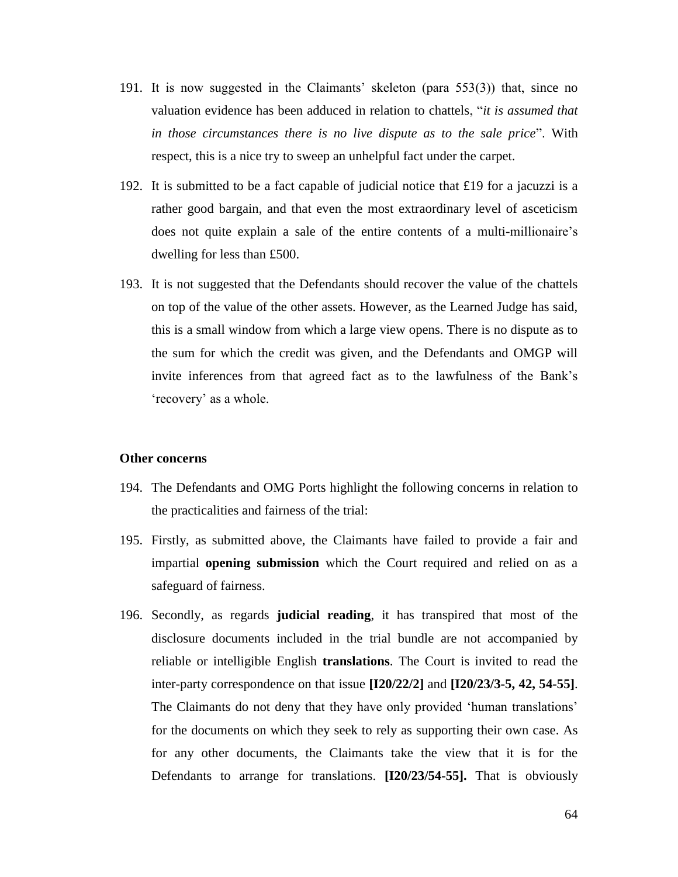- 191. It is now suggested in the Claimants' skeleton (para 553(3)) that, since no valuation evidence has been adduced in relation to chattels, "*it is assumed that in those circumstances there is no live dispute as to the sale price*". With respect, this is a nice try to sweep an unhelpful fact under the carpet.
- 192. It is submitted to be a fact capable of judicial notice that £19 for a jacuzzi is a rather good bargain, and that even the most extraordinary level of asceticism does not quite explain a sale of the entire contents of a multi-millionaire's dwelling for less than £500.
- 193. It is not suggested that the Defendants should recover the value of the chattels on top of the value of the other assets. However, as the Learned Judge has said, this is a small window from which a large view opens. There is no dispute as to the sum for which the credit was given, and the Defendants and OMGP will invite inferences from that agreed fact as to the lawfulness of the Bank's 'recovery' as a whole.

#### **Other concerns**

- 194. The Defendants and OMG Ports highlight the following concerns in relation to the practicalities and fairness of the trial:
- 195. Firstly, as submitted above, the Claimants have failed to provide a fair and impartial **opening submission** which the Court required and relied on as a safeguard of fairness.
- 196. Secondly, as regards **judicial reading**, it has transpired that most of the disclosure documents included in the trial bundle are not accompanied by reliable or intelligible English **translations**. The Court is invited to read the inter-party correspondence on that issue **[I20/22/2]** and **[I20/23/3-5, 42, 54-55]**. The Claimants do not deny that they have only provided 'human translations' for the documents on which they seek to rely as supporting their own case. As for any other documents, the Claimants take the view that it is for the Defendants to arrange for translations. **[I20/23/54-55].** That is obviously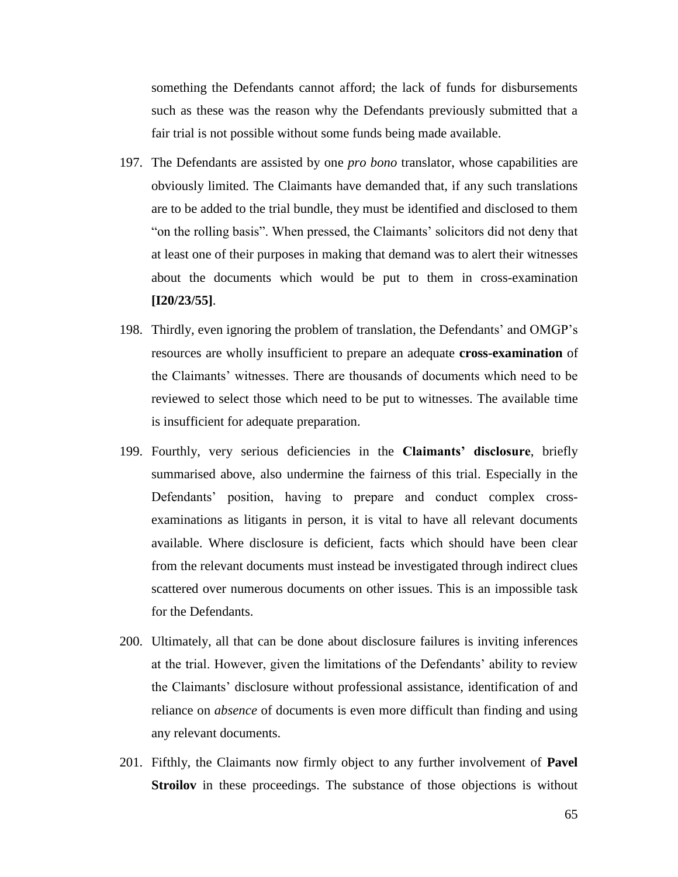something the Defendants cannot afford; the lack of funds for disbursements such as these was the reason why the Defendants previously submitted that a fair trial is not possible without some funds being made available.

- 197. The Defendants are assisted by one *pro bono* translator, whose capabilities are obviously limited. The Claimants have demanded that, if any such translations are to be added to the trial bundle, they must be identified and disclosed to them "on the rolling basis". When pressed, the Claimants' solicitors did not deny that at least one of their purposes in making that demand was to alert their witnesses about the documents which would be put to them in cross-examination **[I20/23/55]**.
- 198. Thirdly, even ignoring the problem of translation, the Defendants' and OMGP's resources are wholly insufficient to prepare an adequate **cross-examination** of the Claimants' witnesses. There are thousands of documents which need to be reviewed to select those which need to be put to witnesses. The available time is insufficient for adequate preparation.
- 199. Fourthly, very serious deficiencies in the **Claimants' disclosure**, briefly summarised above, also undermine the fairness of this trial. Especially in the Defendants' position, having to prepare and conduct complex crossexaminations as litigants in person, it is vital to have all relevant documents available. Where disclosure is deficient, facts which should have been clear from the relevant documents must instead be investigated through indirect clues scattered over numerous documents on other issues. This is an impossible task for the Defendants.
- 200. Ultimately, all that can be done about disclosure failures is inviting inferences at the trial. However, given the limitations of the Defendants' ability to review the Claimants' disclosure without professional assistance, identification of and reliance on *absence* of documents is even more difficult than finding and using any relevant documents.
- 201. Fifthly, the Claimants now firmly object to any further involvement of **Pavel Stroilov** in these proceedings. The substance of those objections is without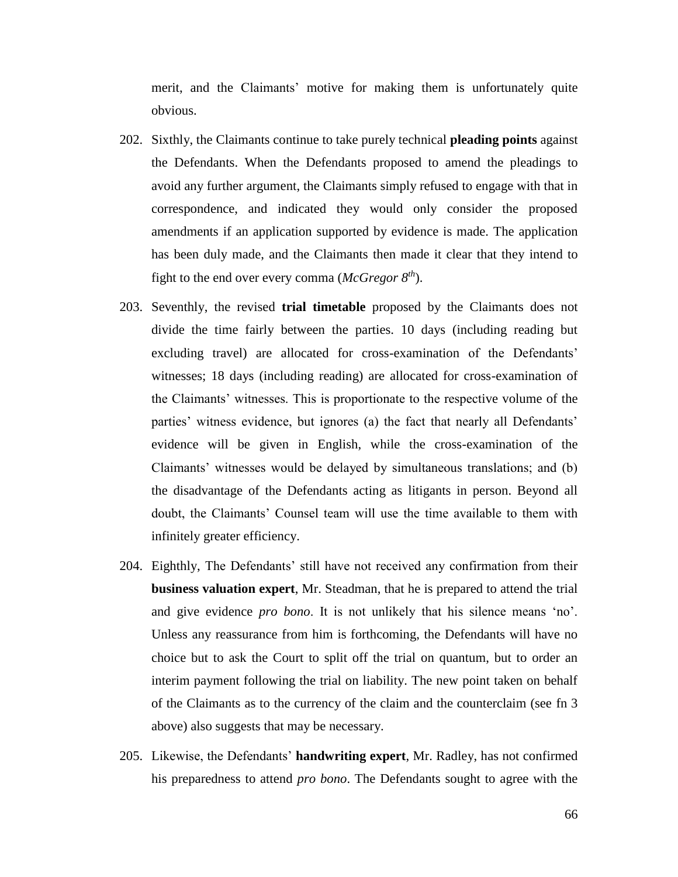merit, and the Claimants' motive for making them is unfortunately quite obvious.

- 202. Sixthly, the Claimants continue to take purely technical **pleading points** against the Defendants. When the Defendants proposed to amend the pleadings to avoid any further argument, the Claimants simply refused to engage with that in correspondence, and indicated they would only consider the proposed amendments if an application supported by evidence is made. The application has been duly made, and the Claimants then made it clear that they intend to fight to the end over every comma (*McGregor 8th*).
- 203. Seventhly, the revised **trial timetable** proposed by the Claimants does not divide the time fairly between the parties. 10 days (including reading but excluding travel) are allocated for cross-examination of the Defendants' witnesses; 18 days (including reading) are allocated for cross-examination of the Claimants' witnesses. This is proportionate to the respective volume of the parties' witness evidence, but ignores (a) the fact that nearly all Defendants' evidence will be given in English, while the cross-examination of the Claimants' witnesses would be delayed by simultaneous translations; and (b) the disadvantage of the Defendants acting as litigants in person. Beyond all doubt, the Claimants' Counsel team will use the time available to them with infinitely greater efficiency.
- 204. Eighthly, The Defendants' still have not received any confirmation from their **business valuation expert**, Mr. Steadman, that he is prepared to attend the trial and give evidence *pro bono*. It is not unlikely that his silence means 'no'. Unless any reassurance from him is forthcoming, the Defendants will have no choice but to ask the Court to split off the trial on quantum, but to order an interim payment following the trial on liability. The new point taken on behalf of the Claimants as to the currency of the claim and the counterclaim (see fn 3 above) also suggests that may be necessary.
- 205. Likewise, the Defendants' **handwriting expert**, Mr. Radley, has not confirmed his preparedness to attend *pro bono*. The Defendants sought to agree with the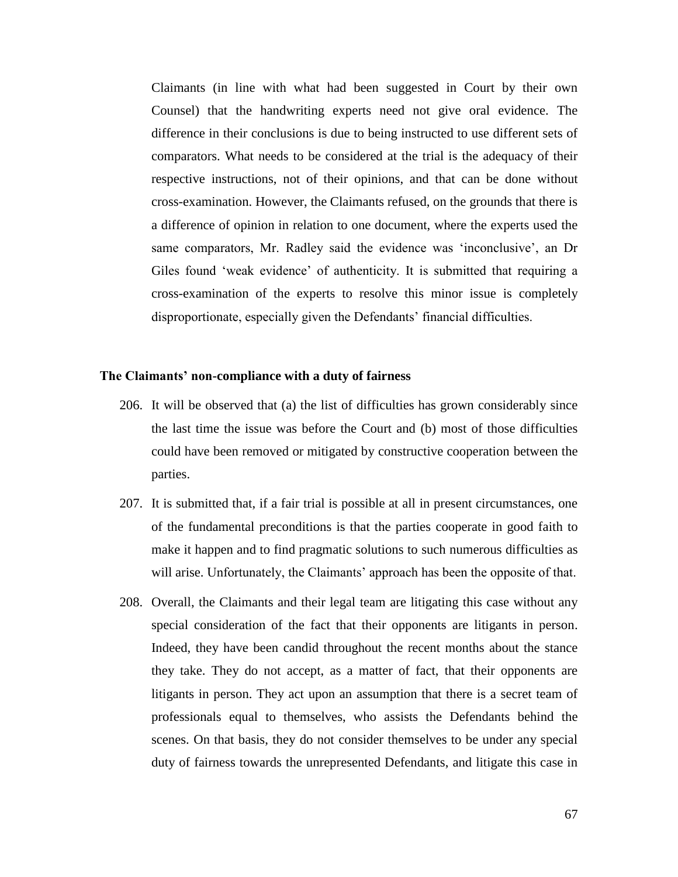Claimants (in line with what had been suggested in Court by their own Counsel) that the handwriting experts need not give oral evidence. The difference in their conclusions is due to being instructed to use different sets of comparators. What needs to be considered at the trial is the adequacy of their respective instructions, not of their opinions, and that can be done without cross-examination. However, the Claimants refused, on the grounds that there is a difference of opinion in relation to one document, where the experts used the same comparators, Mr. Radley said the evidence was 'inconclusive', an Dr Giles found 'weak evidence' of authenticity. It is submitted that requiring a cross-examination of the experts to resolve this minor issue is completely disproportionate, especially given the Defendants' financial difficulties.

#### **The Claimants' non-compliance with a duty of fairness**

- 206. It will be observed that (a) the list of difficulties has grown considerably since the last time the issue was before the Court and (b) most of those difficulties could have been removed or mitigated by constructive cooperation between the parties.
- 207. It is submitted that, if a fair trial is possible at all in present circumstances, one of the fundamental preconditions is that the parties cooperate in good faith to make it happen and to find pragmatic solutions to such numerous difficulties as will arise. Unfortunately, the Claimants' approach has been the opposite of that.
- 208. Overall, the Claimants and their legal team are litigating this case without any special consideration of the fact that their opponents are litigants in person. Indeed, they have been candid throughout the recent months about the stance they take. They do not accept, as a matter of fact, that their opponents are litigants in person. They act upon an assumption that there is a secret team of professionals equal to themselves, who assists the Defendants behind the scenes. On that basis, they do not consider themselves to be under any special duty of fairness towards the unrepresented Defendants, and litigate this case in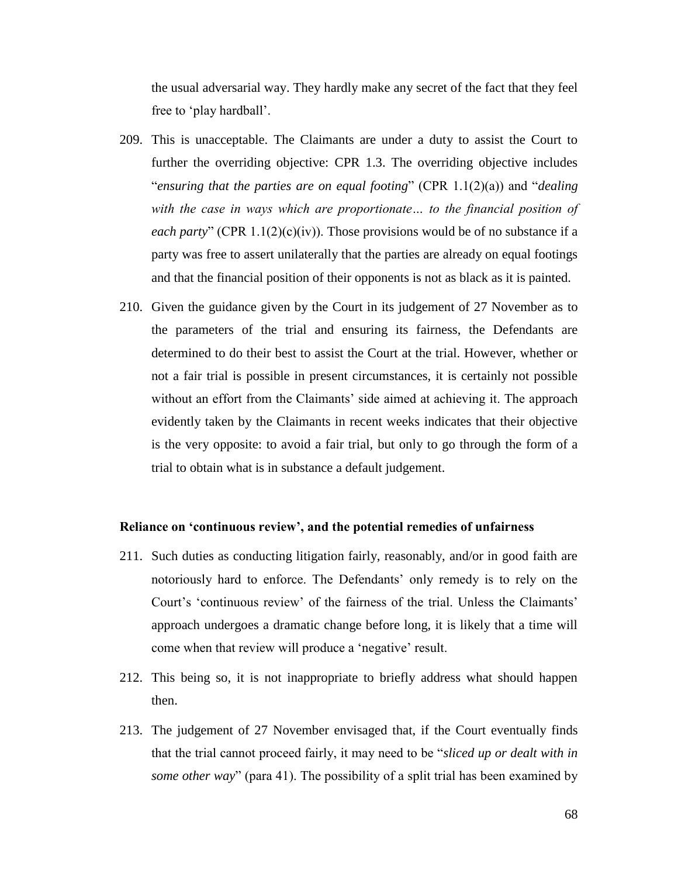the usual adversarial way. They hardly make any secret of the fact that they feel free to 'play hardball'.

- 209. This is unacceptable. The Claimants are under a duty to assist the Court to further the overriding objective: CPR 1.3. The overriding objective includes "*ensuring that the parties are on equal footing*" (CPR 1.1(2)(a)) and "*dealing*  with the case in ways which are proportionate... to the financial position of *each party*" (CPR 1.1(2)(c)(iv)). Those provisions would be of no substance if a party was free to assert unilaterally that the parties are already on equal footings and that the financial position of their opponents is not as black as it is painted.
- 210. Given the guidance given by the Court in its judgement of 27 November as to the parameters of the trial and ensuring its fairness, the Defendants are determined to do their best to assist the Court at the trial. However, whether or not a fair trial is possible in present circumstances, it is certainly not possible without an effort from the Claimants' side aimed at achieving it. The approach evidently taken by the Claimants in recent weeks indicates that their objective is the very opposite: to avoid a fair trial, but only to go through the form of a trial to obtain what is in substance a default judgement.

## **Reliance on 'continuous review', and the potential remedies of unfairness**

- 211. Such duties as conducting litigation fairly, reasonably, and/or in good faith are notoriously hard to enforce. The Defendants' only remedy is to rely on the Court's 'continuous review' of the fairness of the trial. Unless the Claimants' approach undergoes a dramatic change before long, it is likely that a time will come when that review will produce a 'negative' result.
- 212. This being so, it is not inappropriate to briefly address what should happen then.
- 213. The judgement of 27 November envisaged that, if the Court eventually finds that the trial cannot proceed fairly, it may need to be "*sliced up or dealt with in some other way*" (para 41). The possibility of a split trial has been examined by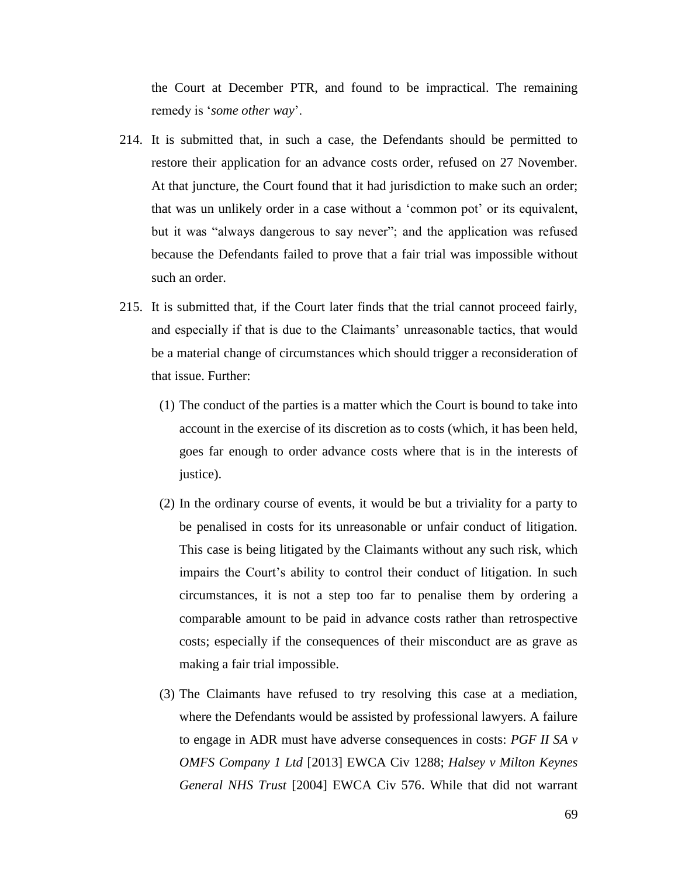the Court at December PTR, and found to be impractical. The remaining remedy is '*some other way*'.

- 214. It is submitted that, in such a case, the Defendants should be permitted to restore their application for an advance costs order, refused on 27 November. At that juncture, the Court found that it had jurisdiction to make such an order; that was un unlikely order in a case without a 'common pot' or its equivalent, but it was "always dangerous to say never"; and the application was refused because the Defendants failed to prove that a fair trial was impossible without such an order.
- 215. It is submitted that, if the Court later finds that the trial cannot proceed fairly, and especially if that is due to the Claimants' unreasonable tactics, that would be a material change of circumstances which should trigger a reconsideration of that issue. Further:
	- (1) The conduct of the parties is a matter which the Court is bound to take into account in the exercise of its discretion as to costs (which, it has been held, goes far enough to order advance costs where that is in the interests of justice).
	- (2) In the ordinary course of events, it would be but a triviality for a party to be penalised in costs for its unreasonable or unfair conduct of litigation. This case is being litigated by the Claimants without any such risk, which impairs the Court's ability to control their conduct of litigation. In such circumstances, it is not a step too far to penalise them by ordering a comparable amount to be paid in advance costs rather than retrospective costs; especially if the consequences of their misconduct are as grave as making a fair trial impossible.
	- (3) The Claimants have refused to try resolving this case at a mediation, where the Defendants would be assisted by professional lawyers. A failure to engage in ADR must have adverse consequences in costs: *PGF II SA v OMFS Company 1 Ltd* [2013] EWCA Civ 1288; *Halsey v Milton Keynes General NHS Trust* [2004] EWCA Civ 576. While that did not warrant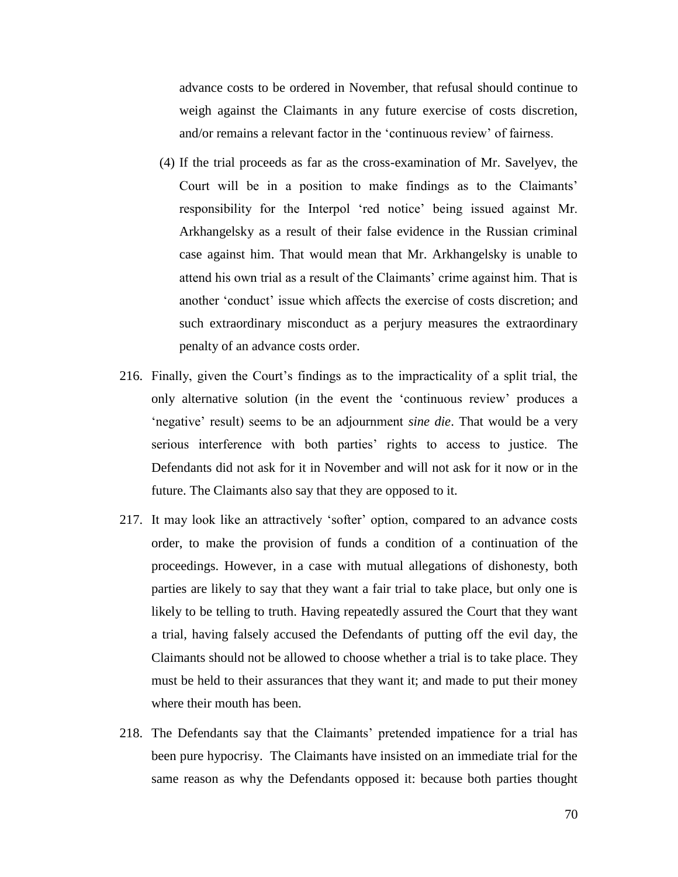advance costs to be ordered in November, that refusal should continue to weigh against the Claimants in any future exercise of costs discretion, and/or remains a relevant factor in the 'continuous review' of fairness.

- (4) If the trial proceeds as far as the cross-examination of Mr. Savelyev, the Court will be in a position to make findings as to the Claimants' responsibility for the Interpol 'red notice' being issued against Mr. Arkhangelsky as a result of their false evidence in the Russian criminal case against him. That would mean that Mr. Arkhangelsky is unable to attend his own trial as a result of the Claimants' crime against him. That is another 'conduct' issue which affects the exercise of costs discretion; and such extraordinary misconduct as a perjury measures the extraordinary penalty of an advance costs order.
- 216. Finally, given the Court's findings as to the impracticality of a split trial, the only alternative solution (in the event the 'continuous review' produces a 'negative' result) seems to be an adjournment *sine die*. That would be a very serious interference with both parties' rights to access to justice. The Defendants did not ask for it in November and will not ask for it now or in the future. The Claimants also say that they are opposed to it.
- 217. It may look like an attractively 'softer' option, compared to an advance costs order, to make the provision of funds a condition of a continuation of the proceedings. However, in a case with mutual allegations of dishonesty, both parties are likely to say that they want a fair trial to take place, but only one is likely to be telling to truth. Having repeatedly assured the Court that they want a trial, having falsely accused the Defendants of putting off the evil day, the Claimants should not be allowed to choose whether a trial is to take place. They must be held to their assurances that they want it; and made to put their money where their mouth has been.
- 218. The Defendants say that the Claimants' pretended impatience for a trial has been pure hypocrisy. The Claimants have insisted on an immediate trial for the same reason as why the Defendants opposed it: because both parties thought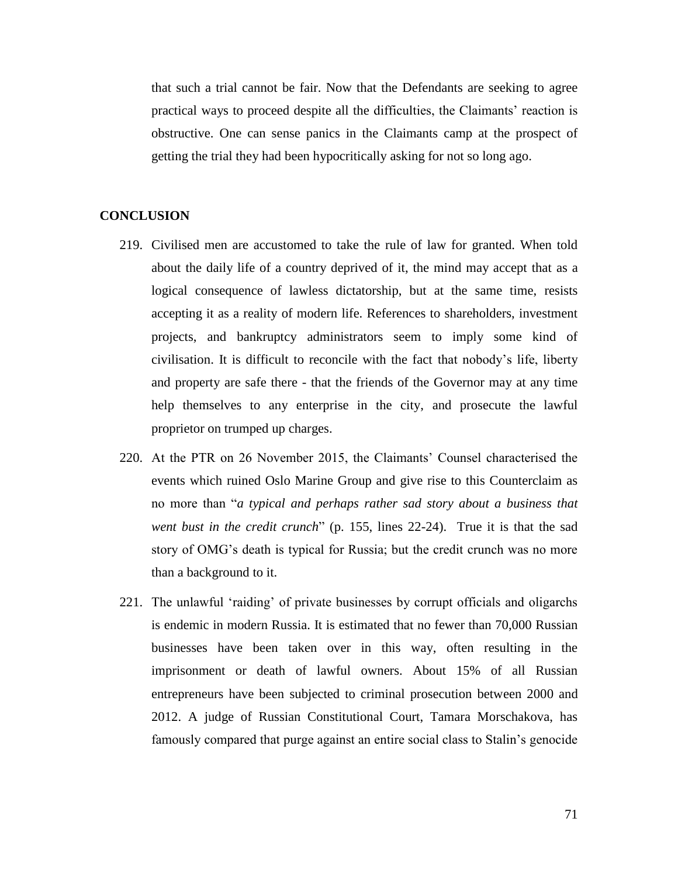that such a trial cannot be fair. Now that the Defendants are seeking to agree practical ways to proceed despite all the difficulties, the Claimants' reaction is obstructive. One can sense panics in the Claimants camp at the prospect of getting the trial they had been hypocritically asking for not so long ago.

# **CONCLUSION**

- 219. Civilised men are accustomed to take the rule of law for granted. When told about the daily life of a country deprived of it, the mind may accept that as a logical consequence of lawless dictatorship, but at the same time, resists accepting it as a reality of modern life. References to shareholders, investment projects, and bankruptcy administrators seem to imply some kind of civilisation. It is difficult to reconcile with the fact that nobody's life, liberty and property are safe there - that the friends of the Governor may at any time help themselves to any enterprise in the city, and prosecute the lawful proprietor on trumped up charges.
- 220. At the PTR on 26 November 2015, the Claimants' Counsel characterised the events which ruined Oslo Marine Group and give rise to this Counterclaim as no more than "*a typical and perhaps rather sad story about a business that went bust in the credit crunch*" (p. 155, lines 22-24). True it is that the sad story of OMG's death is typical for Russia; but the credit crunch was no more than a background to it.
- 221. The unlawful 'raiding' of private businesses by corrupt officials and oligarchs is endemic in modern Russia. It is estimated that no fewer than 70,000 Russian businesses have been taken over in this way, often resulting in the imprisonment or death of lawful owners. About 15% of all Russian entrepreneurs have been subjected to criminal prosecution between 2000 and 2012. A judge of Russian Constitutional Court, Tamara Morschakova, has famously compared that purge against an entire social class to Stalin's genocide